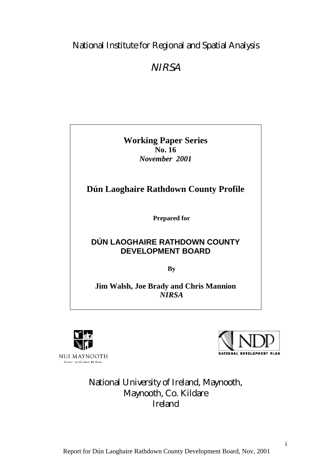## National Institute for Regional and Spatial Analysis

## **NIRSA**

**Working Paper Series No. 16** *November 2001*

## **Dún Laoghaire Rathdown County Profile**

**Prepared for**

## **DÚN LAOGHAIRE RATHDOWN COUNTY DEVELOPMENT BOARD**

**By**

**Jim Walsh, Joe Brady and Chris Mannion** *NIRSA*



.<br>Oliscoil na hÉireann Má Nuad

**NATIONAL DEVELOPMENT PLAN** 

## National University of Ireland, Maynooth, Maynooth, Co. Kildare Ireland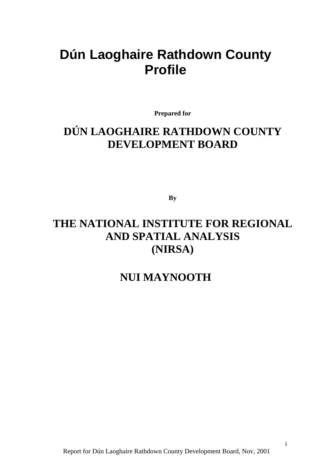# <span id="page-1-0"></span>**Dún Laoghaire Rathdown County Profile**

**Prepared for**

# **DÚN LAOGHAIRE RATHDOWN COUNTY DEVELOPMENT BOARD**

**By**

## **THE NATIONAL INSTITUTE FOR REGIONAL AND SPATIAL ANALYSIS (NIRSA)**

## **NUI MAYNOOTH**

i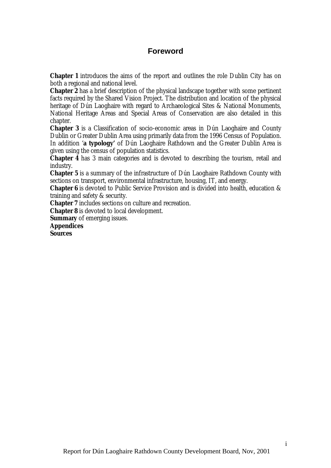## **Foreword**

<span id="page-2-0"></span>**Chapter 1** introduces the aims of the report and outlines the role Dublin City has on both a regional and national level.

**Chapter 2** has a brief description of the physical landscape together with some pertinent facts required by the Shared Vision Project. The distribution and location of the physical heritage of Dún Laoghaire with regard to Archaeological Sites & National Monuments, National Heritage Areas and Special Areas of Conservation are also detailed in this chapter.

**Chapter 3** is a Classification of socio-economic areas in Dún Laoghaire and County Dublin or Greater Dublin Area using primarily data from the 1996 Census of Population. In addition 'a **typology'** of Dún Laoghaire Rathdown and the Greater Dublin Area is given using the census of population statistics.

**Chapter 4** has 3 main categories and is devoted to describing the tourism, retail and industry.

**Chapter 5** is a summary of the infrastructure of Dún Laoghaire Rathdown County with sections on transport, environmental infrastructure, housing, IT, and energy.

**Chapter 6** is devoted to Public Service Provision and is divided into health, education & training and safety & security.

**Chapter 7** includes sections on culture and recreation.

**Chapter 8** is devoted to local development.

**Summary** of emerging issues.

**Appendices Sources**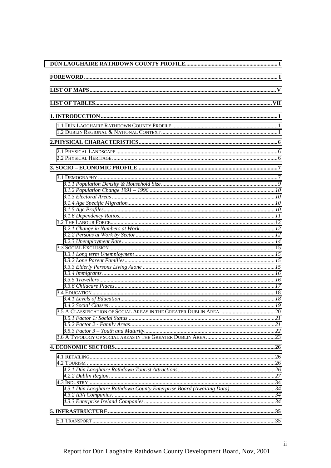| 4.3.1 Dún Laoghaire Rathdown County Enterprise Board (Awaiting Data) 34 |  |
|-------------------------------------------------------------------------|--|
|                                                                         |  |
|                                                                         |  |
|                                                                         |  |
|                                                                         |  |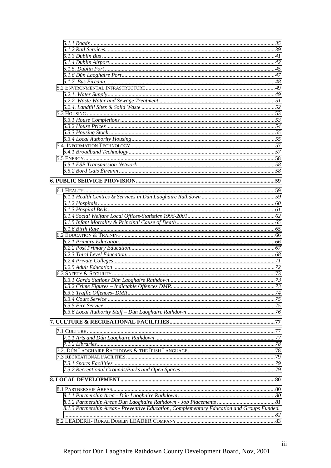| 8.1.3 Partnership Areas - Preventive Education, Complementary Education and Groups Funded. |  |
|--------------------------------------------------------------------------------------------|--|
|                                                                                            |  |
|                                                                                            |  |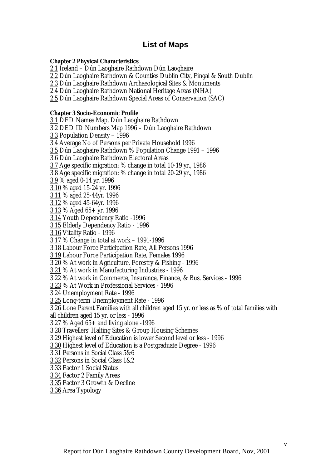## **List of Maps**

#### <span id="page-6-0"></span>**Chapter 2 Physical Characteristics**

2.1 Ireland – Dún Laoghaire Rathdown Dún Laoghaire

2.2 Dún Laoghaire Rathdown & Counties Dublin City, Fingal & South Dublin

2.3 Dún Laoghaire Rathdown Archaeological Sites & Monuments

2.4 Dún Laoghaire Rathdown National Heritage Areas (NHA)

2.5 Dún Laoghaire Rathdown Special Areas of Conservation (SAC)

#### **Chapter 3 Socio-Economic Profile**

3.1 DED Names Map, Dún Laoghaire Rathdown 3.2 DED ID Numbers Map 1996 – Dún Laoghaire Rathdown 3.3 Population Density – 1996 3.4 Average No of Persons per Private Household 1996 3.5 Dún Laoghaire Rathdown % Population Change 1991 – 1996 3.6 Dún Laoghaire Rathdown Electoral Areas 3.7 Age specific migration: % change in total 10-19 yr., 1986 3.8 Age specific migration: % change in total 20-29 yr., 1986 3.9 % aged 0-14 yr. 1996 3.10 % aged 15-24 yr. 1996 3.11 % aged 25-44yr. 1996 3.12 % aged 45-64yr. 1996 3.13 % Aged 65+ yr. 1996 3.14 Youth Dependency Ratio -1996 3.15 Elderly Dependency Ratio - 1996 3.16 Vitality Ratio - 1996 3.17 % Change in total at work – 1991-1996 3.18 Labour Force Participation Rate, All Persons 1996 3.19 Labour Force Participation Rate, Females 1996 3.20 % At work in Agriculture, Forestry & Fishing - 1996 3.21 % At work in Manufacturing Industries - 1996 3.22 % At work in Commerce, Insurance, Finance, & Bus. Services - 1996 3.23 % At Work in Professional Services - 1996 3.24 Unemployment Rate - 1996 3.25 Long-term Unemployment Rate - 1996 3.26 Lone Parent Families with all children aged 15 yr. or less as % of total families with all children aged 15 yr. or less - 1996 3.27 % Aged 65+ and living alone -1996 3.28 Travellers' Halting Sites & Group Housing Schemes 3.29 Highest level of Education is lower Second level or less - 1996 3.30 Highest level of Education is a Postgraduate Degree - 1996 3.31 Persons in Social Class 5&6 3.32 Persons in Social Class 1&2 3.33 Factor 1 Social Status 3.34 Factor 2 Family Areas 3.35 Factor 3 Growth & Decline 3.36 Area Typology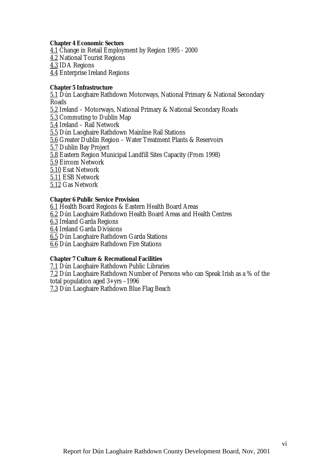#### **Chapter 4 Economic Sectors**

4.1 Change in Retail Employment by Region 1995 - 2000 4.2 National Tourist Regions 4.3 IDA Regions 4.4 Enterprise Ireland Regions

#### **Chapter 5 Infrastructure**

5.1 Dún Laoghaire Rathdown Motorways, National Primary & National Secondary Roads 5.2 Ireland – Motorways, National Primary & National Secondary Roads 5.3 Commuting to Dublin Map 5.4 Ireland – Rail Network 5.5 Dún Laoghaire Rathdown Mainline Rail Stations 5.6 Greater Dublin Region – Water Treatment Plants & Reservoirs 5.7 Dublin Bay Project 5.8 Eastern Region Municipal Landfill Sites Capacity (From 1998) 5.9 Eircom Network 5.10 Esat Network 5.11 ESB Network 5.12 Gas Network

#### **Chapter 6 Public Service Provision**

6.1 Health Board Regions & Eastern Health Board Areas 6.2 Dún Laoghaire Rathdown Health Board Areas and Health Centres 6.3 Ireland Garda Regions 6.4 Ireland Garda Divisions 6.5 Dún Laoghaire Rathdown Garda Stations 6.6 Dún Laoghaire Rathdown Fire Stations

#### **Chapter 7 Culture & Recreational Facilities**

7.1 Dún Laoghaire Rathdown Public Libraries 7.2 Dún Laoghaire Rathdown Number of Persons who can Speak Irish as a % of the total population aged 3+yrs –1996 7.3 Dún Laoghaire Rathdown Blue Flag Beach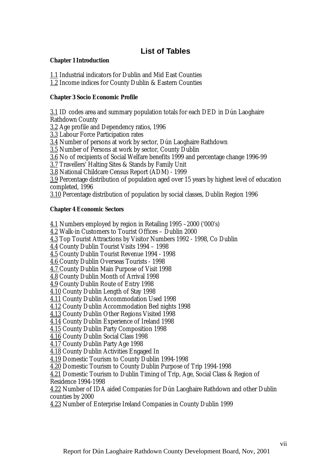## **List of Tables**

#### <span id="page-8-0"></span>**Chapter 1 Introduction**

1.1 Industrial indicators for Dublin and Mid East Counties

1.2 Income indices for County Dublin & Eastern Counties

#### **Chapter 3 Socio Economic Profile**

3.1 ID codes area and summary population totals for each DED in Dún Laoghaire Rathdown County

3.2 Age profile and Dependency ratios, 1996

3.3 Labour Force Participation rates

3.4 Number of persons at work by sector, Dún Laoghaire Rathdown

3.5 Number of Persons at work by sector, County Dublin

3.6 No of recipients of Social Welfare benefits 1999 and percentage change 1996-99

3.7 Travellers' Halting Sites & Stands by Family Unit

3.8 National Childcare Census Report (ADM) - 1999

3.9 Percentage distribution of population aged over 15 years by highest level of education completed, 1996

3.10 Percentage distribution of population by social classes, Dublin Region 1996

#### **Chapter 4 Economic Sectors**

4.1 Numbers employed by region in Retailing 1995 –2000 ('000's)

4.2 Walk-in Customers to Tourist Offices – Dublin 2000

4.3 Top Tourist Attractions by Visitor Numbers 1992 - 1998, Co Dublin

4.4 County Dublin Tourist Visits 1994 – 1998

4.5 County Dublin Tourist Revenue 1994 - 1998

4.6 County Dublin Overseas Tourists - 1998

4.7 County Dublin Main Purpose of Visit 1998

4.8 County Dublin Month of Arrival 1998

4.9 County Dublin Route of Entry 1998

4.10 County Dublin Length of Stay 1998

4.11 County Dublin Accommodation Used 1998

4.12 County Dublin Accommodation Bed nights 1998

4.13 County Dublin Other Regions Visited 1998

4.14 County Dublin Experience of Ireland 1998

4.15 County Dublin Party Composition 1998

4.16 County Dublin Social Class 1998

4.17 County Dublin Party Age 1998

4.18 County Dublin Activities Engaged In

4.19 Domestic Tourism to County Dublin 1994-1998

4.20 Domestic Tourism to County Dublin Purpose of Trip 1994-1998

4.21 Domestic Tourism to Dublin Timing of Trip, Age, Social Class & Region of Residence 1994-1998

4.22 Number of IDA aided Companies for Dún Laoghaire Rathdown and other Dublin counties by 2000

4.23 Number of Enterprise Ireland Companies in County Dublin 1999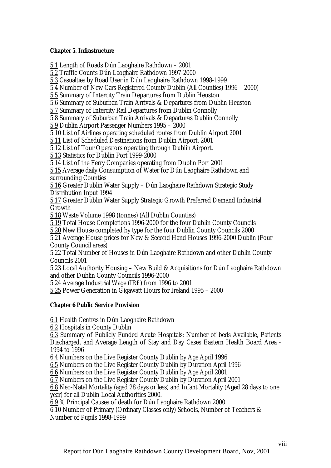#### **Chapter 5. Infrastructure**

5.1 Length of Roads Dún Laoghaire Rathdown – 2001

5.2 Traffic Counts Dún Laoghaire Rathdown 1997-2000

5.3 Casualties by Road User in Dún Laoghaire Rathdown 1998-1999

5.4 Number of New Cars Registered County Dublin (All Counties) 1996 – 2000)

5.5 Summary of Intercity Train Departures from Dublin Heuston

5.6 Summary of Suburban Train Arrivals & Departures from Dublin Heuston

5.7 Summary of Intercity Rail Departures from Dublin Connolly

5.8 Summary of Suburban Train Arrivals & Departures Dublin Connolly

5.9 Dublin Airport Passenger Numbers 1995 – 2000

5.10 List of Airlines operating scheduled routes from Dublin Airport 2001

5.11 List of Scheduled Destinations from Dublin Airport. 2001

5.12 List of Tour Operators operating through Dublin Airport.

5.13 Statistics for Dublin Port 1999-2000

5.14 List of the Ferry Companies operating from Dublin Port 2001

5.15 Average daily Consumption of Water for Dún Laoghaire Rathdown and surrounding Counties

5.16 Greater Dublin Water Supply – Dún Laoghaire Rathdown Strategic Study Distribution Input 1994

5.17 Greater Dublin Water Supply Strategic Growth Preferred Demand Industrial Growth

5.18 Waste Volume 1998 (tonnes) (All Dublin Counties)

5.19 Total House Completions 1996-2000 for the four Dublin County Councils

5.20 New House completed by type for the four Dublin County Councils 2000

5.21 Average House prices for New & Second Hand Houses 1996-2000 Dublin (Four County Council areas)

5.22 Total Number of Houses in Dún Laoghaire Rathdown and other Dublin County Councils 2001

5.23 Local Authority Housing – New Build & Acquisitions for Dún Laoghaire Rathdown and other Dublin County Councils 1996-2000

5.24 Average Industrial Wage (IR£) from 1996 to 2001

5.25 Power Generation in Gigawatt Hours for Ireland 1995 – 2000

#### **Chapter 6 Public Service Provision**

6.1 Health Centres in Dún Laoghaire Rathdown

6.2 Hospitals in County Dublin

6.3 Summary of Publicly Funded Acute Hospitals: Number of beds Available, Patients Discharged, and Average Length of Stay and Day Cases Eastern Health Board Area - 1994 to 1996

6.4 Numbers on the Live Register County Dublin by Age April 1996

6.5 Numbers on the Live Register County Dublin by Duration April 1996

6.6 Numbers on the Live Register County Dublin by Age April 2001

6.7 Numbers on the Live Register County Dublin by Duration April 2001

6.8 Neo-Natal Mortality (aged 28 days or less) and Infant Mortality (Aged 28 days to one year) for all Dublin Local Authorities 2000.

6.9 % Principal Causes of death for Dún Laoghaire Rathdown 2000

6.10 Number of Primary (Ordinary Classes only) Schools, Number of Teachers & Number of Pupils 1998-1999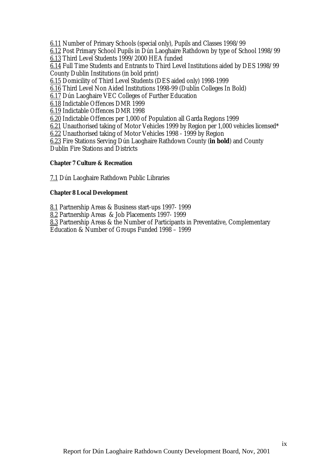6.11 Number of Primary Schools (special only), Pupils and Classes 1998/99

6.12 Post Primary School Pupils in Dún Laoghaire Rathdown by type of School 1998/99

6.13 Third Level Students 1999/2000 HEA funded

6.14 Full Time Students and Entrants to Third Level Institutions aided by DES 1998/99 County Dublin Institutions (in bold print)

6.15 Domicility of Third Level Students (DES aided only) 1998-1999

6.16 Third Level Non Aided Institutions 1998-99 (Dublin Colleges In Bold)

6.17 Dún Laoghaire VEC Colleges of Further Education

6.18 Indictable Offences DMR 1999

6.19 Indictable Offences DMR 1998

6.20 Indictable Offences per 1,000 of Population all Garda Regions 1999

6.21 Unauthorised taking of Motor Vehicles 1999 by Region per 1,000 vehicles licensed\*

6.22 Unauthorised taking of Motor Vehicles 1998 - 1999 by Region

6.23 Fire Stations Serving Dún Laoghaire Rathdown County (**in bold**) and County Dublin Fire Stations and Districts

#### **Chapter 7 Culture & Recreation**

7.1 Dún Laoghaire Rathdown Public Libraries

#### **Chapter 8 Local Development**

8.1 Partnership Areas & Business start-ups 1997- 1999

8.2 Partnership Areas & Job Placements 1997- 1999

8.3 Partnership Areas & the Number of Participants in Preventative, Complementary

Education & Number of Groups Funded 1998 – 1999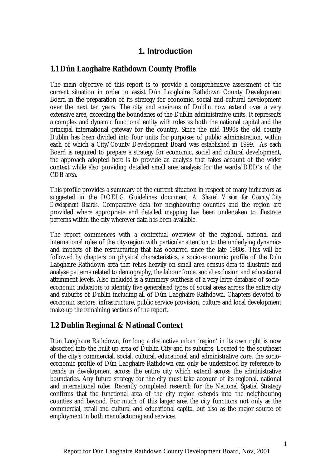## **1. Introduction**

## <span id="page-11-0"></span>**1.1 Dún Laoghaire Rathdown County Profile**

The main objective of this report is to provide a comprehensive assessment of the current situation in order to assist Dún Laoghaire Rathdown County Development Board in the preparation of its strategy for economic, social and cultural development over the next ten years. The city and environs of Dublin now extend over a very extensive area, exceeding the boundaries of the Dublin administrative units. It represents a complex and dynamic functional entity with roles as both the national capital and the principal international gateway for the country. Since the mid 1990s the old county Dublin has been divided into four units for purposes of public administration, within each of which a City/County Development Board was established in 1999. As each Board is required to prepare a strategy for economic, social and cultural development, the approach adopted here is to provide an analysis that takes account of the wider context while also providing detailed small area analysis for the wards/DED's of the CDB area.

This profile provides a summary of the current situation in respect of many indicators as suggested in the DOELG Guidelines document, *A Shared Vision for County/City Development Boards*. Comparative data for neighbouring counties and the region are provided where appropriate and detailed mapping has been undertaken to illustrate patterns within the city wherever data has been available.

The report commences with a contextual overview of the regional, national and international roles of the city-region with particular attention to the underlying dynamics and impacts of the restructuring that has occurred since the late 1980s. This will be followed by chapters on physical characteristics, a socio-economic profile of the Dún Laoghaire Rathdown area that relies heavily on small area census data to illustrate and analyse patterns related to demography, the labour force, social exclusion and educational attainment levels. Also included is a summary synthesis of a very large database of socioeconomic indicators to identify five generalised types of social areas across the entire city and suburbs of Dublin including all of Dún Laoghaire Rathdown. Chapters devoted to economic sectors, infrastructure, public service provision, culture and local development make-up the remaining sections of the report.

## **1.2 Dublin Regional & National Context**

Dún Laoghaire Rathdown, for long a distinctive urban 'region' in its own right is now absorbed into the built up area of Dublin City and its suburbs. Located to the southeast of the city's commercial, social, cultural, educational and administrative core, the socioeconomic profile of Dún Laoghaire Rathdown can only be understood by reference to trends in development across the entire city which extend across the administrative boundaries. Any future strategy for the city must take account of its regional, national and international roles. Recently completed research for the National Spatial Strategy confirms that the functional area of the city region extends into the neighbouring counties and beyond. For much of this larger area the city functions not only as the commercial, retail and cultural and educational capital but also as the major source of employment in both manufacturing and services.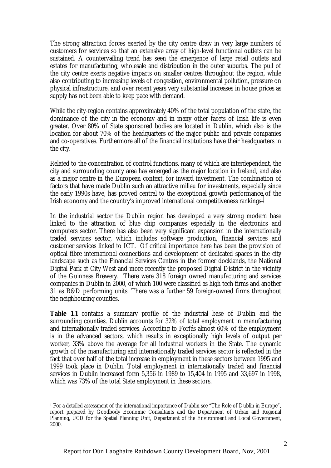The strong attraction forces exerted by the city centre draw in very large numbers of customers for services so that an extensive array of high-level functional outlets can be sustained. A countervailing trend has seen the emergence of large retail outlets and estates for manufacturing, wholesale and distribution in the outer suburbs. The pull of the city centre exerts negative impacts on smaller centres throughout the region, while also contributing to increasing levels of congestion, environmental pollution, pressure on physical infrastructure, and over recent years very substantial increases in house prices as supply has not been able to keep pace with demand.

While the city-region contains approximately 40% of the total population of the state, the dominance of the city in the economy and in many other facets of Irish life is even greater. Over 80% of State sponsored bodies are located in Dublin, which also is the location for about 70% of the headquarters of the major public and private companies and co-operatives. Furthermore all of the financial institutions have their headquarters in the city.

Related to the concentration of control functions, many of which are interdependent, the city and surrounding county area has emerged as the major location in Ireland, and also as a major centre in the European context, for inward investment. The combination of factors that have made Dublin such an attractive milieu for investments, especially since the early 1990s have, has proved central to the exceptional growth performance of the Irish economy and the country's improved international competitiveness rankings<sup>1</sup>.

In the industrial sector the Dublin region has developed a very strong modern base linked to the attraction of blue chip companies especially in the electronics and computers sector. There has also been very significant expansion in the internationally traded services sector, which includes software production, financial services and customer services linked to ICT. Of critical importance here has been the provision of optical fibre international connections and development of dedicated spaces in the city landscape such as the Financial Services Centres in the former docklands, the National Digital Park at City West and more recently the proposed Digital District in the vicinity of the Guinness Brewery. There were 318 foreign owned manufacturing and services companies in Dublin in 2000, of which 100 were classified as high tech firms and another 31 as R&D performing units. There was a further 59 foreign-owned firms throughout the neighbouring counties.

**Table 1.1** contains a summary profile of the industrial base of Dublin and the surrounding counties. Dublin accounts for 32% of total employment in manufacturing and internationally traded services. According to Forfás almost 60% of the employment is in the advanced sectors, which results in exceptionally high levels of output per worker, 33% above the average for all industrial workers in the State. The dynamic growth of the manufacturing and internationally traded services sector is reflected in the fact that over half of the total increase in employment in these sectors between 1995 and 1999 took place in Dublin. Total employment in internationally traded and financial services in Dublin increased form 5,356 in 1989 to 15,404 in 1995 and 33,697 in 1998, which was 73% of the total State employment in these sectors.

 $\overline{a}$ 1 For a detailed assessment of the international importance of Dublin see "The Role of Dublin in Europe", report prepared by Goodbody Economic Consultants and the Department of Urban and Regional Planning, UCD for the Spatial Planning Unit, Department of the Environment and Local Government, 2000.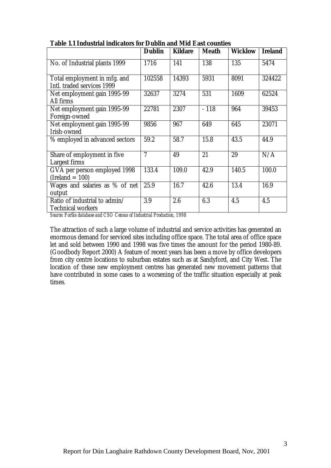|                                                            | <b>Dublin</b> | <b>Kildare</b> | <b>Meath</b> | <b>Wicklow</b> | <b>Ireland</b> |
|------------------------------------------------------------|---------------|----------------|--------------|----------------|----------------|
| No. of Industrial plants 1999                              | 1716          | 141            | 138          | 135            | 5474           |
| Total employment in mfg. and<br>Intl. traded services 1999 | 102558        | 14393          | 5931         | 8091           | 324422         |
| Net employment gain 1995-99<br>All firms                   | 32637         | 3274           | 531          | 1609           | 62524          |
| Net employment gain 1995-99<br>Foreign-owned               | 22781         | 2307           | $-118$       | 964            | 39453          |
| Net employment gain 1995-99<br>Irish-owned                 | 9856          | 967            | 649          | 645            | 23071          |
| % employed in advanced sectors                             | 59.2          | 58.7           | 15.8         | 43.5           | 44.9           |
| Share of employment in five<br>Largest firms               | 7             | 49             | 21           | 29             | N/A            |
| GVA per person employed 1998<br>$(Ireland = 100)$          | 133.4         | 109.0          | 42.9         | 140.5          | 100.0          |
| Wages and salaries as % of net<br>output                   | 25.9          | 16.7           | 42.6         | 13.4           | 16.9           |
| Ratio of industrial to admin/<br><b>Technical workers</b>  | 3.9           | 2.6            | 6.3          | 4.5            | 4.5            |

**Table 1.1 Industrial indicators for Dublin and Mid East counties**

*Source: Forfás database and CSO Census of Industrial Production, 1998*

The attraction of such a large volume of industrial and service activities has generated an enormous demand for serviced sites including office space. The total area of office space let and sold between 1990 and 1998 was five times the amount for the period 1980-89. (Goodbody Report 2000) A feature of recent years has been a move by office developers from city centre locations to suburban estates such as at Sandyford, and City West. The location of these new employment centres has generated new movement patterns that have contributed in some cases to a worsening of the traffic situation especially at peak times.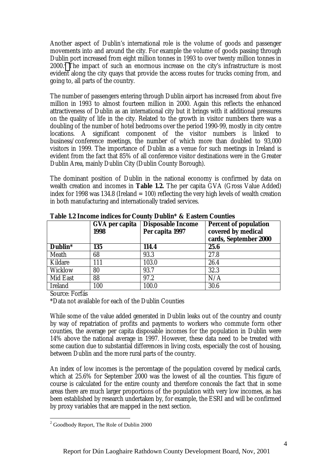Another aspect of Dublin's international role is the volume of goods and passenger movements into and around the city. For example the volume of goods passing through Dublin port increased from eight million tonnes in 1993 to over twenty million tonnes in 2000.<sup>2</sup> The impact of such an enormous increase on the city's infrastructure is most evident along the city quays that provide the access routes for trucks coming from, and going to, all parts of the country.

The number of passengers entering through Dublin airport has increased from about five million in 1993 to almost fourteen million in 2000. Again this reflects the enhanced attractiveness of Dublin as an international city but it brings with it additional pressures on the quality of life in the city. Related to the growth in visitor numbers there was a doubling of the number of hotel bedrooms over the period 1990-99, mostly in city centre locations. A significant component of the visitor numbers is linked to business/conference meetings, the number of which more than doubled to 93,000 visitors in 1999. The importance of Dublin as a venue for such meetings in Ireland is evident from the fact that 85% of all conference visitor destinations were in the Greater Dublin Area, mainly Dublin City (Dublin County Borough).

The dominant position of Dublin in the national economy is confirmed by data on wealth creation and incomes in **Table 1.2.** The per capita GVA (Gross Value Added) index for 1998 was 134.8 (Ireland  $= 100$ ) reflecting the very high levels of wealth creation in both manufacturing and internationally traded services.

|                |                        | Table is income males for county Dabini & Easten Country |                                                                             |
|----------------|------------------------|----------------------------------------------------------|-----------------------------------------------------------------------------|
|                | GVA per capita<br>1998 | <b>Disposable Income</b><br>Per capita 1997              | <b>Percent of population</b><br>covered by medical<br>cards, September 2000 |
| Dublin*        | 135                    | 114.4                                                    | 25.6                                                                        |
| Meath          | 68                     | 93.3                                                     | 27.8                                                                        |
| Kildare        | 111                    | 103.0                                                    | 26.4                                                                        |
| Wicklow        | 80                     | 93.7                                                     | 32.3                                                                        |
| Mid East       | 88                     | 97.2                                                     | N/A                                                                         |
| <b>Ireland</b> | 100                    | 100.0                                                    | 30.6                                                                        |

**Table 1.2 Income indices for County Dublin\* & Eastern Counties**

Source: Forfás

\*Data not available for each of the Dublin Counties

While some of the value added generated in Dublin leaks out of the country and county by way of repatriation of profits and payments to workers who commute form other counties, the average per capita disposable incomes for the population in Dublin were 14% above the national average in 1997. However, these data need to be treated with some caution due to substantial differences in living costs, especially the cost of housing, between Dublin and the more rural parts of the country.

An index of low incomes is the percentage of the population covered by medical cards, which at 25.6% for September 2000 was the lowest of all the counties. This figure of course is calculated for the entire county and therefore conceals the fact that in some areas there are much larger proportions of the population with very low incomes, as has been established by research undertaken by, for example, the ESRI and will be confirmed by proxy variables that are mapped in the next section.

<sup>&</sup>lt;sup>2</sup> Goodbody Report, The Role of Dublin 2000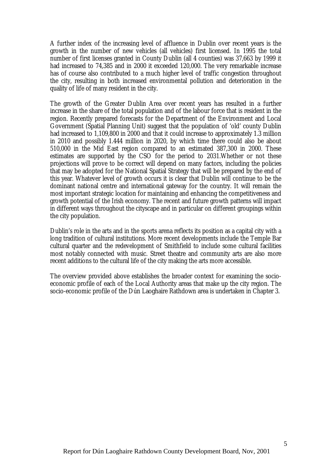A further index of the increasing level of affluence in Dublin over recent years is the growth in the number of new vehicles (all vehicles) first licensed. In 1995 the total number of first licenses granted in County Dublin (all 4 counties) was 37,663 by 1999 it had increased to 74,385 and in 2000 it exceeded 120,000. The very remarkable increase has of course also contributed to a much higher level of traffic congestion throughout the city, resulting in both increased environmental pollution and deterioration in the quality of life of many resident in the city.

The growth of the Greater Dublin Area over recent years has resulted in a further increase in the share of the total population and of the labour force that is resident in the region. Recently prepared forecasts for the Department of the Environment and Local Government (Spatial Planning Unit) suggest that the population of 'old' county Dublin had increased to 1,109,800 in 2000 and that it could increase to approximately 1.3 million in 2010 and possibly 1.444 million in 2020, by which time there could also be about 510,000 in the Mid East region compared to an estimated 387,300 in 2000. These estimates are supported by the CSO for the period to 2031.Whether or not these projections will prove to be correct will depend on many factors, including the policies that may be adopted for the National Spatial Strategy that will be prepared by the end of this year. Whatever level of growth occurs it is clear that Dublin will continue to be the dominant national centre and international gateway for the country. It will remain the most important strategic location for maintaining and enhancing the competitiveness and growth potential of the Irish economy. The recent and future growth patterns will impact in different ways throughout the cityscape and in particular on different groupings within the city population.

Dublin's role in the arts and in the sports arena reflects its position as a capital city with a long tradition of cultural institutions. More recent developments include the Temple Bar cultural quarter and the redevelopment of Smithfield to include some cultural facilities most notably connected with music. Street theatre and community arts are also more recent additions to the cultural life of the city making the arts more accessible.

The overview provided above establishes the broader context for examining the socioeconomic profile of each of the Local Authority areas that make up the city region. The socio-economic profile of the Dún Laoghaire Rathdown area is undertaken in Chapter 3.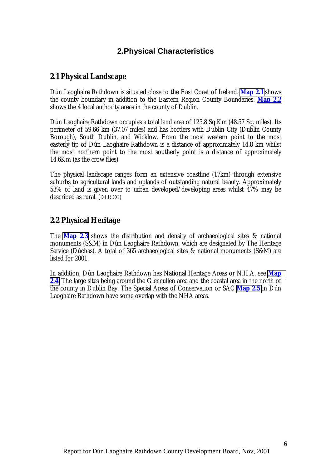## **2.Physical Characteristics**

### <span id="page-16-0"></span>**2.1 Physical Landscape**

Dún Laoghaire Rathdown is situated close to the East Coast of Ireland. **Map 2.1** shows the county boundary in addition to the Eastern Region County Boundaries. **Map 2.2** shows the 4 local authority areas in the county of Dublin.

Dún Laoghaire Rathdown occupies a total land area of 125.8 Sq.Km (48.57 Sq. miles). Its perimeter of 59.66 km (37.07 miles) and has borders with Dublin City (Dublin County Borough), South Dublin, and Wicklow. From the most western point to the most easterly tip of Dún Laoghaire Rathdown is a distance of approximately 14.8 km whilst the most northern point to the most southerly point is a distance of approximately 14.6Km (as the crow flies).

The physical landscape ranges form an extensive coastline (17km) through extensive suburbs to agricultural lands and uplands of outstanding natural beauty. Approximately 53% of land is given over to urban developed/developing areas whilst 47% may be described as rural. (DLR CC)

### **2.2 Physical Heritage**

The **Map 2.3** shows the distribution and density of archaeological sites & national monuments (S&M) in Dún Laoghaire Rathdown, which are designated by The Heritage Service (Dúchas). A total of 365 archaeological sites & national monuments (S&M) are listed for 2001.

In addition, Dún Laoghaire Rathdown has National Heritage Areas or N.H.A. see **Map 2.4**. The large sites being around the Glencullen area and the coastal area in the north of the county in Dublin Bay. The Special Areas of Conservation or SAC **Map 2.5** in Dún Laoghaire Rathdown have some overlap with the NHA areas.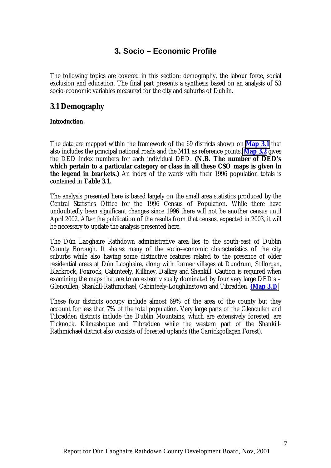## **3. Socio – Economic Profile**

<span id="page-17-0"></span>The following topics are covered in this section: demography, the labour force, social exclusion and education. The final part presents a synthesis based on an analysis of 53 socio-economic variables measured for the city and suburbs of Dublin.

## **3.1 Demography**

#### **Introduction**

The data are mapped within the framework of the 69 districts shown on **Map 3.1** that also includes the principal national roads and the M11 as reference points. **Map 3.2** gives the DED index numbers for each individual DED. **(N.B. The number of DED's which pertain to a particular category or class in all these CSO maps is given in the legend in brackets.)** An index of the wards with their 1996 population totals is contained in **Table 3.1.**

The analysis presented here is based largely on the small area statistics produced by the Central Statistics Office for the 1996 Census of Population. While there have undoubtedly been significant changes since 1996 there will not be another census until April 2002. After the publication of the results from that census, expected in 2003, it will be necessary to update the analysis presented here.

The Dún Laoghaire Rathdown administrative area lies to the south-east of Dublin County Borough. It shares many of the socio-economic characteristics of the city suburbs while also having some distinctive features related to the presence of older residential areas at Dún Laoghaire, along with former villages at Dundrum, Stillorgan, Blackrock, Foxrock, Cabinteely, Killiney, Dalkey and Shankill. Caution is required when examining the maps that are to an extent visually dominated by four very large DED's – Glencullen, Shankill-Rathmichael, Cabinteely-Loughlinstown and Tibradden. **(Map 3.1)**

These four districts occupy include almost 69% of the area of the county but they account for less than 7% of the total population. Very large parts of the Glencullen and Tibradden districts include the Dublin Mountains, which are extensively forested, are Ticknock, Kilmashogue and Tibradden while the western part of the Shankill-Rathmichael district also consists of forested uplands (the Carrickgollagan Forest).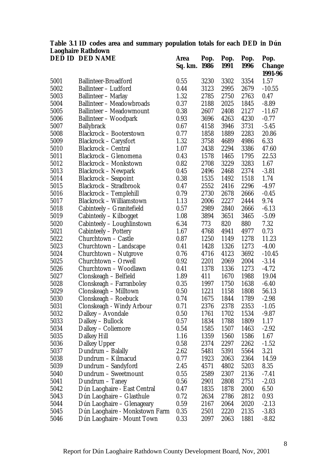| <b>DED ID DED NAME</b><br>Pop.<br>Pop.<br><b>Area</b><br>Pop.<br>Pop.<br>1986<br>1991<br>1996<br>Sq. km.<br>3230<br>3302<br>3354<br>1.57<br>5001<br>Ballinteer-Broadford<br>0.55<br>5002<br><b>Ballinteer - Ludford</b><br>0.44<br>3123<br>2995<br>2679<br>$-10.55$<br>5003<br><b>Ballinteer - Marlay</b><br>1.32<br>2785<br>2750<br>2763<br>0.47<br>5004<br><b>Ballinteer - Meadowbroads</b><br>0.37<br>2025<br>1845<br>$-8.89$<br>2188<br>5005<br>0.38<br>2607<br>2408<br><b>Ballinteer - Meadowmount</b><br>2127<br>$-11.67$<br>5006<br>Ballinteer – Woodpark<br>0.93<br>3696<br>4263<br>4230<br>$-0.77$<br>5007<br>0.67<br>4158<br>3946<br>3731<br><b>Ballybrack</b><br>$-5.45$<br>5008<br><b>Blackrock - Booterstown</b><br>0.77<br>1889<br>2283<br>20.86<br>1858 | <b>Change</b><br>1991-96 |
|------------------------------------------------------------------------------------------------------------------------------------------------------------------------------------------------------------------------------------------------------------------------------------------------------------------------------------------------------------------------------------------------------------------------------------------------------------------------------------------------------------------------------------------------------------------------------------------------------------------------------------------------------------------------------------------------------------------------------------------------------------------------|--------------------------|
|                                                                                                                                                                                                                                                                                                                                                                                                                                                                                                                                                                                                                                                                                                                                                                        |                          |
|                                                                                                                                                                                                                                                                                                                                                                                                                                                                                                                                                                                                                                                                                                                                                                        |                          |
|                                                                                                                                                                                                                                                                                                                                                                                                                                                                                                                                                                                                                                                                                                                                                                        |                          |
|                                                                                                                                                                                                                                                                                                                                                                                                                                                                                                                                                                                                                                                                                                                                                                        |                          |
|                                                                                                                                                                                                                                                                                                                                                                                                                                                                                                                                                                                                                                                                                                                                                                        |                          |
|                                                                                                                                                                                                                                                                                                                                                                                                                                                                                                                                                                                                                                                                                                                                                                        |                          |
|                                                                                                                                                                                                                                                                                                                                                                                                                                                                                                                                                                                                                                                                                                                                                                        |                          |
|                                                                                                                                                                                                                                                                                                                                                                                                                                                                                                                                                                                                                                                                                                                                                                        |                          |
|                                                                                                                                                                                                                                                                                                                                                                                                                                                                                                                                                                                                                                                                                                                                                                        |                          |
|                                                                                                                                                                                                                                                                                                                                                                                                                                                                                                                                                                                                                                                                                                                                                                        |                          |
| 5009<br>1.32<br>3758<br>4689<br>6.33<br><b>Blackrock – Carysfort</b><br>4986                                                                                                                                                                                                                                                                                                                                                                                                                                                                                                                                                                                                                                                                                           |                          |
| 1.07<br>5010<br><b>Blackrock - Central</b><br>2438<br>2294<br>3386<br>47.60                                                                                                                                                                                                                                                                                                                                                                                                                                                                                                                                                                                                                                                                                            |                          |
| 5011<br>Blackrock - Glenomena<br>0.43<br>1578<br>1465<br>1795<br>22.53                                                                                                                                                                                                                                                                                                                                                                                                                                                                                                                                                                                                                                                                                                 |                          |
| <b>Blackrock - Monkstown</b><br>0.82<br>2708<br>3229<br>3283<br>1.67<br>5012                                                                                                                                                                                                                                                                                                                                                                                                                                                                                                                                                                                                                                                                                           |                          |
| 5013<br>0.45<br><b>Blackrock – Newpark</b><br>2496<br>2468<br>2374<br>$-3.81$                                                                                                                                                                                                                                                                                                                                                                                                                                                                                                                                                                                                                                                                                          |                          |
| 0.38<br>5014<br><b>Blackrock - Seapoint</b><br>1535<br>1492<br>1518<br>1.74                                                                                                                                                                                                                                                                                                                                                                                                                                                                                                                                                                                                                                                                                            |                          |
| <b>Blackrock - Stradbrook</b><br>5015<br>0.47<br>2552<br>2416<br>2296<br>$-4.97$                                                                                                                                                                                                                                                                                                                                                                                                                                                                                                                                                                                                                                                                                       |                          |
| <b>Blackrock - Templehill</b><br>5016<br>0.79<br>2730<br>2678<br>2666<br>$-0.45$                                                                                                                                                                                                                                                                                                                                                                                                                                                                                                                                                                                                                                                                                       |                          |
| 5017<br>Blackrock - Williamstown<br>1.13<br>2006<br>2227<br>9.74<br>2444                                                                                                                                                                                                                                                                                                                                                                                                                                                                                                                                                                                                                                                                                               |                          |
| 5018<br>Cabinteely - Granitefield<br>0.57<br>2989<br>2840<br>2666<br>$-6.13$                                                                                                                                                                                                                                                                                                                                                                                                                                                                                                                                                                                                                                                                                           |                          |
| 5019<br>Cabinteely – Kilbogget<br>1.08<br>3651<br>3465<br>$-5.09$<br>3894                                                                                                                                                                                                                                                                                                                                                                                                                                                                                                                                                                                                                                                                                              |                          |
| 5020<br>6.34<br>773<br>820<br>880<br>Cabinteely – Loughlinstown<br>7.32                                                                                                                                                                                                                                                                                                                                                                                                                                                                                                                                                                                                                                                                                                |                          |
| 5021<br>1.67<br>4768<br>4941<br>Cabinteely – Pottery<br>4977<br>0.73                                                                                                                                                                                                                                                                                                                                                                                                                                                                                                                                                                                                                                                                                                   |                          |
| 5022<br>0.87<br>1250<br>1149<br>1278<br>11.23<br>Churchtown – Castle                                                                                                                                                                                                                                                                                                                                                                                                                                                                                                                                                                                                                                                                                                   |                          |
| 5023<br>0.41<br>1428<br>1326<br>1273<br>Churchtown – Landscape<br>$-4.00$                                                                                                                                                                                                                                                                                                                                                                                                                                                                                                                                                                                                                                                                                              |                          |
| 5024<br>Churchtown – Nutgrove<br>0.76<br>4716<br>4123<br>3692<br>$-10.45$                                                                                                                                                                                                                                                                                                                                                                                                                                                                                                                                                                                                                                                                                              |                          |
| 5025<br>0.92<br>2201<br>2069<br>2004<br>Churchtown – Orwell<br>$-3.14$                                                                                                                                                                                                                                                                                                                                                                                                                                                                                                                                                                                                                                                                                                 |                          |
| 5026<br>Churchtown - Woodlawn<br>0.41<br>1378<br>1336<br>1273<br>$-4.72$                                                                                                                                                                                                                                                                                                                                                                                                                                                                                                                                                                                                                                                                                               |                          |
| 5027<br>Clonskeagh - Belfield<br>1.89<br>411<br>1670<br>19.04<br>1988                                                                                                                                                                                                                                                                                                                                                                                                                                                                                                                                                                                                                                                                                                  |                          |
| 5028<br>0.35<br>1638<br>Clonskeagh – Farranboley<br>1997<br>1750<br>$-6.40$                                                                                                                                                                                                                                                                                                                                                                                                                                                                                                                                                                                                                                                                                            |                          |
| 5029<br>1221<br>Clonskeagh – Milltown<br>0.50<br>1158<br>1808<br>56.13                                                                                                                                                                                                                                                                                                                                                                                                                                                                                                                                                                                                                                                                                                 |                          |
| 5030<br>Clonskeagh – Roebuck<br>0.74<br>1675<br>1789<br>1844<br>$-2.98$                                                                                                                                                                                                                                                                                                                                                                                                                                                                                                                                                                                                                                                                                                |                          |
| 5031<br>Clonskeagh - Windy Arbour<br>0.71<br>2376<br>2378<br>2353<br>$-1.05$                                                                                                                                                                                                                                                                                                                                                                                                                                                                                                                                                                                                                                                                                           |                          |
| 5032<br>0.50<br>1761<br>1702<br>1534<br>Dalkey – Avondale<br>$-9.87$                                                                                                                                                                                                                                                                                                                                                                                                                                                                                                                                                                                                                                                                                                   |                          |
| 5033<br>Dalkey - Bullock<br>0.57<br>1834<br>1788<br>1809<br>1.17                                                                                                                                                                                                                                                                                                                                                                                                                                                                                                                                                                                                                                                                                                       |                          |
| 5034<br>Dalkey - Coliemore<br>0.54<br>1585<br>1507<br>1463<br>$-2.92$                                                                                                                                                                                                                                                                                                                                                                                                                                                                                                                                                                                                                                                                                                  |                          |
| 5035<br>1.16<br>1586<br>Dalkey Hill<br>1359<br>1560<br>1.67                                                                                                                                                                                                                                                                                                                                                                                                                                                                                                                                                                                                                                                                                                            |                          |
| 2262<br>5036<br>0.58<br>2374<br>2297<br><b>Dalkey Upper</b><br>$-1.52$                                                                                                                                                                                                                                                                                                                                                                                                                                                                                                                                                                                                                                                                                                 |                          |
| 5037<br>5564<br>3.21<br>Dundrum – Balally<br>2.62<br>5481<br>5391                                                                                                                                                                                                                                                                                                                                                                                                                                                                                                                                                                                                                                                                                                      |                          |
| 5038<br>Dundrum - Kilmacud<br>0.77<br>1923<br>2063<br>2364<br>14.59                                                                                                                                                                                                                                                                                                                                                                                                                                                                                                                                                                                                                                                                                                    |                          |
| 5039<br>5203<br>Dundrum – Sandyford<br>2.45<br>4571<br>4802<br>8.35                                                                                                                                                                                                                                                                                                                                                                                                                                                                                                                                                                                                                                                                                                    |                          |
| 0.55<br>2136<br>5040<br>Dundrum - Sweetmount<br>2589<br>2307<br>$-7.41$                                                                                                                                                                                                                                                                                                                                                                                                                                                                                                                                                                                                                                                                                                |                          |
| 5041<br>Dundrum - Taney<br>0.56<br>2901<br>2808<br>2751<br>$-2.03$                                                                                                                                                                                                                                                                                                                                                                                                                                                                                                                                                                                                                                                                                                     |                          |
| 5042<br>2000<br>Dún Laoghaire - East Central<br>0.47<br>1835<br>1878<br>6.50                                                                                                                                                                                                                                                                                                                                                                                                                                                                                                                                                                                                                                                                                           |                          |
| 5043<br>Dún Laoghaire – Glasthule<br>2812<br>0.72<br>2634<br>2786<br>0.93                                                                                                                                                                                                                                                                                                                                                                                                                                                                                                                                                                                                                                                                                              |                          |
| 5044<br>Dún Laoghaire - Glenageary<br>0.59<br>2020<br>2167<br>2064<br>$-2.13$                                                                                                                                                                                                                                                                                                                                                                                                                                                                                                                                                                                                                                                                                          |                          |
| 5045<br>0.35<br>2501<br>Dún Laoghaire - Monkstown Farm<br>2220<br>2135<br>$-3.83$                                                                                                                                                                                                                                                                                                                                                                                                                                                                                                                                                                                                                                                                                      |                          |
| 0.33<br>5046<br>Dún Laoghaire - Mount Town<br>2097<br>2063<br>1881<br>$-8.82$                                                                                                                                                                                                                                                                                                                                                                                                                                                                                                                                                                                                                                                                                          |                          |

### **Table 3.1 ID codes area and summary population totals for each DED in Dún Laoghaire Rathdown**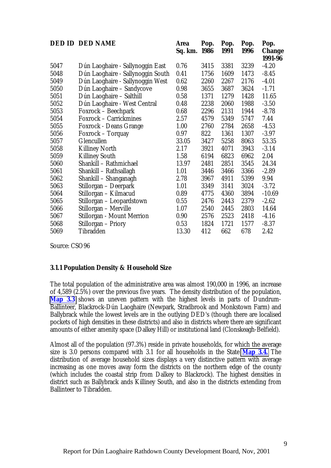<span id="page-19-0"></span>

|      | <b>DED ID DED NAME</b>            | <b>Area</b><br>Sq. km. 1986 | Pop. | Pop.<br>1991 | Pop.<br><b>1996</b> | Pop.<br><b>Change</b> |
|------|-----------------------------------|-----------------------------|------|--------------|---------------------|-----------------------|
|      |                                   |                             |      |              |                     | 1991-96               |
| 5047 | Dún Laoghaire - Sallynoggin East  | 0.76                        | 3415 | 3381         | 3239                | $-4.20$               |
| 5048 | Dún Laoghaire - Sallynoggin South | 0.41                        | 1756 | 1609         | 1473                | $-8.45$               |
| 5049 | Dún Laoghaire - Sallynoggin West  | 0.62                        | 2260 | 2267         | 2176                | $-4.01$               |
| 5050 | Dún Laoghaire - Sandycove         | 0.98                        | 3655 | 3687         | 3624                | $-1.71$               |
| 5051 | Dún Laoghaire - Salthill          | 0.58                        | 1371 | 1279         | 1428                | 11.65                 |
| 5052 | Dún Laoghaire - West Central      | 0.48                        | 2238 | 2060         | 1988                | $-3.50$               |
| 5053 | Foxrock – Beechpark               | 0.68                        | 2296 | 2131         | 1944                | $-8.78$               |
| 5054 | Foxrock - Carrickmines            | 2.57                        | 4579 | 5349         | 5747                | 7.44                  |
| 5055 | <b>Foxrock - Deans Grange</b>     | 1.00                        | 2760 | 2784         | 2658                | $-4.53$               |
| 5056 | Foxrock – Torquay                 | 0.97                        | 822  | 1361         | 1307                | $-3.97$               |
| 5057 | Glencullen                        | 33.05                       | 3427 | 5258         | 8063                | 53.35                 |
| 5058 | <b>Killiney North</b>             | 2.17                        | 3921 | 4071         | 3943                | $-3.14$               |
| 5059 | <b>Killiney South</b>             | 1.58                        | 6194 | 6823         | 6962                | 2.04                  |
| 5060 | Shankill - Rathmichael            | 13.97                       | 2481 | 2851         | 3545                | 24.34                 |
| 5061 | Shankill – Rathsallagh            | 1.01                        | 3446 | 3466         | 3366                | $-2.89$               |
| 5062 | Shankill - Shanganagh             | 2.78                        | 3967 | 4911         | 5399                | 9.94                  |
| 5063 | Stillorgan - Deerpark             | 1.01                        | 3349 | 3141         | 3024                | $-3.72$               |
| 5064 | Stillorgan - Kilmacud             | 0.89                        | 4775 | 4360         | 3894                | $-10.69$              |
| 5065 | Stillorgan - Leopardstown         | 0.55                        | 2476 | 2443         | 2379                | $-2.62$               |
| 5066 | Stillorgan – Merville             | 1.07                        | 2540 | 2445         | 2803                | 14.64                 |
| 5067 | <b>Stillorgan - Mount Merrion</b> | 0.90                        | 2576 | 2523         | 2418                | $-4.16$               |
| 5068 | Stillorgan - Priory               | 0.53                        | 1824 | 1721         | 1577                | $-8.37$               |
| 5069 | <b>Tibradden</b>                  | 13.30                       | 412  | 662          | 678                 | 2.42                  |

Source: CSO96

#### **3.1.1 Population Density & Household Size**

The total population of the administrative area was almost 190,000 in 1996, an increase of 4,589 (2.5%) over the previous five years. The density distribution of the population, **Map 3.3** shows an uneven pattern with the highest levels in parts of Dundrum-Ballinteer, Blackrock-Dún Laoghaire (Newpark, Stradbrook and Monkstown Farm) and Ballybrack while the lowest levels are in the outlying DED's (though there are localised pockets of high densities in these districts) and also in districts where there are significant amounts of either amenity space (Dalkey Hill) or institutional land (Clonskeagh-Belfield).

Almost all of the population (97.3%) reside in private households, for which the average size is 3.0 persons compared with 3.1 for all households in the State **Map 3.4.** The distribution of average household sizes displays a very distinctive pattern with average increasing as one moves away form the districts on the northern edge of the county (which includes the coastal strip from Dalkey to Blackrock). The highest densities in district such as Ballybrack ands Killiney South, and also in the districts extending from Ballinteer to Tibradden.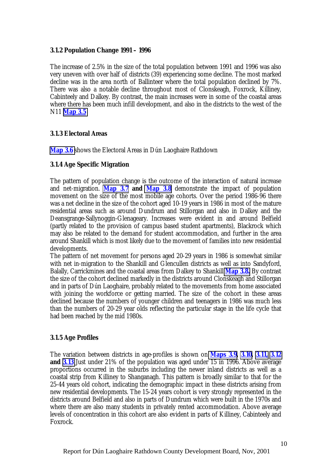#### <span id="page-20-0"></span>**3.1.2 Population Change 1991 – 1996**

The increase of 2.5% in the size of the total population between 1991 and 1996 was also very uneven with over half of districts (39) experiencing some decline. The most marked decline was in the area north of Ballinteer where the total population declined by 7%. There was also a notable decline throughout most of Clonskeagh, Foxrock, Killiney, Cabinteely and Dalkey. By contrast, the main increases were in some of the coastal areas where there has been much infill development, and also in the districts to the west of the N11 **Map 3.5**

#### **3.1.3 Electoral Areas**

**Map 3.6** shows the Electoral Areas in Dún Laoghaire Rathdown

#### **3.1.4 Age Specific Migration**

The pattern of population change is the outcome of the interaction of natural increase and net-migration. **Map 3.7 and Map 3.8** demonstrate the impact of population movement on the size of the most mobile age cohorts. Over the period 1986-96 there was a net decline in the size of the cohort aged 10-19 years in 1986 in most of the mature residential areas such as around Dundrum and Stillorgan and also in Dalkey and the Deansgrange-Sallynoggin-Glenageary. Increases were evident in and around Belfield (partly related to the provision of campus based student apartments), Blackrock which may also be related to the demand for student accommodation, and further in the area around Shankill which is most likely due to the movement of families into new residential developments.

The pattern of net movement for persons aged 20-29 years in 1986 is somewhat similar with net in-migration to the Shankill and Glencullen districts as well as into Sandyford, Balally, Carrickmines and the coastal areas from Dalkey to Shankill **Map 3.8.** By contrast the size of the cohort declined markedly in the districts around Clonskeagh and Stillorgan and in parts of Dún Laoghaire, probably related to the movements from home associated with joining the workforce or getting married. The size of the cohort in these areas declined because the numbers of younger children and teenagers in 1986 was much less than the numbers of 20-29 year olds reflecting the particular stage in the life cycle that had been reached by the mid 1980s.

#### **3.1.5 Age Profiles**

The variation between districts in age-profiles is shown on **Maps 3.9, 3.10, 3.11, 3.12 and 3.13** Just under 21% of the population was aged under 15 in 1996. Above average proportions occurred in the suburbs including the newer inland districts as well as a coastal strip from Killiney to Shanganagh. This pattern is broadly similar to that for the 25-44 years old cohort, indicating the demographic impact in these districts arising from new residential developments. The 15-24 years cohort is very strongly represented in the districts around Belfield and also in parts of Dundrum which were built in the 1970s and where there are also many students in privately rented accommodation. Above average levels of concentration in this cohort are also evident in parts of Killiney, Cabinteely and Foxrock.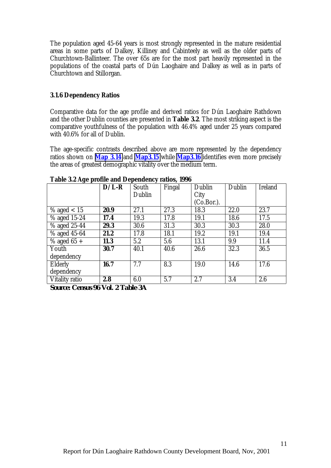<span id="page-21-0"></span>The population aged 45-64 years is most strongly represented in the mature residential areas in some parts of Dalkey, Killiney and Cabinteely as well as the older parts of Churchtown-Ballinteer. The over 65s are for the most part heavily represented in the populations of the coastal parts of Dún Laoghaire and Dalkey as well as in parts of Churchtown and Stillorgan.

#### **3.1.6 Dependency Ratios**

Comparative data for the age profile and derived ratios for Dún Laoghaire Rathdown and the other Dublin counties are presented in **Table 3.2**. The most striking aspect is the comparative youthfulness of the population with 46.4% aged under 25 years compared with 40.6% for all of Dublin.

The age-specific contrasts described above are more represented by the dependency ratios shown on **Map 3.14** and **Map3.15** while **Map3.16** identifies even more precisely the areas of greatest demographic vitality over the medium term.

| $\sigma$ $\bf{r}$        | $D/L-R$ | South  | Fingal | Dublin        | Dublin            | <b>Ireland</b> |
|--------------------------|---------|--------|--------|---------------|-------------------|----------------|
|                          |         | Dublin |        | City          |                   |                |
|                          |         |        |        | $(Co.Bor.)$ . |                   |                |
| % aged $< 15$            | 20.9    | 27.1   | 27.3   | 18.3          | 22.0              | 23.7           |
| $\frac{6}{3}$ aged 15-24 | 17.4    | 19.3   | 17.8   | 19.1          | 18.6              | 17.5           |
| $%$ aged 25-44           | 29.3    | 30.6   | 31.3   | 30.3          | 30.3              | 28.0           |
| % aged 45-64             | 21.2    | 17.8   | 18.1   | 19.2          | 19.1              | 19.4           |
| $\frac{9}{6}$ aged 65 +  | 11.3    | 5.2    | 5.6    | 13.1          | 9.9               | 11.4           |
| Youth                    | 30.7    | 40.1   | 40.6   | 26.6          | $\overline{32.3}$ | 36.5           |
| dependency               |         |        |        |               |                   |                |
| Elderly                  | 16.7    | 7.7    | 8.3    | 19.0          | 14.6              | 17.6           |
| dependency               |         |        |        |               |                   |                |
| <b>Vitality ratio</b>    | 2.8     | 6.0    | 5.7    | 2.7           | 3.4               | 2.6            |

**Table 3.2 Age profile and Dependency ratios, 1996**

*Source: Census 96 Vol. 2 Table 3A*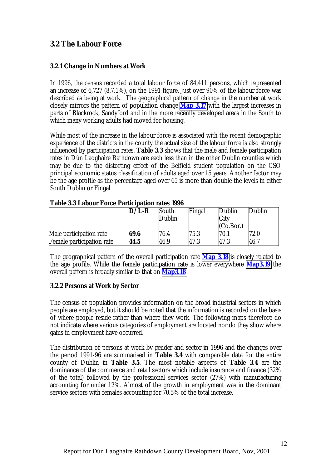## <span id="page-22-0"></span>**3.2 The Labour Force**

#### **3.2.1 Change in Numbers at Work**

In 1996, the census recorded a total labour force of 84,411 persons, which represented an increase of 6,727 (8.7.1%), on the 1991 figure. Just over 90% of the labour force was described as being at work. The geographical pattern of change in the number at work closely mirrors the pattern of population change **Map 3.17** with the largest increases in parts of Blackrock, Sandyford and in the more recently developed areas in the South to which many working adults had moved for housing.

While most of the increase in the labour force is associated with the recent demographic experience of the districts in the county the actual size of the labour force is also strongly influenced by participation rates. **Table 3.3** shows that the male and female participation rates in Dún Laoghaire Rathdown are each less than in the other Dublin counties which may be due to the distorting effect of the Belfield student population on the CSO principal economic status classification of adults aged over 15 years. Another factor may be the age profile as the percentage aged over 65 is more than double the levels in either South Dublin or Fingal.

|                                  | $D/L-R$ | South<br>Dublin | Fingal | Dublin<br>City<br>(Co.Bor.) | Dublin |
|----------------------------------|---------|-----------------|--------|-----------------------------|--------|
| Male participation rate          | 69.6    | 76.4            | 75.3   | 70.                         | 72.0   |
| <b>Female participation rate</b> | 44.5    | 46.9            | 47.3   | 47.3                        | 46.7   |

#### **Table 3.3 Labour Force Participation rates 1996**

The geographical pattern of the overall participation rate **Map 3.18** is closely related to the age profile. While the female participation rate is lower everywhere **Map3.19** the overall pattern is broadly similar to that on **Map3.18**

#### **3.2.2 Persons at Work by Sector**

The census of population provides information on the broad industrial sectors in which people are employed, but it should be noted that the information is recorded on the basis of where people reside rather than where they work. The following maps therefore do not indicate where various categories of employment are located nor do they show where gains in employment have occurred.

The distribution of persons at work by gender and sector in 1996 and the changes over the period 1991-96 are summarised in **Table 3.4** with comparable data for the entire county of Dublin in **Table 3.5**. The most notable aspects of **Table 3.4** are the dominance of the commerce and retail sectors which include insurance and finance (32% of the total) followed by the professional services sector (27%) with manufacturing accounting for under 12%. Almost of the growth in employment was in the dominant service sectors with females accounting for 70.5% of the total increase.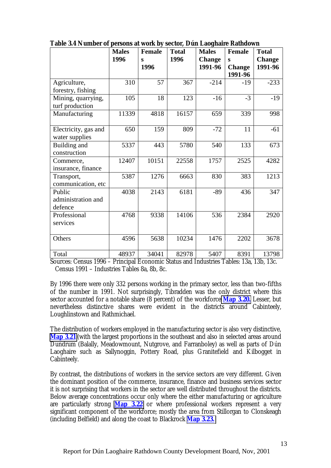|                      | <b>Males</b> | <b>Female</b> | <b>Total</b> | <b>Males</b>  | <b>Female</b> | <b>Total</b>  |
|----------------------|--------------|---------------|--------------|---------------|---------------|---------------|
|                      |              |               |              |               |               |               |
|                      | 1996         | S             | 1996         | <b>Change</b> | S             | <b>Change</b> |
|                      |              | 1996          |              | 1991-96       | <b>Change</b> | 1991-96       |
|                      |              |               |              |               | 1991-96       |               |
| Agriculture,         | 310          | 57            | 367          | $-214$        | $-19$         | $-233$        |
| forestry, fishing    |              |               |              |               |               |               |
| Mining, quarrying,   | 105          | 18            | 123          | $-16$         | $-3$          | $-19$         |
| turf production      |              |               |              |               |               |               |
| Manufacturing        | 11339        | 4818          | 16157        | 659           | 339           | 998           |
|                      |              |               |              |               |               |               |
| Electricity, gas and | 650          | 159           | 809          | $-72$         | 11            | $-61$         |
| water supplies       |              |               |              |               |               |               |
| Building and         | 5337         | 443           | 5780         | 540           | 133           | 673           |
| construction         |              |               |              |               |               |               |
| Commerce,            | 12407        | 10151         | 22558        | 1757          | 2525          | 4282          |
| insurance, finance   |              |               |              |               |               |               |
| Transport,           | 5387         | 1276          | 6663         | 830           | 383           | 1213          |
| communication, etc   |              |               |              |               |               |               |
| Public               | 4038         | 2143          | 6181         | $-89$         | 436           | 347           |
| administration and   |              |               |              |               |               |               |
| defence              |              |               |              |               |               |               |
| Professional         | 4768         | 9338          | 14106        | 536           | 2384          | 2920          |
| services             |              |               |              |               |               |               |
|                      |              |               |              |               |               |               |
| Others               | 4596         | 5638          | 10234        | 1476          | 2202          | 3678          |
|                      |              |               |              |               |               |               |
| Total                | 48937        | 34041         | 82978        | 5407          | 8391          | 13798         |

**Table 3.4 Number of persons at work by sector, Dún Laoghaire Rathdown**

Sources: Census 1996 – Principal Economic Status and Industries Tables: 13a, 13b, 13c. Census 1991 – Industries Tables 8a, 8b, 8c.

By 1996 there were only 332 persons working in the primary sector, less than two-fifths of the number in 1991. Not surprisingly, Tibradden was the only district where this sector accounted for a notable share (8 percent) of the workforce **Map 3.20.** Lesser, but nevertheless distinctive shares were evident in the districts around Cabinteely, Loughlinstown and Rathmichael.

The distribution of workers employed in the manufacturing sector is also very distinctive, **Map 3.21** (with the largest proportions in the southeast and also in selected areas around Dundrum (Balally, Meadowmount, Nutgrove, and Farranboley) as well as parts of Dún Laoghaire such as Sallynoggin, Pottery Road, plus Granitefield and Kilbogget in Cabinteely.

By contrast, the distributions of workers in the service sectors are very different. Given the dominant position of the commerce, insurance, finance and business services sector it is not surprising that workers in the sector are well distributed throughout the districts. Below average concentrations occur only where the either manufacturing or agriculture are particularly strong **Map 3.22** or where professional workers represent a very significant component of the workforce: mostly the area from Stillorgan to Clonskeagh (including Belfield) and along the coast to Blackrock **Map 3.23.**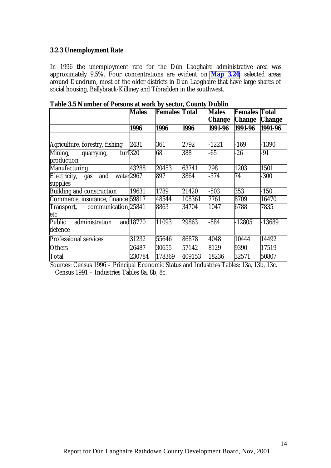#### <span id="page-24-0"></span>**3.2.3 Unemployment Rate**

In 1996 the unemployment rate for the Dún Laoghaire administrative area was approximately 9.5%. Four concentrations are evident on **Map 3.24;** selected areas around Dundrum, most of the older districts in Dún Laoghaire that have large shares of social housing, Ballybrack-Killiney and Tibradden in the southwest.

|                                                              | <b>Males</b> | <b>Females Total</b> |        | <b>Males</b> | <b>Females Total</b> |               |
|--------------------------------------------------------------|--------------|----------------------|--------|--------------|----------------------|---------------|
|                                                              |              |                      |        | Change       | <b>Change</b>        | <b>Change</b> |
|                                                              | 1996         | 1996                 | 1996   | 1991-96      | 1991-96              | 1991-96       |
|                                                              |              |                      |        |              |                      |               |
| Agriculture, forestry, fishing                               | 2431         | 361                  | 2792   | $-1221$      | $-169$               | $-1390$       |
| Mining,<br>quarrying,<br>production                          | turf320      | 68                   | 388    | $-65$        | $-26$                | -91           |
| <b>Manufacturing</b>                                         | 43288        | 20453                | 63741  | 298          | 1203                 | 1501          |
| Electricity, gas<br>and<br>water <sub>2967</sub><br>supplies |              | 897                  | 3864   | $-374$       | 74                   | $-300$        |
| Building and construction                                    | 19631        | 1789                 | 21420  | $-503$       | 353                  | $-150$        |
| Commerce, insurance, finance 59817                           |              | 48544                | 108361 | 7761         | 8709                 | 16470         |
| Transport, communication, 25841<br>etc                       |              | 8863                 | 34704  | 1047         | 6788                 | 7835          |
| <b>Public</b><br>administration<br>defence                   | and 18770    | 11093                | 29863  | 884          | $-12805$             | $-13689$      |
| Professional services                                        | 31232        | 55646                | 86878  | 4048         | 10444                | 14492         |
| <b>Others</b>                                                | 26487        | 30655                | 57142  | 8129         | 9390                 | 17519         |
| Total                                                        | 230784       | 178369               | 409153 | 18236        | 32571                | 50807         |

**Table 3.5 Number of Persons at work by sector, County Dublin**

Sources: Census 1996 – Principal Economic Status and Industries Tables: 13a, 13b, 13c. Census 1991 – Industries Tables 8a, 8b, 8c.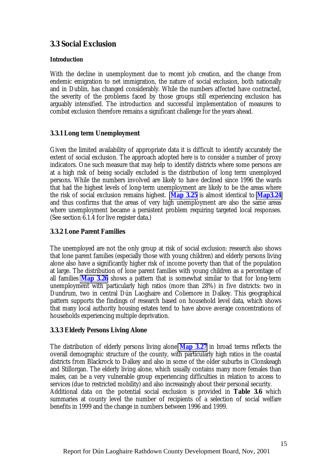## <span id="page-25-0"></span>**3.3 Social Exclusion**

#### **Introduction**

With the decline in unemployment due to recent job creation, and the change from endemic emigration to net immigration, the nature of social exclusion, both nationally and in Dublin, has changed considerably. While the numbers affected have contracted, the severity of the problems faced by those groups still experiencing exclusion has arguably intensified. The introduction and successful implementation of measures to combat exclusion therefore remains a significant challenge for the years ahead.

#### **3.3.1 Long term Unemployment**

Given the limited availability of appropriate data it is difficult to identify accurately the extent of social exclusion. The approach adopted here is to consider a number of proxy indicators. One such measure that may help to identify districts where some persons are at a high risk of being socially excluded is the distribution of long term unemployed persons. While the numbers involved are likely to have declined since 1996 the wards that had the highest levels of long-term unemployment are likely to be the areas where the risk of social exclusion remains highest. **Map 3.25** is almost identical to **Map3.24** and thus confirms that the areas of very high unemployment are also the same areas where unemployment became a persistent problem requiring targeted local responses. (See section 6.1.4 for live register data.)

#### **3.3.2 Lone Parent Families**

The unemployed are not the only group at risk of social exclusion: research also shows that lone parent families (especially those with young children) and elderly persons living alone also have a significantly higher risk of income poverty than that of the population at large. The distribution of lone parent families with young children as a percentage of all families **Map 3.26** shows a pattern that is somewhat similar to that for long-term unemployment with particularly high ratios (more than 28%) in five districts: two in Dundrum, two in central Dún Laoghaire and Coliemore in Dalkey. This geographical pattern supports the findings of research based on household level data, which shows that many local authority housing estates tend to have above average concentrations of households experiencing multiple deprivation.

#### **3.3.3 Elderly Persons Living Alone**

The distribution of elderly persons living alone **Map 3.27** in broad terms reflects the overall demographic structure of the county, with particularly high ratios in the coastal districts from Blackrock to Dalkey and also in some of the older suburbs in Clonskeagh and Stillorgan. The elderly living alone, which usually contains many more females than males, can be a very vulnerable group experiencing difficulties in relation to access to services (due to restricted mobility) and also increasingly about their personal security. Additional data on the potential social exclusion is provided in **Table 3.6** which summaries at county level the number of recipients of a selection of social welfare benefits in 1999 and the change in numbers between 1996 and 1999.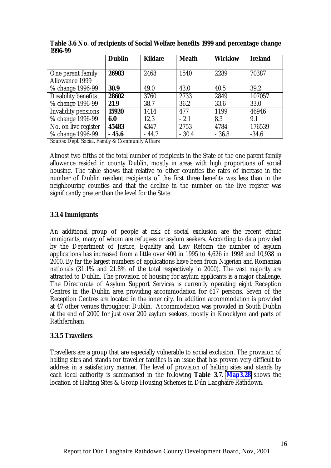|                            | <b>Dublin</b> | <b>Kildare</b> | <b>Meath</b> | <b>Wicklow</b> | <b>Ireland</b> |
|----------------------------|---------------|----------------|--------------|----------------|----------------|
|                            |               |                |              |                |                |
| One parent family          | 26983         | 2468           | 1540         | 2289           | 70387          |
| <b>Allowance 1999</b>      |               |                |              |                |                |
| % change 1996-99           | 30.9          | 49.0           | 43.0         | 40.5           | 39.2           |
| <b>Disability benefits</b> | 28602         | 3760           | 2733         | 2849           | 107057         |
| % change 1996-99           | 21.9          | 38.7           | 36.2         | 33.6           | 33.0           |
| <b>Invalidity pensions</b> | 15920         | 1414           | 477          | 1199           | 46946          |
| % change 1996-99           | 6.0           | 12.3           | $-2.1$       | 8.3            | 9.1            |
| No. on live register       | 45483         | 4347           | 2753         | 4784           | 176539         |
| % change 1996-99           | $-45.6$       | $-44.7$        | $-30.4$      | $-36.8$        | $-34.6$        |

<span id="page-26-0"></span>**Table 3.6 No. of recipients of Social Welfare benefits 1999 and percentage change 1996-99**

Source: Dept. Social, Family & Community Affairs

Almost two-fifths of the total number of recipients in the State of the one parent family allowance resided in county Dublin, mostly in areas with high proportions of social housing. The table shows that relative to other counties the rates of increase in the number of Dublin resident recipients of the first three benefits was less than in the neighbouring counties and that the decline in the number on the live register was significantly greater than the level for the State.

#### **3.3.4 Immigrants**

An additional group of people at risk of social exclusion are the recent ethnic immigrants, many of whom are refugees or asylum seekers. According to data provided by the Department of Justice, Equality and Law Reform the number of asylum applications has increased from a little over 400 in 1995 to 4,626 in 1998 and 10,938 in 2000. By far the largest numbers of applications have been from Nigerian and Romanian nationals (31.1% and 21.8% of the total respectively in 2000). The vast majority are attracted to Dublin. The provision of housing for asylum applicants is a major challenge. The Directorate of Asylum Support Services is currently operating eight Reception Centres in the Dublin area providing accommodation for 617 persons. Seven of the Reception Centres are located in the inner city. In addition accommodation is provided at 47 other venues throughout Dublin. Accommodation was provided in South Dublin at the end of 2000 for just over 200 asylum seekers, mostly in Knocklyon and parts of Rathfarnham.

#### **3.3.5 Travellers**

Travellers are a group that are especially vulnerable to social exclusion. The provision of halting sites and stands for traveller families is an issue that has proven very difficult to address in a satisfactory manner. The level of provision of halting sites and stands by each local authority is summarised in the following **Table 3.7. Map3.28** shows the location of Halting Sites & Group Housing Schemes in Dún Laoghaire Rathdown.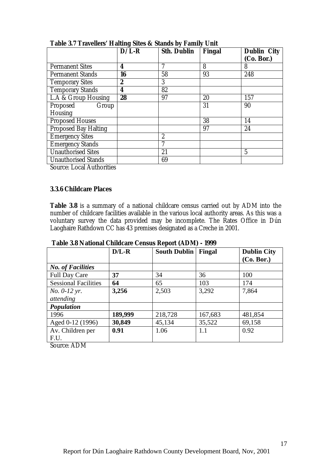|                                                                                                              | <u>ي</u><br>$D/L-R$ | <b>Sth. Dublin</b> | Fingal | <b>Dublin City</b><br>(Co. Bor.) |
|--------------------------------------------------------------------------------------------------------------|---------------------|--------------------|--------|----------------------------------|
| <b>Permanent Sites</b>                                                                                       | 4                   | 7                  | 8      | 8                                |
| <b>Permanent Stands</b>                                                                                      | 16                  | 58                 | 93     | 248                              |
| <b>Temporary Sites</b>                                                                                       | $\boldsymbol{2}$    | 3                  |        |                                  |
| <b>Temporary Stands</b>                                                                                      | 4                   | 82                 |        |                                  |
| L.A & Group Housing                                                                                          | 28                  | 97                 | 20     | 157                              |
| Proposed<br>Group                                                                                            |                     |                    | 31     | 90                               |
| <b>Housing</b>                                                                                               |                     |                    |        |                                  |
| <b>Proposed Houses</b>                                                                                       |                     |                    | 38     | 14                               |
| <b>Proposed Bay Halting</b>                                                                                  |                     |                    | 97     | 24                               |
| <b>Emergency Sites</b>                                                                                       |                     | $\overline{2}$     |        |                                  |
| <b>Emergency Stands</b>                                                                                      |                     | 7                  |        |                                  |
| <b>Unauthorised Sites</b>                                                                                    |                     | 21                 |        | $\overline{5}$                   |
| <b>Unauthorised Stands</b><br>$\alpha$ $\mathbf{r}$ $\mathbf{1}$ $\mathbf{A}$ $\mathbf{.1}$<br>$\cdot \cdot$ |                     | 69                 |        |                                  |

<span id="page-27-0"></span>**Table 3.7 Travellers' Halting Sites & Stands by Family Unit**

Source: Local Authorities

#### **3.3.6 Childcare Places**

**Table 3.8** is a summary of a national childcare census carried out by ADM into the number of childcare facilities available in the various local authority areas. As this was a voluntary survey the data provided may be incomplete. The Rates Office in Dún Laoghaire Rathdown CC has 43 premises designated as a Creche in 2001.

|                             |         | $\frac{1}{2}$              |         |                    |
|-----------------------------|---------|----------------------------|---------|--------------------|
|                             | $D/L-R$ | <b>South Dublin</b> Fingal |         | <b>Dublin City</b> |
|                             |         |                            |         | (Co. Bor.)         |
| <b>No. of Facilities</b>    |         |                            |         |                    |
| <b>Full Day Care</b>        | 37      | 34                         | 36      | 100                |
| <b>Sessional Facilities</b> | 64      | 65                         | 103     | 174                |
| <i>No.</i> 0-12 yr.         | 3,256   | 2,503                      | 3,292   | 7,864              |
| attending                   |         |                            |         |                    |
| Population                  |         |                            |         |                    |
| 1996                        | 189,999 | 218,728                    | 167,683 | 481,854            |
| Aged 0-12 (1996)            | 30,849  | 45,134                     | 35,522  | 69,158             |
| Av. Children per            | 0.91    | 1.06                       | 1.1     | 0.92               |
| F.U.                        |         |                            |         |                    |
| $\cdots$                    |         |                            |         |                    |

 **Table 3.8 National Childcare Census Report (ADM) - 1999**

Source: ADM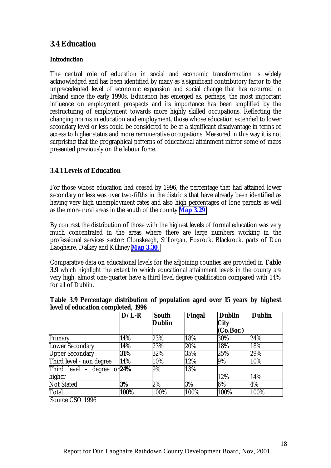## <span id="page-28-0"></span>**3.4 Education**

#### **Introduction**

The central role of education in social and economic transformation is widely acknowledged and has been identified by many as a significant contributory factor to the unprecedented level of economic expansion and social change that has occurred in Ireland since the early 1990s. Education has emerged as, perhaps, the most important influence on employment prospects and its importance has been amplified by the restructuring of employment towards more highly skilled occupations. Reflecting the changing norms in education and employment, those whose education extended to lower secondary level or less could be considered to be at a significant disadvantage in terms of access to higher status and more remunerative occupations. Measured in this way it is not surprising that the geographical patterns of educational attainment mirror some of maps presented previously on the labour force.

### **3.4.1 Levels of Education**

For those whose education had ceased by 1996, the percentage that had attained lower secondary or less was over two-fifths in the districts that have already been identified as having very high unemployment rates and also high percentages of lone parents as well as the more rural areas in the south of the county **Map 3.29**

By contrast the distribution of those with the highest levels of formal education was very much concentrated in the areas where there are large numbers working in the professional services sector; Clonskeagh, Stillorgan, Foxrock, Blackrock, parts of Dún Laoghaire, Dalkey and Killiney **Map 3.30.**

Comparative data on educational levels for the adjoining counties are provided in **Table 3.9** which highlight the extent to which educational attainment levels in the county are very high, almost one-quarter have a third level degree qualification compared with 14% for all of Dublin.

|                          | $D/L-R$ | <b>South</b>  | <b>Fingal</b> | <b>Dublin</b> | <b>Dublin</b> |
|--------------------------|---------|---------------|---------------|---------------|---------------|
|                          |         | <b>Dublin</b> |               | <b>City</b>   |               |
|                          |         |               |               | (Co.Bor.)     |               |
| Primary                  | 14%     | 23%           | 18%           | 30%           | 24%           |
| <b>Lower Secondary</b>   | 14%     | 23%           | 20%           | 18%           | 18%           |
| <b>Upper Secondary</b>   | 31%     | 32%           | 35%           | 25%           | 29%           |
| Third level - non degree | 14%     | 10%           | 12%           | 9%            | 10%           |
| Third level – degree     | or 24%  | 9%            | 13%           |               |               |
| higher                   |         |               |               | 12%           | 14%           |
| <b>Not Stated</b>        | 3%      | 2%            | 3%            | 6%            | 4%            |
| Total                    | 100%    | 100%          | 100%          | 100%          | 100%          |

**Table 3.9 Percentage distribution of population aged over 15 years by highest level of education completed, 1996**

Source CSO 1996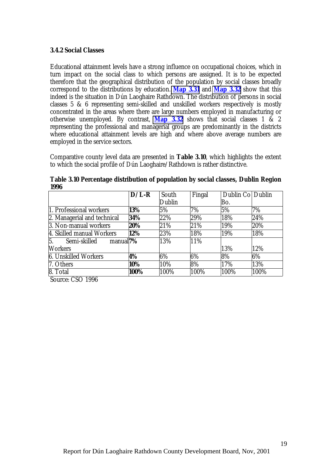#### <span id="page-29-0"></span>**3.4.2 Social Classes**

Educational attainment levels have a strong influence on occupational choices, which in turn impact on the social class to which persons are assigned. It is to be expected therefore that the geographical distribution of the population by social classes broadly correspond to the distributions by education. **Map 3.31** and **Map 3.32** show that this indeed is the situation in Dún Laoghaire Rathdown. The distribution of persons in social classes 5 & 6 representing semi-skilled and unskilled workers respectively is mostly concentrated in the areas where there are large numbers employed in manufacturing or otherwise unemployed. By contrast, **Map 3.32** shows that social classes 1 & 2 representing the professional and managerial groups are predominantly in the districts where educational attainment levels are high and where above average numbers are employed in the service sectors.

Comparative county level data are presented in **Table 3.10**, which highlights the extent to which the social profile of Dún Laoghaire/Rathdown is rather distinctive.

|                                            | $D/L-R$ | South  | Fingal | Dublin Co Dublin |       |
|--------------------------------------------|---------|--------|--------|------------------|-------|
|                                            |         | Dublin |        | Bo.              |       |
| 1. Professional workers                    | 13%     | 5%     | 7%     | 5%               | 7%    |
| 2. Managerial and technical                | 34%     | 22%    | 29%    | 18%              | 24%   |
| 3. Non-manual workers                      | 20%     | 21%    | 21%    | 19%              | 20%   |
| 4. Skilled manual Workers                  | 12%     | 23%    | 18%    | 19%              | 18%   |
| 5.<br>manual <sup>7%</sup><br>Semi-skilled |         | 13%    | 11%    |                  |       |
| <b>Workers</b>                             |         |        |        | 13%              | 12%   |
| <b>6. Unskilled Workers</b>                | 4%      | 6%     | 6%     | 8%               | $6\%$ |
| 7. Others                                  | 10%     | 10%    | 8%     | 17%              | 13%   |
| 8. Total                                   | 100%    | 100%   | 100%   | 100%             | 100%  |

**Table 3.10 Percentage distribution of population by social classes, Dublin Region 1996**

Source: CSO 1996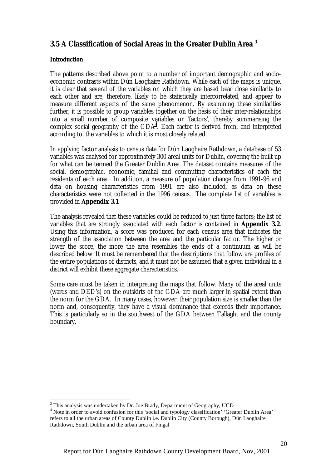## <span id="page-30-0"></span>**3.5 A Classification of Social Areas in the Greater Dublin Area 3**

#### **Introduction**

 $\overline{a}$ 

The patterns described above point to a number of important demographic and socioeconomic contrasts within Dún Laoghaire Rathdown. While each of the maps is unique, it is clear that several of the variables on which they are based bear close similarity to each other and are, therefore, likely to be statistically intercorrelated, and appear to measure different aspects of the same phenomenon. By examining these similarities further, it is possible to group variables together on the basis of their inter-relationships into a small number of composite variables or 'factors', thereby summarising the complex social geography of the GDA<sup>4</sup>. Each factor is derived from, and interpreted according to, the variables to which it is most closely related.

In applying factor analysis to census data for Dún Laoghaire Rathdown, a database of 53 variables was analysed for approximately 300 areal units for Dublin, covering the built up for what can be termed the Greater Dublin Area. The dataset contains measures of the social, demographic, economic, familial and commuting characteristics of each the residents of each area. In addition, a measure of population change from 1991-96 and data on housing characteristics from 1991 are also included, as data on these characteristics were not collected in the 1996 census. The complete list of variables is provided in **Appendix 3.1**

The analysis revealed that these variables could be reduced to just three factors; the list of variables that are strongly associated with each factor is contained in **Appendix 3.2**. Using this information, a score was produced for each census area that indicates the strength of the association between the area and the particular factor. The higher or lower the score, the more the area resembles the ends of a continuum as will be described below. It must be remembered that the descriptions that follow are profiles of the entire populations of districts, and it must not be assumed that a given individual in a district will exhibit these aggregate characteristics.

Some care must be taken in interpreting the maps that follow. Many of the areal units (wards and DED's) on the outskirts of the GDA are much larger in spatial extent than the norm for the GDA. In many cases, however, their population size is smaller than the norm and, consequently, they have a visual dominance that exceeds their importance. This is particularly so in the southwest of the GDA between Tallaght and the county boundary.

<sup>&</sup>lt;sup>3</sup> This analysis was undertaken by Dr. Joe Brady, Department of Geography, UCD

<sup>&</sup>lt;sup>4</sup> Note in order to avoid confusion for this 'social and typology classification' 'Greater Dublin Area' refers to all the urban areas of County Dublin i.e. Dublin City (County Borough), Dún Laoghaire Rathdown, South Dublin and the urban area of Fingal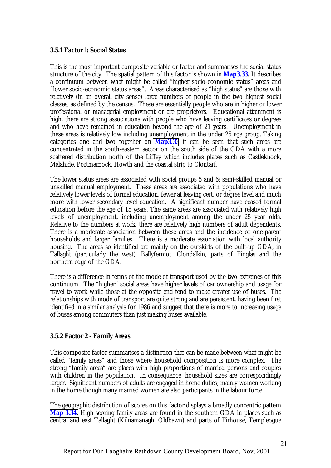#### <span id="page-31-0"></span>**3.5.1 Factor 1: Social Status**

This is the most important composite variable or factor and summarises the social status structure of the city. The spatial pattern of this factor is shown in **Map3.33.** It describes a continuum between what might be called "higher socio-economic status" areas and "lower socio-economic status areas". Areas characterised as "high status" are those with relatively (in an overall city sense) large numbers of people in the two highest social classes, as defined by the census. These are essentially people who are in higher or lower professional or managerial employment or are proprietors. Educational attainment is high; there are strong associations with people who have leaving certificates or degrees and who have remained in education beyond the age of 21 years. Unemployment in these areas is relatively low including unemployment in the under 25 age group. Taking categories one and two together on **Map3.33** it can be seen that such areas are concentrated in the south-eastern sector on the south side of the GDA with a more scattered distribution north of the Liffey which includes places such as Castleknock, Malahide, Portmarnock, Howth and the coastal strip to Clontarf.

The lower status areas are associated with social groups 5 and 6; semi-skilled manual or unskilled manual employment. These areas are associated with populations who have relatively lower levels of formal education, fewer at leaving cert. or degree level and much more with lower secondary level education. A significant number have ceased formal education before the age of 15 years. The same areas are associated with relatively high levels of unemployment, including unemployment among the under 25 year olds. Relative to the numbers at work, there are relatively high numbers of adult dependents. There is a moderate association between these areas and the incidence of one-parent households and larger families. There is a moderate association with local authority housing. The areas so identified are mainly on the outskirts of the built-up GDA, in Tallaght (particularly the west), Ballyfermot, Clondalkin, parts of Finglas and the northern edge of the GDA.

There is a difference in terms of the mode of transport used by the two extremes of this continuum. The "higher" social areas have higher levels of car ownership and usage for travel to work while those at the opposite end tend to make greater use of buses. The relationships with mode of transport are quite strong and are persistent, having been first identified in a similar analysis for 1986 and suggest that there is more to increasing usage of buses among commuters than just making buses available.

#### **3.5.2 Factor 2 - Family Areas**

This composite factor summarises a distinction that can be made between what might be called "family areas" and those where household composition is more complex. The strong "family areas" are places with high proportions of married persons and couples with children in the population. In consequence, household sizes are correspondingly larger. Significant numbers of adults are engaged in home duties; mainly women working in the home though many married women are also participants in the labour force.

The geographic distribution of scores on this factor displays a broadly concentric pattern **Map 3.34.** High scoring family areas are found in the southern GDA in places such as central and east Tallaght (Kilnamanagh, Oldbawn) and parts of Firhouse, Templeogue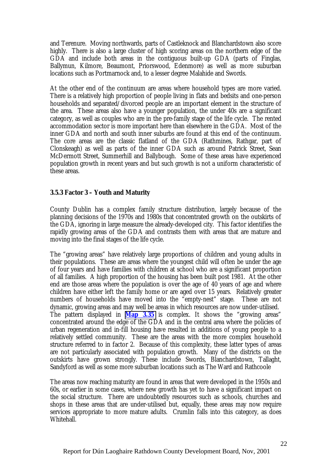<span id="page-32-0"></span>and Terenure. Moving northwards, parts of Castleknock and Blanchardstown also score highly. There is also a large cluster of high scoring areas on the northern edge of the GDA and include both areas in the contiguous built-up GDA (parts of Finglas, Ballymun, Kilmore, Beaumont, Priorswood, Edenmore) as well as more suburban locations such as Portmarnock and, to a lesser degree Malahide and Swords.

At the other end of the continuum are areas where household types are more varied. There is a relatively high proportion of people living in flats and bedsits and one-person households and separated/divorced people are an important element in the structure of the area. These areas also have a younger population, the under 40s are a significant category, as well as couples who are in the pre-family stage of the life cycle. The rented accommodation sector is more important here than elsewhere in the GDA. Most of the inner GDA and north and south inner suburbs are found at this end of the continuum. The core areas are the classic flatland of the GDA (Rathmines, Rathgar, part of Clonskeagh) as well as parts of the inner GDA such as around Patrick Street, Sean McDermott Street, Summerhill and Ballybough. Some of these areas have experienced population growth in recent years and but such growth is not a uniform characteristic of these areas.

#### **3.5.3 Factor 3 – Youth and Maturity**

County Dublin has a complex family structure distribution, largely because of the planning decisions of the 1970s and 1980s that concentrated growth on the outskirts of the GDA, ignoring in large measure the already-developed city. This factor identifies the rapidly growing areas of the GDA and contrasts them with areas that are mature and moving into the final stages of the life cycle.

The "growing areas" have relatively large proportions of children and young adults in their populations. These are areas where the youngest child will often be under the age of four years and have families with children at school who are a significant proportion of all families. A high proportion of the housing has been built post 1981. At the other end are those areas where the population is over the age of 40 years of age and where children have either left the family home or are aged over 15 years. Relatively greater numbers of households have moved into the "empty-nest" stage. These are not dynamic, growing areas and may well be areas in which resources are now under-utilised. The pattern displayed in **Map 3.35** is complex. It shows the "growing areas" concentrated around the edge of the GDA and in the central area where the policies of urban regeneration and in-fill housing have resulted in additions of young people to a relatively settled community. These are the areas with the more complex household structure referred to in factor 2. Because of this complexity, these latter types of areas are not particularly associated with population growth. Many of the districts on the outskirts have grown strongly. These include Swords, Blanchardstown, Tallaght, Sandyford as well as some more suburban locations such as The Ward and Rathcoole

The areas now reaching maturity are found in areas that were developed in the 1950s and 60s, or earlier in some cases, where new growth has yet to have a significant impact on the social structure. There are undoubtedly resources such as schools, churches and shops in these areas that are under-utilised but, equally, these areas may now require services appropriate to more mature adults. Crumlin falls into this category, as does Whitehall.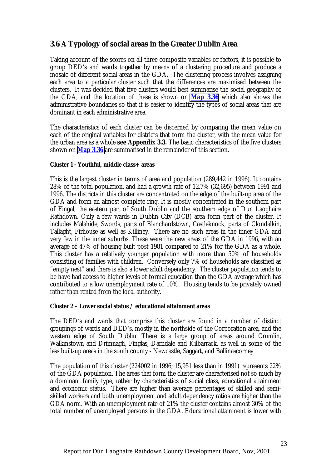## <span id="page-33-0"></span>**3.6 A Typology of social areas in the Greater Dublin Area**

Taking account of the scores on all three composite variables or factors, it is possible to group DED's and wards together by means of a clustering procedure and produce a mosaic of different social areas in the GDA. The clustering process involves assigning each area to a particular cluster such that the differences are maximised between the clusters. It was decided that five clusters would best summarise the social geography of the GDA, and the location of these is shown on **Map 3.36** which also shows the administrative boundaries so that it is easier to identify the types of social areas that are dominant in each administrative area.

The characteristics of each cluster can be discerned by comparing the mean value on each of the original variables for districts that form the cluster, with the mean value for the urban area as a whole **see Appendix 3.3.** The basic characteristics of the five clusters shown on **Map 3.36** are summarised in the remainder of this section.

#### **Cluster 1 - Youthful, middle class+ areas**

This is the largest cluster in terms of area and population (289,442 in 1996). It contains 28% of the total population, and had a growth rate of 12.7% (32,695) between 1991 and 1996. The districts in this cluster are concentrated on the edge of the built-up area of the GDA and form an almost complete ring. It is mostly concentrated in the southern part of Fingal, the eastern part of South Dublin and the southern edge of Dún Laoghaire Rathdown. Only a few wards in Dublin City (DCB) area form part of the cluster. It includes Malahide, Swords, parts of Blanchardstown, Castleknock, parts of Clondalkin, Tallaght, Firhouse as well as Killiney. There are no such areas in the inner GDA and very few in the inner suburbs. These were the new areas of the GDA in 1996, with an average of 47% of housing built post 1981 compared to 21% for the GDA as a whole. This cluster has a relatively younger population with more than 50% of households consisting of families with children. Conversely only 7% of households are classified as "empty nest" and there is also a lower adult dependency. The cluster population tends to be have had access to higher levels of formal education than the GDA average which has contributed to a low unemployment rate of 10%. Housing tends to be privately owned rather than rented from the local authority.

#### **Cluster 2 – Lower social status / educational attainment areas**

The DED's and wards that comprise this cluster are found in a number of distinct groupings of wards and DED's, mostly in the northside of the Corporation area, and the western edge of South Dublin. There is a large group of areas around Crumlin, Walkinstown and Drimnagh, Finglas, Darndale and Kilbarrack, as well in some of the less built-up areas in the south county - Newcastle, Saggart, and Ballinascorney

The population of this cluster (224002 in 1996; 15,951 less than in 1991) represents 22% of the GDA population. The areas that form the cluster are characterised not so much by a dominant family type, rather by characteristics of social class, educational attainment and economic status. There are higher than average percentages of skilled and semiskilled workers and both unemployment and adult dependency ratios are higher than the GDA norm. With an unemployment rate of 21% the cluster contains almost 30% of the total number of unemployed persons in the GDA. Educational attainment is lower with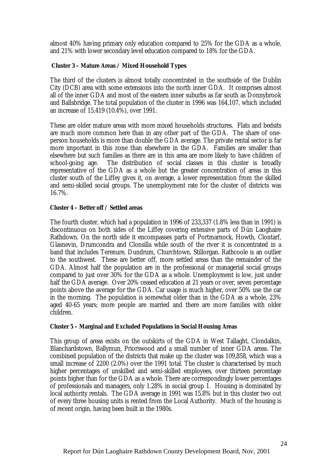almost 40% having primary only education compared to 25% for the GDA as a whole, and 21% with lower secondary level education compared to 18% for the GDA.

#### **Cluster 3 – Mature Areas / Mixed Household Types**

The third of the clusters is almost totally concentrated in the southside of the Dublin City (DCB) area with some extensions into the north inner GDA. It comprises almost all of the inner GDA and most of the eastern inner suburbs as far south as Donnybrook and Ballsbridge. The total population of the cluster in 1996 was 164,107, which included an increase of 15,419 (10.4%), over 1991.

These are older mature areas with more mixed households structures. Flats and bedsits are much more common here than in any other part of the GDA. The share of oneperson households is more than double the GDA average. The private rental sector is far more important in this zone than elsewhere in the GDA. Families are smaller than elsewhere but such families as there are in this area are more likely to have children of school-going age. The distribution of social classes in this cluster is broadly representative of the GDA as a whole but the greater concentration of areas in this cluster south of the Liffey gives it, on average, a lower representation from the skilled and semi-skilled social groups. The unemployment rate for the cluster of districts was 16.7%.

#### **Cluster 4 – Better off / Settled areas**

The fourth cluster, which had a population in 1996 of 233,337 (1.8% less than in 1991) is discontinuous on both sides of the Liffey covering extensive parts of Dún Laoghaire Rathdown. On the north side it encompasses parts of Portmarnock, Howth, Clontarf, Glasnevin, Drumcondra and Clonsilla while south of the river it is concentrated in a band that includes Terenure, Dundrum, Churchtown, Stillorgan. Rathcoole is an outlier to the southwest. These are better off, more settled areas than the remainder of the GDA. Almost half the population are in the professional or managerial social groups compared to just over 30% for the GDA as a whole. Unemployment is low, just under half the GDA average. Over 20% ceased education at 21 years or over, seven percentage points above the average for the GDA. Car usage is much higher, over 50% use the car in the morning. The population is somewhat older than in the GDA as a whole, 23% aged 40-65 years; more people are married and there are more families with older children.

#### **Cluster 5 – Marginal and Excluded Populations in Social Housing Areas**

This group of areas exists on the outskirts of the GDA in West Tallaght, Clondalkin, Blanchardstown, Ballymun, Priorswood and a small number of inner GDA areas. The combined population of the districts that make up the cluster was 109,858, which was a small increase of 2200 (2.0%) over the 1991 total. The cluster is characterised by much higher percentages of unskilled and semi-skilled employees, over thirteen percentage points higher than for the GDA as a whole. There are correspondingly lower percentages of professionals and managers, only 1.28% in social group 1. Housing is dominated by local authority rentals. The GDA average in 1991 was 15.8% but in this cluster two out of every three housing units is rented from the Local Authority. Much of the housing is of recent origin, having been built in the 1980s.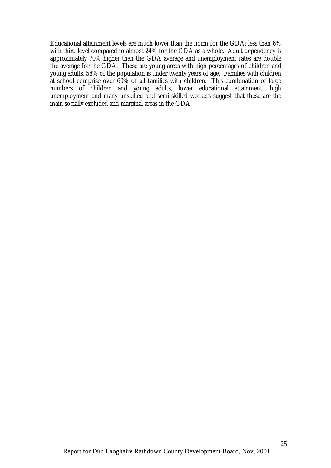Educational attainment levels are much lower than the norm for the GDA; less than 6% with third level compared to almost 24% for the GDA as a whole. Adult dependency is approximately 70% higher than the GDA average and unemployment rates are double the average for the GDA. These are young areas with high percentages of children and young adults, 58% of the population is under twenty years of age. Families with children at school comprise over 60% of all families with children. This combination of large numbers of children and young adults, lower educational attainment, high unemployment and many unskilled and semi-skilled workers suggest that these are the main socially excluded and marginal areas in the GDA.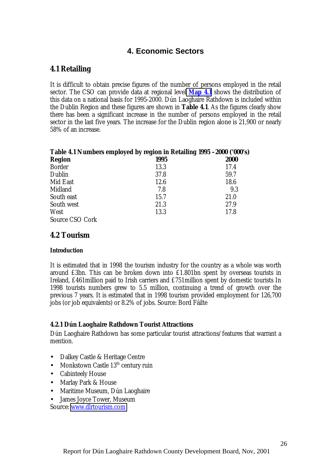### **4. Economic Sectors**

#### **4.1 Retailing**

It is difficult to obtain precise figures of the number of persons employed in the retail sector. The CSO can provide data at regional level **Map 4.1** shows the distribution of this data on a national basis for 1995-2000. Dún Laoghaire Rathdown is included within the Dublin Region and these figures are shown in **Table 4.1**. As the figures clearly show there has been a significant increase in the number of persons employed in the retail sector in the last five years. The increase for the Dublin region alone is 21,900 or nearly 58% of an increase.

| Table 4.1 Numbers employed by region in Retailing 1995 -2000 ('000's) |      |             |  |  |  |  |
|-----------------------------------------------------------------------|------|-------------|--|--|--|--|
| <b>Region</b>                                                         | 1995 | <b>2000</b> |  |  |  |  |
| <b>Border</b>                                                         | 13.3 | 17.4        |  |  |  |  |
| Dublin                                                                | 37.8 | 59.7        |  |  |  |  |
| Mid East                                                              | 12.6 | 18.6        |  |  |  |  |
| Midland                                                               | 7.8  | 9.3         |  |  |  |  |
| South east                                                            | 15.7 | 21.0        |  |  |  |  |
| South west                                                            | 21.3 | 27.9        |  |  |  |  |
| West                                                                  | 13.3 | 17.8        |  |  |  |  |
| Source CSO Cork                                                       |      |             |  |  |  |  |

#### **4.2 Tourism**

#### **Introduction**

It is estimated that in 1998 the tourism industry for the country as a whole was worth around £3bn. This can be broken down into £1.801bn spent by overseas tourists in Ireland, £461million paid to Irish carriers and £751million spent by domestic tourists In 1998 tourists numbers grew to 5.5 million, continuing a trend of growth over the previous 7 years. It is estimated that in 1998 tourism provided employment for 126,700 jobs (or job equivalents) or 8.2% of jobs. Source: Bord Fáilte

#### **4.2.1 Dún Laoghaire Rathdown Tourist Attractions**

Dún Laoghaire Rathdown has some particular tourist attractions/features that warrant a mention.

- Dalkey Castle & Heritage Centre
- Monkstown Castle  $13<sup>th</sup>$  century ruin
- Cabinteely House
- Marlay Park & House
- Maritime Museum, Dún Laoghaire
- James Joyce Tower, Museum

Source: [www.dlrtourism.com](http://www.dlrtourism.com/)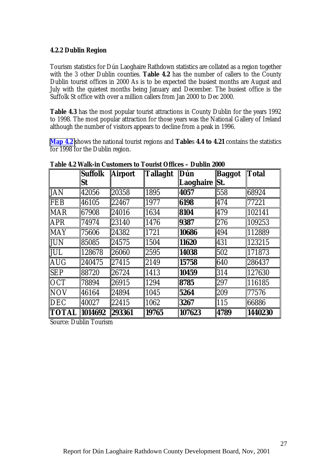#### **4.2.2 Dublin Region**

Tourism statistics for Dún Laoghaire Rathdown statistics are collated as a region together with the 3 other Dublin counties. **Table 4.2** has the number of callers to the County Dublin tourist offices in 2000 As is to be expected the busiest months are August and July with the quietest months being January and December. The busiest office is the Suffolk St office with over a million callers from Jan 2000 to Dec 2000.

**Table 4.3** has the most popular tourist attractions in County Dublin for the years 1992 to 1998. The most popular attraction for those years was the National Gallery of Ireland although the number of visitors appears to decline from a peak in 1996.

**Map 4.2** shows the national tourist regions and **Table**s **4.4 to 4.21** contains the statistics for 1998 for the Dublin region.

|                  | <b>Suffolk</b> | <b>Airport</b> | <b>Tallaght</b> | Dún              | <b>Baggot</b> | <b>Total</b> |
|------------------|----------------|----------------|-----------------|------------------|---------------|--------------|
|                  | <b>St</b>      |                |                 | <b>Laoghaire</b> | <b>St.</b>    |              |
| <b>JAN</b>       | 42056          | 20358          | 1895            | 4057             | 558           | 68924        |
| <b>FEB</b>       | 46105          | 22467          | 1977            | 6198             | 474           | 77221        |
| <b>MAR</b>       | 67908          | 24016          | 1634            | 8104             | 479           | 102141       |
| APR              | 174974         | 23140          | 1476            | 9387             | 276           | 109253       |
| <b>MAY</b>       | 175606         | 24382          | 1721            | 10686            | 494           | 112889       |
| JUN              | 85085          | 24575          | 1504            | 11620            | 431           | 123215       |
| JUL              | 128678         | 26060          | 2595            | 14038            | 502           | 171873       |
| AUG              | 240475         | 27415          | 2149            | 15758            | 640           | 286437       |
| <b>SEP</b>       | 188720         | 26724          | 1413            | 10459            | 314           | 127630       |
| <b>OCT</b>       | 78894          | 26915          | 1294            | 8785             | 297           | 116185       |
| <b>NOV</b>       | 46164          | 24894          | 1045            | 5264             | 209           | 77576        |
| $\overline{DEC}$ | 40027          | 22415          | 1062            | 3267             | 115           | 66886        |
| <b>TOTAL</b>     | 1014692        | 293361         | 19765           | 107623           | 4789          | 1440230      |

**Table 4.2 Walk-in Customers to Tourist Offices – Dublin 2000**

Source: Dublin Tourism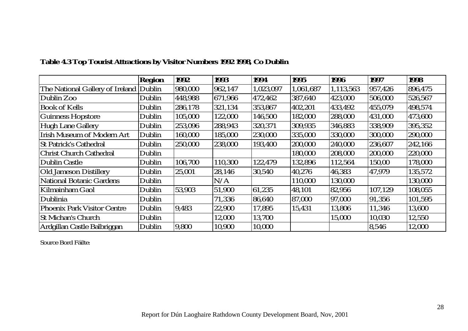|                                        | <b>Region</b> | 1992    | 1993    | 1994      | 1995      | 1996      | 1997    | 1998    |
|----------------------------------------|---------------|---------|---------|-----------|-----------|-----------|---------|---------|
| The National Gallery of Ireland Dublin |               | 980,000 | 962,147 | 1,023,097 | 1,061,687 | 1,113,563 | 957,426 | 896,475 |
| Dublin Zoo                             | Dublin        | 448,988 | 671,966 | 472,462   | 387,640   | 423,000   | 506,000 | 526,567 |
| <b>Book of Kells</b>                   | Dublin        | 286,178 | 321,134 | 353,867   | 402,201   | 433,492   | 455,079 | 498,574 |
| <b>Guinness Hopstore</b>               | Dublin        | 105,000 | 122,000 | 146,500   | 182,000   | 288,000   | 431,000 | 473,600 |
| Hugh Lane Gallery                      | Dublin        | 253,096 | 288,943 | 320,371   | 309,935   | 346,883   | 338,909 | 395,352 |
| <b>Irish Museum of Modern Art</b>      | Dublin        | 160,000 | 185,000 | 230,000   | 335,000   | 330,000   | 300,000 | 290,000 |
| <b>St Patrick's Cathedral</b>          | Dublin        | 250,000 | 238,000 | 193,400   | 200,000   | 240,000   | 236,607 | 242,166 |
| <b>Christ Church Cathedral</b>         | Dublin        |         |         |           | 180,000   | 208,000   | 200,000 | 220,000 |
| <b>Dublin Castle</b>                   | Dublin        | 106,700 | 110,300 | 122,479   | 132,896   | 112,564   | 150,00  | 178,000 |
| <b>Old Jameson Distillery</b>          | Dublin        | 25,001  | 28,146  | 30,540    | 40,276    | 46,383    | 47,979  | 135,572 |
| <b>National Botanic Gardens</b>        | Dublin        |         | N/A     |           | 110,000   | 130,000   |         | 130,000 |
| Kilmainham Gaol                        | Dublin        | 53,903  | 51,900  | 61,235    | 48,101    | 82,956    | 107,129 | 108,055 |
| Dublinia                               | Dublin        |         | 71,336  | 86,640    | 87,000    | 97,000    | 91,356  | 101,595 |
| <b>Phoenix Park Visitor Centre</b>     | Dublin        | 9.483   | 22,900  | 17,895    | 15,431    | 13,806    | 11,346  | 13,600  |
| <b>St Michan's Church</b>              | Dublin        |         | 12,000  | 13,700    |           | 15,000    | 10,030  | 12,550  |
| Ardgillan Castle Balbriggan            | Dublin        | 9,800   | 10,900  | 10,000    |           |           | 8,546   | 12,000  |

## **Table 4.3 Top Tourist Attractions by Visitor Numbers 1992 1998, Co Dublin**

Source Bord Fáilte: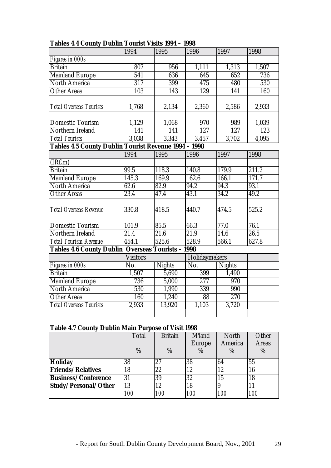|                                                          | 1994              | 1995          | 1996              | 1997          | 1998  |
|----------------------------------------------------------|-------------------|---------------|-------------------|---------------|-------|
| Figures in 000s                                          |                   |               |                   |               |       |
| <b>Britain</b>                                           | 807               | 956           | 1,111             | 1,313         | 1,507 |
| <b>Mainland Europe</b>                                   | $\overline{541}$  | 636           | 645               | 652           | 736   |
| <b>North America</b>                                     | $\overline{317}$  | 399           | 475               | 480           | 530   |
| <b>Other Areas</b>                                       | 103               | 143           | 129               | 141           | 160   |
|                                                          |                   |               |                   |               |       |
| Total Overseas Tourists                                  | 1,768             | 2,134         | 2,360             | 2,586         | 2,933 |
|                                                          |                   |               |                   |               |       |
| <b>Domestic Tourism</b>                                  | 1,129             | 1,068         | 970               | 989           | 1,039 |
| Northern Ireland                                         | 141               | 141           | 127               | 127           | 123   |
| <b>Total Tourists</b>                                    | 3,038             | 3,343         | 3,457             | 3,702         | 4,095 |
| Tables 4.5 County Dublin Tourist Revenue 1994 - 1998     |                   |               |                   |               |       |
|                                                          | 1994              | 1995          | 1996              | 1997          | 1998  |
| (IRfm)                                                   |                   |               |                   |               |       |
| <b>Britain</b>                                           | 99.5              | 118.3         | 140.8             | 179.9         | 211.2 |
| <b>Mainland Europe</b>                                   | 145.3             | 169.9         | 162.6             | 166.1         | 171.7 |
| <b>North America</b>                                     | $\overline{62.6}$ | 82.9          | $94.\overline{2}$ | 94.3          | 93.1  |
| <b>Other Areas</b>                                       | 23.4              | 47.4          | 43.1              | 34.2          | 49.2  |
|                                                          |                   |               |                   |               |       |
| <b>Total Overseas Revenue</b>                            | 330.8             | 418.5         | 440.7             | 474.5         | 525.2 |
|                                                          |                   |               |                   |               |       |
| <b>Domestic Tourism</b>                                  | 101.9             | 85.5          | 66.3              | 77.0          | 76.1  |
| Northern Ireland                                         | 21.4              | 21.6          | 21.9              | 14.6          | 26.5  |
| <b>Total Tourism Revenue</b>                             | 454.1             | 525.6         | 528.9             | 566.1         | 627.8 |
| <b>Tables 4.6 County Dublin Overseas Tourists - 1998</b> |                   |               |                   |               |       |
|                                                          | <b>Visitors</b>   |               | Holidaymakers     |               |       |
| Figures in 000s                                          | No.               | <b>Nights</b> | No.               | <b>Nights</b> |       |
| <b>Britain</b>                                           | 1,507             | 5,690         | 399               | 1,490         |       |
| <b>Mainland Europe</b>                                   | 736               | 5,000         | 277               | 970           |       |
| <b>North America</b>                                     | 530               | 1,990         | 339               | 990           |       |
| <b>Other Areas</b>                                       | 160               | 1,240         | 88                | 270           |       |
| <b>Total Overseas Tourists</b>                           | 2,933             | 13,920        | 1,103             | 3,720         |       |
|                                                          |                   |               |                   |               |       |

#### **Tables 4.4 County Dublin Tourist Visits 1994 – 1998**

#### **Table 4.7 County Dublin Main Purpose of Visit 1998**

|                            | <b>Total</b> | <b>Britain</b> | M'land | North      | Other        |
|----------------------------|--------------|----------------|--------|------------|--------------|
|                            |              |                | Europe | America    | <b>Areas</b> |
|                            | $\%$         | $\%$           | $\%$   | $\%$       | $\%$         |
| <b>Holiday</b>             | 38           | 27             | 38     | 64         | 55           |
| <b>Friends/Relatives</b>   | 18           | 22             | 12     | 12         | 16           |
| <b>Business/Conference</b> | 31           | 39             | 32     | 15         | 18           |
| Study/Personal/Other       | 13           | 12             | 18     |            |              |
|                            | <i>100</i>   | <i>100</i>     | 100    | <i>100</i> | <i>100</i>   |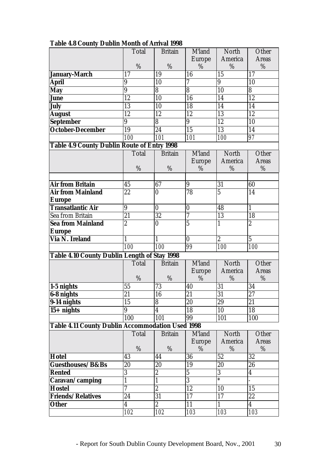|                                                         | Total            | <b>Britain</b>          | M'land                    | North          | Other            |
|---------------------------------------------------------|------------------|-------------------------|---------------------------|----------------|------------------|
|                                                         |                  |                         | <b>Europe</b>             | America        | <b>Areas</b>     |
|                                                         | %                | %                       | %                         | %              | %                |
| January-March                                           | 17               | 19                      | 16                        | 15             | 17               |
| <b>April</b>                                            | 9                | 10                      | 7                         | 9              | 10               |
| <b>May</b>                                              | $\boldsymbol{9}$ | 8                       | $\overline{8}$            | 10             | $\overline{8}$   |
| <b>June</b>                                             | 12               | 10                      | 16                        | 14             | 12               |
| <b>July</b>                                             | 13               | 10                      | 18                        | 14             | 14               |
| <b>August</b>                                           | 12               | 12                      | 12                        | 13             | 12               |
| <b>September</b>                                        | 9                | 8                       | 9                         | 12             | 10               |
| <b>October-December</b>                                 | 19               | $\overline{24}$         | 15                        | 13             | 14               |
|                                                         | 100              | 101                     | 101                       | 100            | 97               |
| Table 4.9 County Dublin Route of Entry 1998             |                  |                         |                           |                |                  |
|                                                         | Total            | <b>Britain</b>          | <b>M</b> <sup>l</sup> and | North          | Other            |
|                                                         |                  |                         | <b>Europe</b>             | <b>America</b> | <b>Areas</b>     |
|                                                         | %                | %                       | %                         | $\%$           | $\%$             |
|                                                         |                  |                         |                           |                |                  |
| <b>Air from Britain</b>                                 | 45               | 67                      | 9                         | 31             | 60               |
| <b>Air from Mainland</b>                                | 22               | $\bf{0}$                | 78                        | $\overline{5}$ | 14               |
| <b>Europe</b>                                           |                  |                         |                           |                |                  |
| <b>Transatlantic Air</b>                                | 9                | $\bf{0}$                | $\bf{0}$                  | 48             | 1                |
| Sea from Britain                                        | 21               | 32                      | 7                         | 13             | 18               |
| <b>Sea from Mainland</b>                                | $\overline{2}$   | 0                       | $\overline{5}$            | $\mathbf{1}$   | $\overline{c}$   |
| <b>Europe</b>                                           |                  |                         |                           |                |                  |
| <b>Via N. Ireland</b>                                   | 1                | $\mathbf{1}$            | $\bf{0}$                  | $\overline{c}$ | $\overline{5}$   |
|                                                         | 100              | 100                     | 99                        | 100            | 100              |
| <b>Table 4.10 County Dublin Length of Stay 1998</b>     |                  |                         |                           |                |                  |
|                                                         | Total            | <b>Britain</b>          | M'land                    | North          | Other            |
|                                                         |                  |                         | <b>Europe</b>             | America        | <b>Areas</b>     |
|                                                         | %                | %                       | %                         | %              | %                |
| $\vert$ 1-5 nights                                      | 55               | 73                      | 40                        | 31             | 34               |
| 6-8 nights                                              | $\overline{21}$  | 16                      | 21                        | 31             | 27               |
| $9-14$ nights                                           | 15               | 8                       | 20                        | 29             | 21               |
| $15+$ nights                                            | 9                | $\overline{\mathbf{4}}$ | $\overline{18}$           | 10             | $\overline{18}$  |
|                                                         | 100              | 101                     | 99                        | 101            | 100              |
| <b>Table 4.11 County Dublin Accommodation Used 1998</b> |                  |                         |                           |                |                  |
|                                                         | Total            | <b>Britain</b>          | M'land                    | North          | Other            |
|                                                         |                  |                         | <b>Europe</b>             | America        | <b>Areas</b>     |
|                                                         | $\%$             | %                       | %                         | %              | %                |
| Hotel                                                   | 43               | 44                      | 36                        | 52             | 32               |
| Guesthouses/B&Bs                                        | 20               | 20                      | 19                        | 20             | 26               |
| <b>Rented</b>                                           | 3                | $\overline{2}$          | $\overline{5}$            | $\overline{3}$ | $\boldsymbol{4}$ |
| Caravan/camping                                         | 1                | $\mathbf{1}$            | $\overline{3}$            | $\ast$         |                  |
| <b>Hostel</b>                                           | 7                | $\overline{2}$          | $\overline{12}$           | 10             | 15               |
| Friends/Relatives                                       | 24               | $\overline{31}$         | 17                        | 17             | 22               |
| <b>Other</b>                                            | 4                | $\overline{2}$          | 11                        | $\mathbf{1}$   | $\overline{4}$   |
|                                                         | 102              | 102                     | 103                       | 103            | 103              |

#### **Table 4.8 County Dublin Month of Arrival 1998**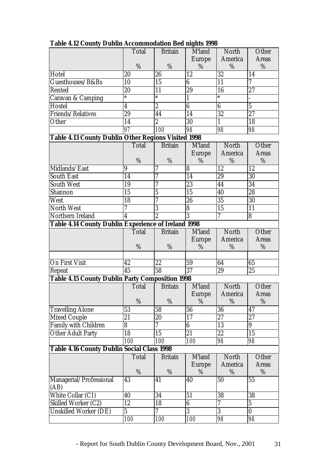|                                                            | <b>Total</b>            | <b>Britain</b>           | Ο<br>M'land                 | <b>North</b>    | Other           |
|------------------------------------------------------------|-------------------------|--------------------------|-----------------------------|-----------------|-----------------|
|                                                            |                         |                          | <b>Europe</b>               | America         | <b>Areas</b>    |
|                                                            | %                       | %                        | %                           | %               | %               |
| Hotel                                                      | 20                      | 26                       | 12                          | 32              | 14              |
| Guesthouses/B&Bs                                           | 10                      | 15                       | $\overline{6}$              | $\overline{11}$ | $\overline{7}$  |
| Rented                                                     | 20                      | 11                       | 29                          | 16              | $\overline{27}$ |
| <b>Caravan &amp; Camping</b>                               | $\ast$                  | $\ast$                   | $\mathbf{1}$                | $\ast$          |                 |
| Hostel                                                     | $\overline{\mathbf{4}}$ | $\overline{2}$           | $\overline{6}$              | $\overline{6}$  | $\overline{5}$  |
| Friends/Relatives                                          | 29                      | 44                       | 14                          | $\overline{32}$ | $\overline{27}$ |
| Other                                                      | 14                      | $\overline{2}$           | 30                          | $\mathbf{1}$    | 18              |
|                                                            | 97                      | 100                      | $\overline{98}$             | 98              | 98              |
| <b>Table 4.13 County Dublin Other Regions Visited 1998</b> |                         |                          |                             |                 |                 |
|                                                            | Total                   | <b>Britain</b>           | M'land                      | North           | Other           |
|                                                            |                         |                          | <b>Europe</b>               | America         | <b>Areas</b>    |
|                                                            | %                       | %                        | %                           | %               | %               |
| Midlands/East                                              | 9                       | 7                        | 8                           | 12              | 12              |
| <b>South East</b>                                          | $\overline{14}$         | 7                        | $\overline{14}$             | $\overline{29}$ | $\overline{30}$ |
| <b>South West</b>                                          | 19                      | 7                        | 23                          | 44              | $\overline{34}$ |
| Shannon                                                    | $\overline{15}$         | $\overline{5}$           | $\overline{15}$             | 40              | $\overline{28}$ |
| West                                                       | 18                      | 7                        | $\overline{26}$             | $\overline{35}$ | $\overline{30}$ |
| North West                                                 | 7                       | $\overline{3}$           | $\overline{\boldsymbol{8}}$ | $\overline{15}$ | $\overline{11}$ |
| Northern Ireland                                           | $\overline{4}$          | $\overline{2}$           | $\overline{3}$              | $\overline{7}$  | $\overline{8}$  |
| Table 4.14 County Dublin Experience of Ireland 1998        |                         |                          |                             |                 |                 |
|                                                            | <b>Total</b>            | <b>Britain</b>           | M'land                      | North           | Other           |
|                                                            |                         |                          | <b>Europe</b>               | America         | <b>Areas</b>    |
|                                                            | %                       | %                        | $\%$                        | %               | %               |
|                                                            |                         |                          |                             |                 |                 |
| <b>On First Visit</b>                                      | 42                      | 22                       | 59                          | 64              | 65              |
| Repeat                                                     | 45                      | $\overline{58}$          | $\overline{37}$             | 29              | 25              |
| <b>Table 4.15 County Dublin Party Composition 1998</b>     |                         |                          |                             |                 |                 |
|                                                            | <b>Total</b>            | <b>Britain</b>           | M'land                      | North           | Other           |
|                                                            |                         |                          | <b>Europe</b>               | America         | <b>Areas</b>    |
|                                                            | %                       | $\%$                     | %                           | %               | %               |
| <b>Travelling Alone</b>                                    | 53                      | 58                       | 56                          | 36              | 47              |
| <b>Mixed Couple</b>                                        | 21                      | 20                       | 17                          | 27              | 27              |
| Family with Children                                       | 8                       | $\overline{\mathcal{U}}$ | 6                           | 13              | $9\phantom{.}$  |
| <b>Other Adult Party</b>                                   | 18                      | 15                       | $\overline{21}$             | $\overline{22}$ | $\overline{15}$ |
|                                                            | <i>100</i>              | 100                      | 100                         | 98              | 98              |
| <b>Table 4.16 County Dublin Social Class 1998</b>          |                         |                          |                             |                 |                 |
|                                                            | <b>Total</b>            | <b>Britain</b>           | M'land                      | North           | Other           |
|                                                            |                         |                          | <b>Europe</b>               | America         | <b>Areas</b>    |
|                                                            | %                       | $\%$                     | %                           | %               | $\%$            |
| Managerial/Professional                                    | 43                      | 41                       | 40                          | 50              | 55              |
| (AB)                                                       |                         |                          |                             |                 |                 |
| White Collar (C1)                                          | 40                      | 34                       | 51                          | 38              | 38              |
| <b>Skilled Worker (C2)</b>                                 | $\overline{12}$         | 18                       | $\overline{6}$              | 7               | $\overline{5}$  |
| <b>Unskilled Worker (DE)</b>                               | $\overline{5}$          | 7                        | $\overline{3}$              | $\overline{3}$  | $\bf{0}$        |
|                                                            |                         |                          |                             |                 |                 |
|                                                            | 100                     | <i>100</i>               | 100                         | 98              | 98              |

**Table 4.12 County Dublin Accommodation Bed nights 1998**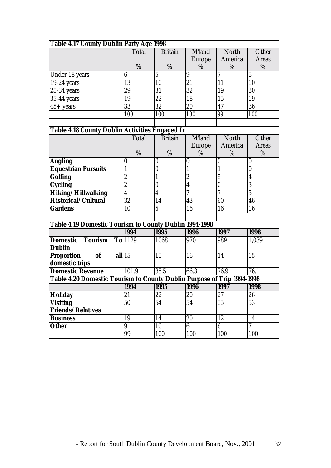| Table 4.17 County Dublin Party Age 1998 |              |                |               |              |              |  |  |  |  |  |
|-----------------------------------------|--------------|----------------|---------------|--------------|--------------|--|--|--|--|--|
|                                         | <b>Total</b> | <b>Britain</b> | M'land        | <b>North</b> | Other        |  |  |  |  |  |
|                                         |              |                | <b>Europe</b> | America      | <b>Areas</b> |  |  |  |  |  |
|                                         | %            | %              | $\%$          | %            | %            |  |  |  |  |  |
| Under 18 years                          |              |                | 9             |              | 5            |  |  |  |  |  |
| $19-24$ years                           | 13           | 10             | 21            | 11           | 10           |  |  |  |  |  |
| $25-34$ years                           | 29           | 31             | 32            | 19           | 30           |  |  |  |  |  |
| 35-44 years                             | 19           | 22             | 18            | 15           | 19           |  |  |  |  |  |
| $45 + \text{years}$                     | 33           | 32             | 20            | 47           | 36           |  |  |  |  |  |
|                                         | 100          | 100            | 100           | 99           | 100          |  |  |  |  |  |
|                                         |              |                |               |              |              |  |  |  |  |  |

# **Table 4.18 County Dublin Activities Engaged In**

|                            | Total  | <b>Britain</b> | M'land | <b>North</b> | Other        |
|----------------------------|--------|----------------|--------|--------------|--------------|
|                            |        |                | Europe | America      | <b>Areas</b> |
|                            | %      | %              | %      | %            | %            |
| <b>Angling</b>             |        | 10             |        |              |              |
| <b>Equestrian Pursuits</b> |        | O              |        |              |              |
| <b>Golfing</b>             | ດ<br>∼ |                | 9<br>Ш |              |              |
| <b>Cycling</b>             | റ<br>ω |                |        |              |              |
| Hiking/Hillwalking         |        | 4              |        |              |              |
| Historical/Cultural        | 32     | 14             | 43     | 60           | 46           |
| <b>Gardens</b>             | 10     | 5              | 16     | 16           | 16           |
|                            |        |                |        |              |              |

# **Table 4.19 Domestic Tourism to County Dublin 1994-1998**

|                                                                        | 1994      | $\mathbf{v}$<br>1995 | 1996 | 1997 | 1998  |
|------------------------------------------------------------------------|-----------|----------------------|------|------|-------|
| <b>Domestic</b><br>Tourism<br><b>Dublin</b>                            | $To$ 1129 | 1068                 | 970  | 989  | 1,039 |
| <b>of</b><br>Proportion<br>domestic trips                              | all 15    | 15                   | 16   | 14   | 15    |
| <b>Domestic Revenue</b>                                                | 101.9     | 85.5                 | 66.3 | 76.9 | 76.1  |
| Table 4.20 Domestic Tourism to County Dublin Purpose of Trip 1994-1998 |           |                      |      |      |       |
|                                                                        | 1994      | 1995                 | 1996 | 1997 | 1998  |
| <b>Holiday</b>                                                         | 21        | 22                   | 20   | 27   | 26    |
| <b>Visiting</b>                                                        | 50        | 54                   | 54   | 55   | 53    |
| <b>Friends/Relatives</b>                                               |           |                      |      |      |       |
| <b>Business</b>                                                        | 19        | 14                   | 20   | 12   | 14    |
| <b>Other</b>                                                           | 9         | 10                   | 6    | 6    | 7     |
|                                                                        | 99        | 100                  | 100  | 100  | 100   |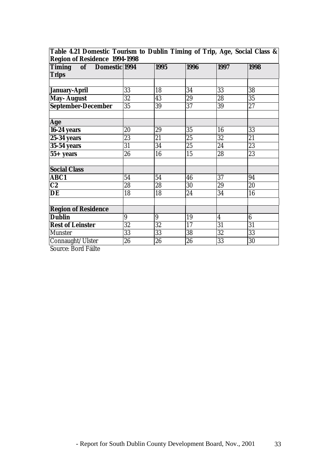| <b>EAT DUTICALLY FULLIONS TO DUDING THINGS OF THIS, 1550, DUCTURE CHOOD OF</b><br><b>Region of Residence 1994-1998</b> |    |      |      |                  |      |  |  |  |  |
|------------------------------------------------------------------------------------------------------------------------|----|------|------|------------------|------|--|--|--|--|
| Timing of Domestic 1994<br><b>Trips</b>                                                                                |    | 1995 | 1996 | 1997             | 1998 |  |  |  |  |
|                                                                                                                        |    |      |      |                  |      |  |  |  |  |
| January-April                                                                                                          | 33 | 18   | 34   | 33               | 38   |  |  |  |  |
| May- August                                                                                                            | 32 | 43   | 29   | 28               | 35   |  |  |  |  |
| September-December                                                                                                     | 35 | 39   | 37   | 39               | 27   |  |  |  |  |
| Age                                                                                                                    |    |      |      |                  |      |  |  |  |  |
| $\sqrt{16}$ -24 years                                                                                                  | 20 | 29   | 35   | 16               | 33   |  |  |  |  |
| <b>25-34 years</b>                                                                                                     | 23 | 21   | 25   | 32               | 21   |  |  |  |  |
| <b>35-54 years</b>                                                                                                     | 31 | 34   | 25   | 24               | 23   |  |  |  |  |
| $55+$ years                                                                                                            | 26 | 16   | 15   | 28               | 23   |  |  |  |  |
| <b>Social Class</b>                                                                                                    |    |      |      |                  |      |  |  |  |  |
| <b>ABC1</b>                                                                                                            | 54 | 54   | 46   | 37               | 94   |  |  |  |  |
| $\overline{C2}$                                                                                                        | 28 | 28   | 30   | 29               | 20   |  |  |  |  |
| DE                                                                                                                     | 18 | 18   | 24   | 34               | 16   |  |  |  |  |
| <b>Region of Residence</b>                                                                                             |    |      |      |                  |      |  |  |  |  |
| <b>Dublin</b>                                                                                                          | 9  | 9    | 19   | $\boldsymbol{4}$ | 6    |  |  |  |  |
| <b>Rest of Leinster</b>                                                                                                | 32 | 32   | 17   | 31               | 31   |  |  |  |  |
| Munster                                                                                                                | 33 | 33   | 38   | 32               | 33   |  |  |  |  |
| Connaught/Ulster                                                                                                       | 26 | 26   | 26   | 33               | 30   |  |  |  |  |

**Table 4.21 Domestic Tourism to Dublin Timing of Trip, Age, Social Class &**

Source: Bord Fáilte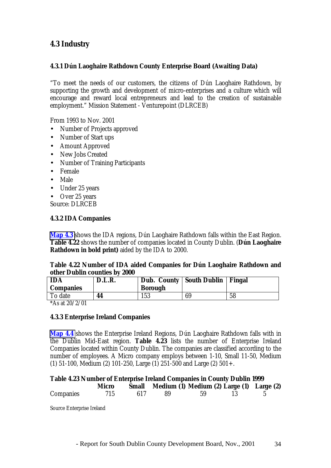## **4.3 Industry**

#### **4.3.1 Dún Laoghaire Rathdown County Enterprise Board (Awaiting Data)**

"To meet the needs of our customers, the citizens of Dún Laoghaire Rathdown, by supporting the growth and development of micro-enterprises and a culture which will encourage and reward local entrepreneurs and lead to the creation of sustainable employment." Mission Statement - Venturepoint (DLRCEB)

From 1993 to Nov. 2001

- Number of Projects approved
- Number of Start ups
- Amount Approved
- New Jobs Created
- Number of Training Participants
- Female
- Male
- Under 25 years

• Over 25 years

Source: DLRCEB

#### **4.3.2 IDA Companies**

**Map 4.3** shows the IDA regions, Dún Laoghaire Rathdown falls within the East Region. **Table 4.22** shows the number of companies located in County Dublin. (**Dún Laoghaire Rathdown in bold print)** aided by the IDA to 2000.

#### **Table 4.22 Number of IDA aided Companies for Dún Laoghaire Rathdown and other Dublin counties by 2000**

| <b>IDA</b><br><b>Companies</b> | D.L.R. | Dub. County South Dublin<br><b>Borough</b> |    | Fingal |
|--------------------------------|--------|--------------------------------------------|----|--------|
| To date                        | 44     | 153                                        | 69 | 58     |

\*As at  $20/2/01$ 

#### **4.3.3 Enterprise Ireland Companies**

**Map 4.4** shows the Enterprise Ireland Regions, Dún Laoghaire Rathdown falls with in the Dublin Mid-East region. **Table 4.23** lists the number of Enterprise Ireland Companies located within County Dublin. The companies are classified according to the number of employees. A Micro company employs between 1-10, Small 11-50, Medium (1) 51-100, Medium (2) 101-250, Large (1) 251-500 and Large (2) 501+.

#### **Table 4.23 Number of Enterprise Ireland Companies in County Dublin 1999**

|                  | Micro |     |      |    | Small Medium (1) Medium (2) Large (1) Large (2) |  |
|------------------|-------|-----|------|----|-------------------------------------------------|--|
| <b>Companies</b> | 715   | 617 | - 89 | 59 |                                                 |  |

Source Enterprise Ireland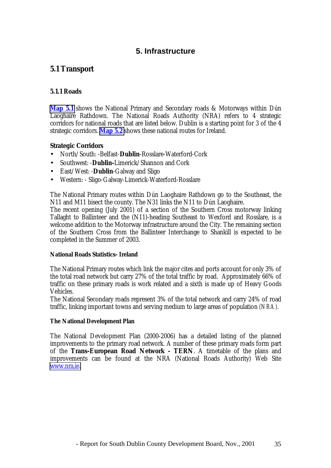### **5. Infrastructure**

#### **5.1 Transport**

#### **5.1.1 Roads**

**Map 5.1** shows the National Primary and Secondary roads & Motorways within Dún Laoghaire Rathdown. The National Roads Authority (NRA) refers to 4 strategic corridors for national roads that are listed below. Dublin is a starting point for 3 of the 4 strategic corridors. **Map 5.2** shows these national routes for Ireland.

#### **Strategic Corridors**

- North/South: -Belfast-**Dublin**-Rosslare-Waterford-Cork
- Southwest: -**Dublin-**Limerick/Shannon and Cork
- East/West: -**Dublin**-Galway and Sligo
- Western: Sligo-Galway-Limerick-Waterford-Rosslare

The National Primary routes within Dún Laoghaire Rathdown go to the Southeast, the N11 and M11 bisect the county. The N31 links the N11 to Dún Laoghaire.

The recent opening (July 2001) of a section of the Southern Cross motorway linking Tallaght to Ballinteer and the (N11)-heading Southeast to Wexford and Rosslare, is a welcome addition to the Motorway infrastructure around the City. The remaining section of the Southern Cross from the Ballinteer Interchange to Shankill is expected to be completed in the Summer of 2003.

#### **National Roads Statistics- Ireland**

The National Primary routes which link the major cites and ports account for only 3% of the total road network but carry 27% of the total traffic by road. Approximately 66% of traffic on these primary roads is work related and a sixth is made up of Heavy Goods Vehicles.

The National Secondary roads represent 3% of the total network and carry 24% of road traffic, linking important towns and serving medium to large areas of population *(NRA).*

#### **The National Development Plan**

The National Development Plan (2000-2006) has a detailed listing of the planned improvements to the primary road network. A number of these primary roads form part of the **Trans-European Road Network - TERN**. A timetable of the plans and improvements can be found at the NRA (National Roads Authority) Web Site [www.nra.ie.](http://www.nra.ie/)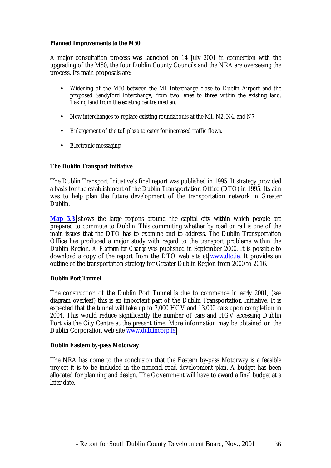#### **Planned Improvements to the M50**

A major consultation process was launched on 14 July 2001 in connection with the upgrading of the M50, the four Dublin County Councils and the NRA are overseeing the process. Its main proposals are:

- Widening of the M50 between the M1 Interchange close to Dublin Airport and the proposed Sandyford Interchange, from two lanes to three within the existing land. Taking land from the existing centre median.
- New interchanges to replace existing roundabouts at the M1, N2, N4, and N7.
- Enlargement of the toll plaza to cater for increased traffic flows.
- Electronic messaging

#### **The Dublin Transport Initiative**

The Dublin Transport Initiative's final report was published in 1995. It strategy provided a basis for the establishment of the Dublin Transportation Office (DTO) in 1995. Its aim was to help plan the future development of the transportation network in Greater Dublin.

**Map 5.3** shows the large regions around the capital city within which people are prepared to commute to Dublin. This commuting whether by road or rail is one of the main issues that the DTO has to examine and to address. The Dublin Transportation Office has produced a major study with regard to the transport problems within the Dublin Region. *A Platform for Change* was published in September 2000. It is possible to download a copy of the report from the DTO web site at [www.dto.ie.](http://www.dto.ie/) It provides an outline of the transportation strategy for Greater Dublin Region from 2000 to 2016.

#### **Dublin Port Tunnel**

The construction of the Dublin Port Tunnel is due to commence in early 2001, (see diagram overleaf) this is an important part of the Dublin Transportation Initiative. It is expected that the tunnel will take up to 7,000 HGV and 13,000 cars upon completion in 2004. This would reduce significantly the number of cars and HGV accessing Dublin Port via the City Centre at the present time. More information may be obtained on the Dublin Corporation web site [www.dublincorp.ie.](http://www.dublincorp.ie/)

#### **Dublin Eastern by-pass Motorway**

The NRA has come to the conclusion that the Eastern by-pass Motorway is a feasible project it is to be included in the national road development plan. A budget has been allocated for planning and design. The Government will have to award a final budget at a later date.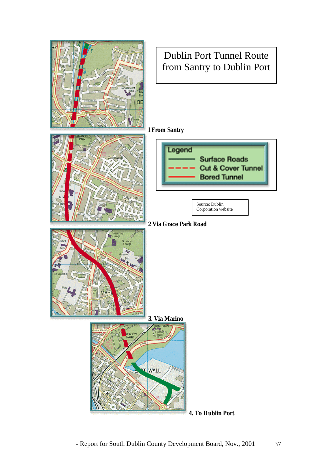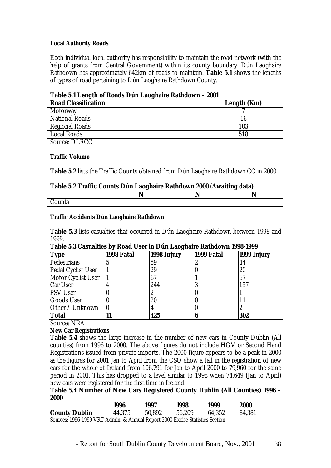#### **Local Authority Roads**

Each individual local authority has responsibility to maintain the road network (with the help of grants from Central Government) within its county boundary. Dún Laoghaire Rathdown has approximately 642km of roads to maintain. **Table 5.1** shows the lengths of types of road pertaining to Dún Laoghaire Rathdown County.

| Table 5.1 Lengul of Roads Dun Laoguatie Rathuown – zoof |             |  |  |  |
|---------------------------------------------------------|-------------|--|--|--|
| <b>Road Classification</b>                              | Length (Km) |  |  |  |
| <b>Motorway</b>                                         |             |  |  |  |
| <b>National Roads</b>                                   | 16          |  |  |  |
| <b>Regional Roads</b>                                   | 103         |  |  |  |
| Local Roads                                             | 518         |  |  |  |
| $C_{\text{out}}$ DI DCC                                 |             |  |  |  |

#### **Table 5.1 Length of Roads Dún Laoghaire Rathdown – 2001**

Source: DLRCC

#### **Traffic Volume**

**Table 5.2** lists the Traffic Counts obtained from Dún Laoghaire Rathdown CC in 2000.

#### **Table 5.2 Traffic Counts Dún Laoghaire Rathdown 2000** (**Awaiting data)**

| ,,,,,, |  |  |
|--------|--|--|

#### **Traffic Accidents Dún Laoghaire Rathdown**

**Table 5.3** lists casualties that occurred in Dún Laoghaire Rathdown between 1998 and 1999.

| <b>Type</b>        | 1998 Fatal | 1998 Injury | 1999 Fatal | 1999 Injury |
|--------------------|------------|-------------|------------|-------------|
| Pedestrians        |            | 59          |            | 44          |
| Pedal Cyclist User |            | 29          |            | 20          |
| Motor Cyclist User |            |             |            | 67          |
| <b>Car User</b>    |            | 244         |            | 157         |
| <b>PSV User</b>    |            |             |            |             |
| <b>Goods User</b>  |            | 20          |            |             |
| Other / Unknown    | IU         |             |            |             |
| <b>Total</b>       |            | 425         |            | 302         |

Source: NRA

#### **New Car Registrations**

**Table 5.4** shows the large increase in the number of new cars in County Dublin (All counties) from 1996 to 2000. The above figures do not include HGV or Second Hand Registrations issued from private imports. The 2000 figure appears to be a peak in 2000 as the figures for 2001 Jan to April from the CSO show a fall in the registration of new cars for the whole of Ireland from 106,791 for Jan to April 2000 to 79,960 for the same period in 2001. This has dropped to a level similar to 1998 when 74,649 (Jan to April) new cars were registered for the first time in Ireland.

#### **Table 5.4 Number of New Cars Registered County Dublin (All Counties) 1996 – 2000**

|                                                                              | 1996   | 1997   | 1998   | 1999   | <b>2000</b> |
|------------------------------------------------------------------------------|--------|--------|--------|--------|-------------|
| <b>County Dublin</b>                                                         | 44.375 | 50.892 | 56.209 | 64.352 | 84.381      |
| Sources: 1996-1999 VRT Admin. & Annual Report 2000 Excise Statistics Section |        |        |        |        |             |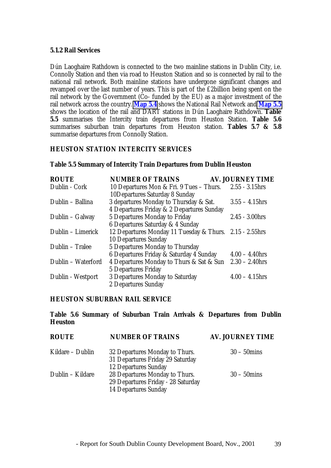#### **5.1.2 Rail Services**

Dún Laoghaire Rathdown is connected to the two mainline stations in Dublin City, i.e. Connolly Station and then via road to Heuston Station and so is connected by rail to the national rail network. Both mainline stations have undergone significant changes and revamped over the last number of years. This is part of the £2billion being spent on the rail network by the Government (Co- funded by the EU) as a major investment of the rail network across the country. **Map 5.4** shows the National Rail Network and **Map 5.5** shows the location of the rail and DART stations in Dún Laoghaire Rathdown. **Table 5.5** summarises the Intercity train departures from Heuston Station. **Table 5.6** summarises suburban train departures from Heuston station. **Tables 5.7 & 5.8** summarise departures from Connolly Station.

#### **HEUSTON STATION INTERCITY SERVICES**

#### **Table 5.5 Summary of Intercity Train Departures from Dublin Heuston**

| <b>ROUTE</b>       | <b>NUMBER OF TRAINS</b>                                 | <b>AV. JOURNEY TIME</b> |
|--------------------|---------------------------------------------------------|-------------------------|
| Dublin - Cork      | 10 Departures Mon & Fri. 9 Tues – Thurs.                | $2.55 - 3.15$ hrs       |
|                    | 10Departures Saturday 8 Sunday                          |                         |
| Dublin – Ballina   | 3 departures Monday to Thursday & Sat.                  | $3.55 - 4.15$ hrs       |
|                    | 4 Departures Friday & 2 Departures Sunday               |                         |
| Dublin - Galway    | 5 Departures Monday to Friday                           | $2.45 - 3.00$ hrs       |
|                    | 6 Departures Saturday & 4 Sunday                        |                         |
| Dublin – Limerick  | 12 Departures Monday 11 Tuesday & Thurs. 2.15 - 2.55hrs |                         |
|                    | <b>10 Departures Sunday</b>                             |                         |
| Dublin - Tralee    | 5 Departures Monday to Thursday                         |                         |
|                    | 6 Departures Friday & Saturday 4 Sunday                 | $4.00 - 4.40$ hrs       |
| Dublin - Waterford | 4 Departures Monday to Thurs & Sat & Sun                | $2.30 - 2.40$ hrs       |
|                    | <b>5 Departures Friday</b>                              |                         |
| Dublin - Westport  | 3 Departures Monday to Saturday                         | $4.00 - 4.15$ hrs       |
|                    | 2 Departures Sunday                                     |                         |

#### **HEUSTON SUBURBAN RAIL SERVICE**

#### **Table 5.6 Summary of Suburban Train Arrivals & Departures from Dublin Heuston**

| <b>ROUTE</b>     | <b>NUMBER OF TRAINS</b>                                         | <b>AV. JOURNEY TIME</b> |
|------------------|-----------------------------------------------------------------|-------------------------|
| Kildare – Dublin | 32 Departures Monday to Thurs.                                  | $30 - 50$ mins          |
|                  | 31 Departures Friday 29 Saturday<br><b>12 Departures Sunday</b> |                         |
|                  |                                                                 |                         |
| Dublin - Kildare | 28 Departures Monday to Thurs.                                  | $30 - 50$ mins          |
|                  | 29 Departures Friday - 28 Saturday                              |                         |
|                  | <b>14 Departures Sunday</b>                                     |                         |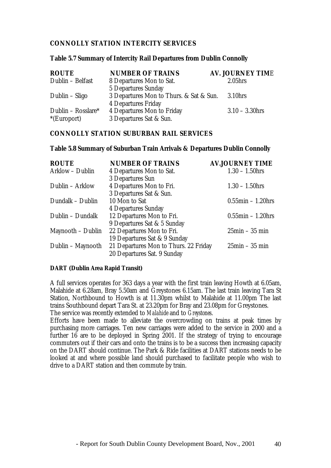#### **CONNOLLY STATION INTERCITY SERVICES**

#### **Table 5.7 Summary of Intercity Rail Departures from Dublin Connolly**

| <b>ROUTE</b>       | <b>NUMBER OF TRAINS</b>                 | <b>AV. JOURNEY TIME</b> |
|--------------------|-----------------------------------------|-------------------------|
| Dublin - Belfast   | 8 Departures Mon to Sat.                | 2.05 <sub>hrs</sub>     |
|                    | <b>5 Departures Sunday</b>              |                         |
| Dublin – Sligo     | 3 Departures Mon to Thurs. & Sat & Sun. | 3.10hrs                 |
|                    | <b>4 Departures Friday</b>              |                         |
| Dublin – Rosslare* | <b>4 Departures Mon to Friday</b>       | $3.10 - 3.30$ hrs       |
| $E$ (Europort)     | 3 Departures Sat & Sun.                 |                         |

#### **CONNOLLY STATION SUBURBAN RAIL SERVICES**

#### **Table 5.8 Summary of Suburban Train Arrivals & Departures Dublin Connolly**

| <b>ROUTE</b>      | <b>NUMBER OF TRAINS</b>               | <b>AV.JOURNEY TIME</b>        |
|-------------------|---------------------------------------|-------------------------------|
| Arklow - Dublin   | 4 Departures Mon to Sat.              | $1.30 - 1.50$ hrs             |
|                   | 3 Departures Sun                      |                               |
| Dublin - Arklow   | 4 Departures Mon to Fri.              | $1.30 - 1.50$ hrs             |
|                   | 3 Departures Sat & Sun.               |                               |
| Dundalk - Dublin  | 10 Mon to Sat                         | $0.55$ min – 1.20hrs          |
|                   | <b>4 Departures Sunday</b>            |                               |
| Dublin - Dundalk  | 12 Departures Mon to Fri.             | $0.55$ min - 1.20hrs          |
|                   | 9 Departures Sat & 5 Sunday           |                               |
| Maynooth – Dublin | 22 Departures Mon to Fri.             | $25\text{min} - 35\text{min}$ |
|                   | 19 Departures Sat & 9 Sunday          |                               |
| Dublin – Maynooth | 21 Departures Mon to Thurs. 22 Friday | $25\text{min} - 35\text{min}$ |
|                   | 20 Departures Sat. 9 Sunday           |                               |

#### **DART (Dublin Area Rapid Transit)**

A full services operates for 363 days a year with the first train leaving Howth at 6.05am, Malahide at 6.28am, Bray 5.50am and Greystones 6.15am. The last train leaving Tara St Station, Northbound to Howth is at 11.30pm whilst to Malahide at 11.00pm The last trains Southbound depart Tara St. at 23.20pm for Bray and 23.08pm for Greystones. The service was recently extended to *Malahide* and to *Greystones*.

Efforts have been made to alleviate the overcrowding on trains at peak times by purchasing more carriages. Ten new carriages were added to the service in 2000 and a further 16 are to be deployed in Spring 2001. If the strategy of trying to encourage commuters out if their cars and onto the trains is to be a success then increasing capacity on the DART should continue. The Park & Ride facilities at DART stations needs to be looked at and where possible land should purchased to facilitate people who wish to drive to a DART station and then commute by train.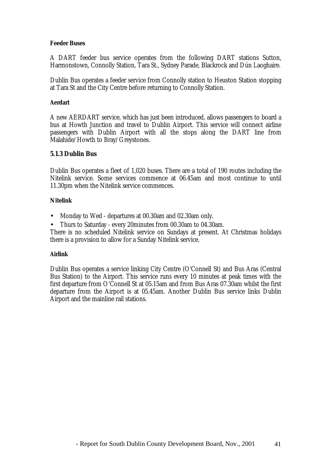#### **Feeder Buses**

A DART feeder bus service operates from the following DART stations Sutton, Harmonstown, Connolly Station, Tara St., Sydney Parade, Blackrock and Dún Laoghaire.

Dublin Bus operates a feeder service from Connolly station to Heuston Station stopping at Tara St and the City Centre before returning to Connolly Station.

#### **Aerdart**

A new AERDART service, which has just been introduced, allows passengers to board a bus at Howth Junction and travel to Dublin Airport. This service will connect airline passengers with Dublin Airport with all the stops along the DART line from Malahide/Howth to Bray/Greystones.

#### **5.1.3 Dublin Bus**

Dublin Bus operates a fleet of 1,020 buses. There are a total of 190 routes including the Nitelink service. Some services commence at 06.45am and most continue to until 11.30pm when the Nitelink service commences.

#### **Nitelink**

• Monday to Wed - departures at 00.30am and 02.30am only.

• Thurs to Saturday - every 20minutes from 00.30am to 04.30am.

There is no scheduled Nitelink service on Sundays at present. At Christmas holidays there is a provision to allow for a Sunday Nitelink service.

#### **Airlink**

Dublin Bus operates a service linking City Centre (O'Connell St) and Bus Aras (Central Bus Station) to the Airport. This service runs every 10 minutes at peak times with the first departure from O'Connell St at 05.15am and from Bus Aras 07.30am whilst the first departure from the Airport is at 05.45am. Another Dublin Bus service links Dublin Airport and the mainline rail stations.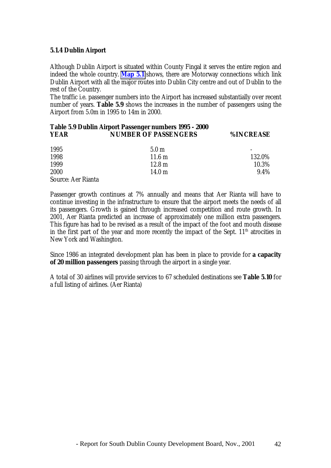#### **5.1.4 Dublin Airport**

Although Dublin Airport is situated within County Fingal it serves the entire region and indeed the whole country. **Map 5.1** shows, there are Motorway connections which link Dublin Airport with all the major routes into Dublin City centre and out of Dublin to the rest of the Country.

The traffic i.e. passenger numbers into the Airport has increased substantially over recent number of years. **Table 5.9** shows the increases in the number of passengers using the Airport from 5.0m in 1995 to 14m in 2000.

#### **Table 5.9 Dublin Airport Passenger numbers 1995 - 2000 YEAR NUMBER OF PASSENGERS %INCREASE**

| 1995                      | 5.0 <sub>m</sub>  | $\overline{\phantom{a}}$ |
|---------------------------|-------------------|--------------------------|
| 1998                      | $11.6 \text{ m}$  | 132.0%                   |
| 1999                      | $12.8 \text{ m}$  | 10.3%                    |
| 2000                      | 14.0 <sub>m</sub> | 9.4%                     |
| <b>Source: Aer Rianta</b> |                   |                          |

Passenger growth continues at 7% annually and means that Aer Rianta will have to continue investing in the infrastructure to ensure that the airport meets the needs of all its passengers. Growth is gained through increased competition and route growth. In 2001, Aer Rianta predicted an increase of approximately one million extra passengers. This figure has had to be revised as a result of the impact of the foot and mouth disease in the first part of the year and more recently the impact of the Sept.  $11<sup>th</sup>$  atrocities in New York and Washington.

Since 1986 an integrated development plan has been in place to provide for **a capacity of 20 million passengers** passing through the airport in a single year.

A total of 30 airlines will provide services to 67 scheduled destinations see **Table 5.10** for a full listing of airlines. (Aer Rianta)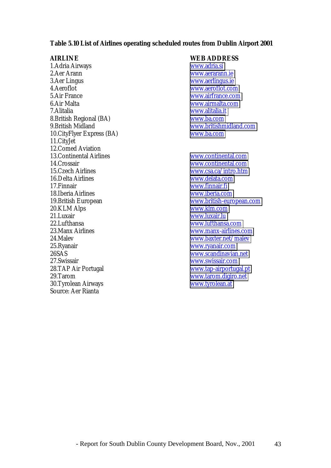#### **Table 5.10 List of Airlines operating scheduled routes from Dublin Airport 2001**

**AIRLINE**<br>
1. Adria Airways **WEB ADDRESS**<br>
WWW.adria.si 1.Adria Airways 2.Aer Arann [www.aerarann.ie](http://www.aerarann.ie/) 3.Aer Lingus [www.aerlingus.ie](http://www.aerlingus.ie/)<br>4.Aeroflot 5.Air France [www.airfrance.com](http://www.airfrance.com/) 6.Air Malta [www.airmalta.com](http://www.airmalta.com/) 7.Alitalia [www.alitalia.it](http://www.alitalia.it/) 8. British Regional (BA) 9.British Midland [www.britishmidland.com](http://www.britishmidland.com/) 10.CityFlyer Express (BA) [www.ba.com](http://www.ba.com/) 11.CityJet 12. Comed Aviation<br>13. Continental Airlines 14.Crossair [www.continental.com](http://www.continental.com/) 15.Czech Airlines [www.csa.ca/intro.htm](http://www.csa.ca/intro.htm) 16.Delta Airlines [www.delata.com](http://www.delata.com/) 17.Finnair [www.finnair.fi](http://www.finnair.fi/) 18.Iberia Airlines [www.iberia.com](http://www.iberia.com/) 19.British European [www.british-european.com](http://www.british-european.com/) 20.KLM Alps<br>
21.Luxair [www.klm.com](http://www.klm.com/)<br>
21.Luxair www.luxair.lu 22.Lufthansa [www.lufthansa.com](http://www.lufthansa.com/) 23.Manx Airlines [www.manx-airlines.com](http://www.manx-airlines.com/) 24.Malev [www.baxter.net/malev](http://www.baxter.net/malev) 25.Ryanair [www.ryanair.com](http://www.ryanair.com/) 26SAS [www.scandinavian.net](http://www.scandinavian.net/) 27.Swissair [www.swissair.com](http://www.swissair.com/) 28.TAP Air Portugal [www.tap-airportugal.pt](http://www.tap-airportugal.pt/) 29.Tarom [www.tarom.digiro.net](http://www.tarom.digiro.net/)<br>
20.Tyrolean Airways www.tyrolean.at 30.Tyrolean Airways Source: Aer Rianta

[www.aeroflot.com](http://www.aeroflot.com/)

[www.continental.com](http://www.continental.com/) [www.luxair.lu](http://www.luxair.lu/)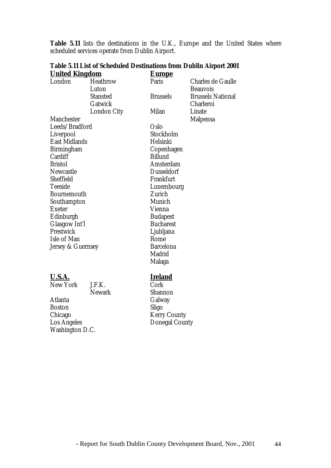| <b>United Kingdom</b> |                    | <u>Europe</u>     |                          |
|-----------------------|--------------------|-------------------|--------------------------|
| London                | <b>Heathrow</b>    | Paris             | <b>Charles de Gaulle</b> |
|                       | Luton              |                   | <b>Beauvois</b>          |
|                       | <b>Stansted</b>    | <b>Brussels</b>   | <b>Brussels National</b> |
|                       | Gatwick            |                   | Charleroi                |
|                       | <b>London City</b> | Milan             | Linate                   |
| <b>Manchester</b>     |                    |                   | <b>Malpensa</b>          |
| Leeds/Bradford        |                    | Oslo              |                          |
| Liverpool             |                    | Stockholm         |                          |
| <b>East Midlands</b>  |                    | Helsinki          |                          |
| <b>Birmingham</b>     |                    | Copenhagen        |                          |
| Cardiff               |                    | <b>Billund</b>    |                          |
| <b>Bristol</b>        |                    | Amsterdam         |                          |
| Newcastle             |                    | <b>Dusseldorf</b> |                          |
| Sheffield             |                    | Frankfurt         |                          |
| <b>Teeside</b>        |                    | Luxembourg        |                          |
| <b>Bournemouth</b>    |                    | Zurich            |                          |
| Southampton           |                    | Munich            |                          |
| <b>Exeter</b>         |                    | Vienna            |                          |
| Edinburgh             |                    | <b>Budapest</b>   |                          |
| <b>Glasgow Int'l</b>  |                    | <b>Bucharest</b>  |                          |
| Prestwick             |                    | Ljubljana         |                          |
| Isle of Man           |                    | Rome              |                          |
| Jersey & Guernsey     |                    | <b>Barcelona</b>  |                          |
|                       |                    | Madrid            |                          |
|                       |                    | Malaga            |                          |
| <b>U.S.A.</b>         |                    | <b>Ireland</b>    |                          |
| <b>New York</b>       | J.F.K.             | Cork              |                          |
|                       | <b>Newark</b>      | Shannon           |                          |
| Atlanta               |                    | Galway            |                          |
| <b>Boston</b>         |                    | Sligo             |                          |

Chicago Kerry County<br>
Los Angeles Donegal Coun

**Table 5.11 List of Scheduled Destinations from Dublin Airport 2001**

scheduled services operate from Dublin Airport.

Boston<br>Chicago

Washington D.C.

**Table 5.11** lists the destinations in the U.K., Europe and the United States where

Donegal County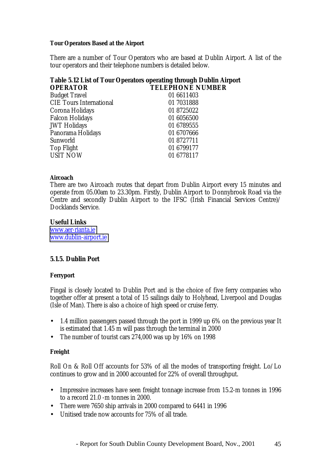#### **Tour Operators Based at the Airport**

There are a number of Tour Operators who are based at Dublin Airport. A list of the tour operators and their telephone numbers is detailed below.

|                 | Table 5.12 List of Tour Operators operating through Dublin Airport |
|-----------------|--------------------------------------------------------------------|
| <b>OPERATOR</b> | <b>TELEPHONE NUMBER</b>                                            |
| __              |                                                                    |

| <b>Budget Travel</b>           | 01 6611403 |
|--------------------------------|------------|
| <b>CIE Tours International</b> | 01 7031888 |
| Corona Holidays                | 01 8725022 |
| <b>Falcon Holidays</b>         | 01 6056500 |
| <b>JWT</b> Holidays            | 01 6789555 |
| Panorama Holidays              | 01 6707666 |
| Sunworld                       | 01 8727711 |
| <b>Top Flight</b>              | 01 6799177 |
| <b>USIT NOW</b>                | 01 6778117 |

#### **Aircoach**

There are two Aircoach routes that depart from Dublin Airport every 15 minutes and operate from 05.00am to 23.30pm. Firstly, Dublin Airport to Donnybrook Road via the Centre and secondly Dublin Airport to the IFSC (Irish Financial Services Centre)/ Docklands Service.

#### **Useful Links**

[www.aer-rianta.ie](http://www.aerriannat.ie/) [www.dublin-airport.ie](http://www.dublin-airport.ie/)

#### **5.1.5. Dublin Port**

#### **Ferryport**

Fingal is closely located to Dublin Port and is the choice of five ferry companies who together offer at present a total of 15 sailings daily to Holyhead, Liverpool and Douglas (Isle of Man). There is also a choice of high speed or cruise ferry.

- 1.4 million passengers passed through the port in 1999 up 6% on the previous year It is estimated that 1.45 m will pass through the terminal in 2000
- The number of tourist cars 274,000 was up by 16% on 1998

#### **Freight**

Roll On & Roll Off accounts for 53% of all the modes of transporting freight. Lo/Lo continues to grow and in 2000 accounted for 22% of overall throughput.

- Impressive increases have seen freight tonnage increase from 15.2-m tonnes in 1996 to a record 21.0 -m tonnes in 2000.
- There were 7650 ship arrivals in 2000 compared to 6441 in 1996
- Unitised trade now accounts for 75% of all trade.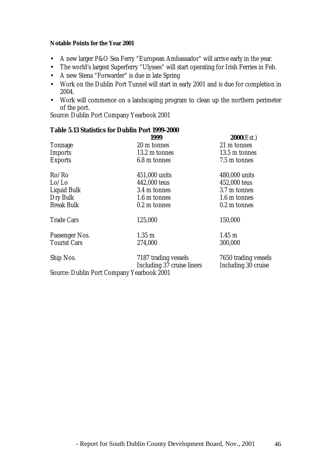#### **Notable Points for the Year 2001**

- A new larger P&O Sea Ferry "European Ambassador" will arrive early in the year.
- The world's largest Superferry "Ulysses" will start operating for Irish Ferries in Feb.
- A new Stena "Forwarder" is due in late Spring
- Work on the Dublin Port Tunnel will start in early 2001 and is due for completion in 2004.
- Work will commence on a landscaping program to clean up the northern perimeter of the port.

Source: Dublin Port Company Yearbook 2001

#### **Table 5.13 Statistics for Dublin Port 1999-2000**

|                                                  | 1999                                               | 2000(Est.)                                  |
|--------------------------------------------------|----------------------------------------------------|---------------------------------------------|
| <b>Tonnage</b>                                   | 20 m tonnes                                        | 21 m tonnes                                 |
| <b>Imports</b>                                   | 13.2 m tonnes                                      | 13.5 m tonnes                               |
| <b>Exports</b>                                   | 6.8 m tonnes                                       | 7.5 m tonnes                                |
| Ro/Ro                                            | 451,000 units                                      | 480,000 units                               |
| Lo/Lo                                            | 442,000 teus                                       | 452,000 teus                                |
| <b>Liquid Bulk</b>                               | 3.4 m tonnes                                       | 3.7 m tonnes                                |
| Dry Bulk                                         | 1.6 m tonnes                                       | 1.6 m tonnes                                |
| <b>Break Bulk</b>                                | 0.2 m tonnes                                       | 0.2 m tonnes                                |
| <b>Trade Cars</b>                                | 125,000                                            | 150,000                                     |
| Passenger Nos.                                   | $1.35 \text{ m}$                                   | $1.45 \text{ m}$                            |
| <b>Tourist Cars</b>                              | 274,000                                            | 300,000                                     |
| Ship Nos.                                        | 7187 trading vessels<br>Including 37 cruise liners | 7650 trading vessels<br>Including 30 cruise |
| <b>Source: Dublin Port Company Yearbook 2001</b> |                                                    |                                             |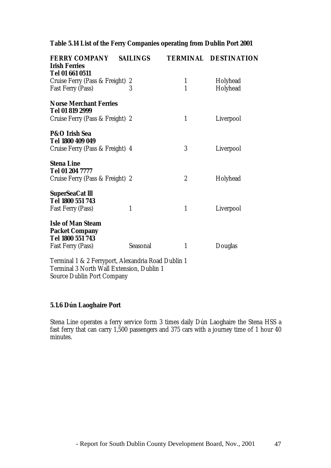#### **Table 5.14 List of the Ferry Companies operating from Dublin Port 2001**

| <b>FERRY COMPANY</b><br><b>Irish Ferries</b> | <b>SAILINGS</b> |                  | <b>TERMINAL DESTINATION</b> |
|----------------------------------------------|-----------------|------------------|-----------------------------|
| Tel 01 661 0511                              |                 |                  |                             |
| Cruise Ferry (Pass & Freight) 2              |                 | 1                | Holyhead                    |
| <b>Fast Ferry (Pass)</b>                     | 3               | $\mathbf{1}$     | Holyhead                    |
| <b>Norse Merchant Ferries</b>                |                 |                  |                             |
| Tel 01 819 2999                              |                 |                  |                             |
| Cruise Ferry (Pass & Freight) 2              |                 | $\mathbf{1}$     | Liverpool                   |
| P&O Irish Sea                                |                 |                  |                             |
| Tel 1800 409 049                             |                 |                  |                             |
| Cruise Ferry (Pass & Freight) 4              |                 | 3                | Liverpool                   |
| <b>Stena Line</b>                            |                 |                  |                             |
| Tel 01 204 7777                              |                 |                  |                             |
| Cruise Ferry (Pass & Freight) 2              |                 | $\boldsymbol{2}$ | Holyhead                    |
| <b>SuperSeaCat III</b>                       |                 |                  |                             |
| Tel 1800 551 743                             |                 |                  |                             |
| <b>Fast Ferry (Pass)</b>                     | 1               | 1                | Liverpool                   |
| <b>Isle of Man Steam</b>                     |                 |                  |                             |
| <b>Packet Company</b>                        |                 |                  |                             |
| Tel 1800 551 743                             |                 |                  |                             |
| <b>Fast Ferry (Pass)</b>                     | Seasonal        | 1                | Douglas                     |
| T '1400F Al I'D ID II'4                      |                 |                  |                             |

Terminal 1 & 2 Ferryport, Alexandria Road Dublin 1 Terminal 3 North Wall Extension, Dublin 1 Source Dublin Port Company

#### **5.1.6 Dún Laoghaire Port**

Stena Line operates a ferry service form 3 times daily Dún Laoghaire the Stena HSS a fast ferry that can carry 1,500 passengers and 375 cars with a journey time of 1 hour 40 minutes.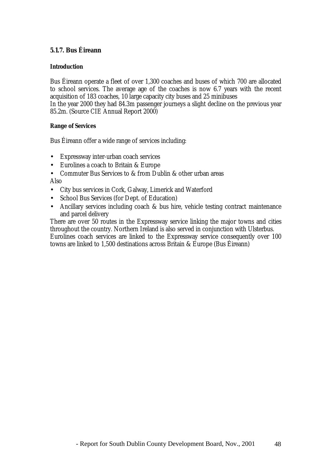#### **5.1.7. Bus Éireann**

#### **Introduction**

Bus Éireann operate a fleet of over 1,300 coaches and buses of which 700 are allocated to school services. The average age of the coaches is now 6.7 years with the recent acquisition of 183 coaches, 10 large capacity city buses and 25 minibuses

In the year 2000 they had 84.3m passenger journeys a slight decline on the previous year 85.2m. (Source CIE Annual Report 2000)

#### **Range of Services**

Bus Éireann offer a wide range of services including:

- Expressway inter-urban coach services
- Eurolines a coach to Britain & Europe
- Commuter Bus Services to & from Dublin & other urban areas Also

- City bus services in Cork, Galway, Limerick and Waterford
- School Bus Services (for Dept. of Education)
- Ancillary services including coach & bus hire, vehicle testing contract maintenance and parcel delivery

There are over 50 routes in the Expressway service linking the major towns and cities throughout the country. Northern Ireland is also served in conjunction with Ulsterbus. Eurolines coach services are linked to the Expressway service consequently over 100 towns are linked to 1,500 destinations across Britain & Europe (Bus Éireann)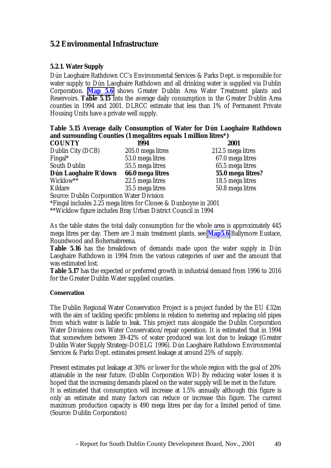#### **5.2 Environmental Infrastructure**

#### **5.2.1. Water Supply**

Dún Laoghaire Rathdown CC's Environmental Services & Parks Dept. is responsible for water supply to Dún Laoghaire Rathdown and all drinking water is supplied via Dublin Corporation. **Map 5.6** shows Greater Dublin Area Water Treatment plants and Reservoirs. **Table 5.15** lists the average daily consumption in the Greater Dublin Area counties in 1994 and 2001. DLRCC estimate that less than 1% of Permanent Private Housing Units have a private well supply.

#### **Table 5.15 Average daily Consumption of Water for Dún Laoghaire Rathdown and surrounding Counties (1 megalitres equals 1 million litres\*)**

| <b>COUNTY</b>                                    | 1994              | 2001              |
|--------------------------------------------------|-------------------|-------------------|
| Dublin City (DCB)                                | 205.0 mega litres | 212.5 mega litres |
| Fingal*                                          | 53.0 mega litres  | 67.0 mega litres  |
| <b>South Dublin</b>                              | 55.5 mega litres  | 65.5 mega litres  |
| Dún Laoghaire R'down                             | 66.0 mega litres  | 55.0 mega litres? |
| Wicklow**                                        | 22.5 mega litres  | 18.5 mega litres  |
| Kildare                                          | 35.5 mega litres  | 50.8 mega litres  |
| <b>Source: Dublin Corporation Water Division</b> |                   |                   |

\*Fingal includes 2.25 mega litres for Clonee & Dunboyne in 2001

\*\*Wicklow figure includes Bray Urban District Council in 1994

As the table states the total daily consumption for the whole area is approximately 445 mega litres per day. There are 3 main treatment plants, see **Map5.6** Ballymore Eustace, Roundwood and Bohernabreena.

**Table 5.16** has the breakdown of demands made upon the water supply in Dún Laoghaire Rathdown in 1994 from the various categories of user and the amount that was estimated lost.

**Table 5.17** has the expected or preferred growth in industrial demand from 1996 to 2016 for the Greater Dublin Water supplied counties.

#### **Conservation**

The Dublin Regional Water Conservation Project is a project funded by the EU £32m with the aim of tackling specific problems in relation to metering and replacing old pipes from which water is liable to leak. This project runs alongside the Dublin Corporation Water Divisions own Water Conservation/repair operation. It is estimated that in 1994 that somewhere between 39-42% of water produced was lost due to leakage (Greater Dublin Water Supply Strategy-DOELG 1996). Dún Laoghaire Rathdown Environmental Services & Parks Dept. estimates present leakage at around 25% of supply.

Present estimates put leakage at 30% or lower for the whole region with the goal of 20% attainable in the near future. (Dublin Corporation WD) By reducing water losses it is hoped that the increasing demands placed on the water supply will be met in the future. It is estimated that consumption will increase at 1.5% annually although this figure is only an estimate and many factors can reduce or increase this figure. The current maximum production capacity is 490 mega litres per day for a limited period of time. (Source: Dublin Corporation)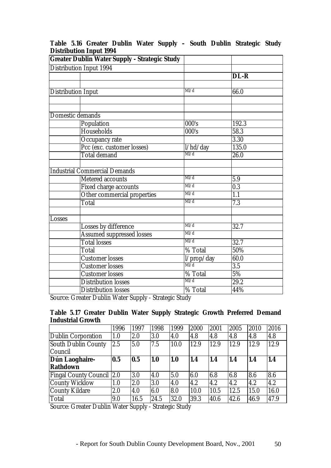|                           | wanyaavn mpat 100 l<br><b>Greater Dublin Water Supply - Strategic Study</b> |                         |                   |
|---------------------------|-----------------------------------------------------------------------------|-------------------------|-------------------|
|                           | <b>Distribution Input 1994</b>                                              |                         |                   |
|                           |                                                                             |                         | DL-R              |
|                           |                                                                             |                         |                   |
| <b>Distribution Input</b> |                                                                             | M/d                     | 66.0              |
|                           |                                                                             |                         |                   |
|                           |                                                                             |                         |                   |
|                           | Domestic demands                                                            |                         |                   |
|                           | Population                                                                  | 000's                   | 192.3             |
|                           | <b>Households</b>                                                           | 000's                   | 58.3              |
|                           | Occupancy rate                                                              |                         | 3.30              |
|                           | Pcc (exc. customer losses)                                                  | l/hd/day                | 135.0             |
|                           | <b>Total demand</b>                                                         | M/d                     | $\overline{26.0}$ |
|                           |                                                                             |                         |                   |
|                           | <b>Industrial Commercial Demands</b>                                        |                         |                   |
|                           | <b>Metered</b> accounts                                                     | M/d                     | 5.9               |
|                           | <b>Fixed charge accounts</b>                                                | Ml/d                    | $\overline{0.3}$  |
|                           | Other commercial properties                                                 | M/d                     | $\overline{1.1}$  |
|                           | <b>Total</b>                                                                | M/d                     | 7.3               |
|                           |                                                                             |                         |                   |
| Losses                    |                                                                             |                         |                   |
|                           | Losses by difference                                                        | M/d                     | 32.7              |
|                           | <b>Assumed suppressed losses</b>                                            | M/d                     |                   |
|                           | <b>Total losses</b>                                                         | M/d                     | $\overline{32.7}$ |
|                           | $\overline{T}$ otal                                                         | % Total                 | 50%               |
|                           | Customer losses                                                             | $\frac{1}{\text{M1/d}}$ | 60.0              |
|                           | <b>Customer losses</b>                                                      |                         | $\overline{3.5}$  |
|                           | <b>Customer losses</b>                                                      | % Total                 | 5%                |
|                           | <b>Distribution losses</b>                                                  | M/d                     | $\overline{29.2}$ |
|                           | <b>Distribution losses</b>                                                  | % Total                 | 44%               |

#### **Table 5.16 Greater Dublin Water Supply – South Dublin Strategic Study Distribution Input 1994**

Source: Greater Dublin Water Supply - Strategic Study

#### **Table 5.17 Greater Dublin Water Supply Strategic Growth Preferred Demand Industrial Growth**

|                                  | 1996 | 1997 | 1998 | 1999 | 2000 | 2001 | 2005 | 2010 | 2016 |
|----------------------------------|------|------|------|------|------|------|------|------|------|
| Dublin Corporation               | 1.0  | 2.0  | 3.0  | 4.0  | 4.8  | 4.8  | 4.8  | 4.8  | 4.8  |
| South Dublin County<br>Council   | 2.5  | 5.0  | 7.5  | 10.0 | 12.9 | 12.9 | 12.9 | 12.9 | 12.9 |
| Dún Laoghaire-<br>Rathdown       | 0.5  | 0.5  | 1.0  | 1.0  | 1.4  | 1.4  | 1.4  | 1.4  | 1.4  |
| <b>Fingal County Council 2.0</b> |      | 3.0  | 4.0  | 5.0  | 6.0  | 6.8  | 6.8  | 8.6  | 8.6  |
| <b>County Wicklow</b>            | 1.0  | 2.0  | 3.0  | 4.0  | 4.2  | 4.2  | 4.2  | 4.2  | 4.2  |
| <b>County Kildare</b>            | 2.0  | 4.0  | 6.0  | 8.0  | 10.0 | 10.5 | 12.5 | 15.0 | 16.0 |
| Total                            | 9.0  | 16.5 | 24.5 | 32.0 | 39.3 | 40.6 | 42.6 | 46.9 | 47.9 |

Source: Greater Dublin Water Supply - Strategic Study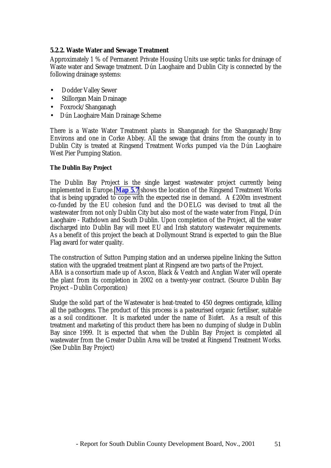#### **5.2.2. Waste Water and Sewage Treatment**

Approximately 1 % of Permanent Private Housing Units use septic tanks for drainage of Waste water and Sewage treatment. Dún Laoghaire and Dublin City is connected by the following drainage systems:

- Dodder Valley Sewer
- Stillorgan Main Drainage
- Foxrock/Shanganagh
- Dún Laoghaire Main Drainage Scheme

There is a Waste Water Treatment plants in Shanganagh for the Shanganagh/Bray Environs and one in Corke Abbey. All the sewage that drains from the county in to Dublin City is treated at Ringsend Treatment Works pumped via the Dún Laoghaire West Pier Pumping Station.

#### **The Dublin Bay Project**

The Dublin Bay Project is the single largest wastewater project currently being implemented in Europe. **Map 5.7** shows the location of the Ringsend Treatment Works that is being upgraded to cope with the expected rise in demand. A £200m investment co-funded by the EU cohesion fund and the DOELG was devised to treat all the wastewater from not only Dublin City but also most of the waste water from Fingal, Dún Laoghaire - Rathdown and South Dublin. Upon completion of the Project, all the water discharged into Dublin Bay will meet EU and Irish statutory wastewater requirements. As a benefit of this project the beach at Dollymount Strand is expected to gain the Blue Flag award for water quality.

The construction of Sutton Pumping station and an undersea pipeline linking the Sutton station with the upgraded treatment plant at Ringsend are two parts of the Project. ABA is a consortium made up of Ascon, Black & Veatch and Anglian Water will operate the plant from its completion in 2002 on a twenty-year contract. (Source Dublin Bay Project –Dublin Corporation)

Sludge the solid part of the Wastewater is heat-treated to 450 degrees centigrade, killing all the pathogens. The product of this process is a pasteurised organic fertiliser, suitable as a soil conditioner. It is marketed under the name of *Biofert*. As a result of this treatment and marketing of this product there has been no dumping of sludge in Dublin Bay since 1999. It is expected that when the Dublin Bay Project is completed all wastewater from the Greater Dublin Area will be treated at Ringsend Treatment Works. (See Dublin Bay Project)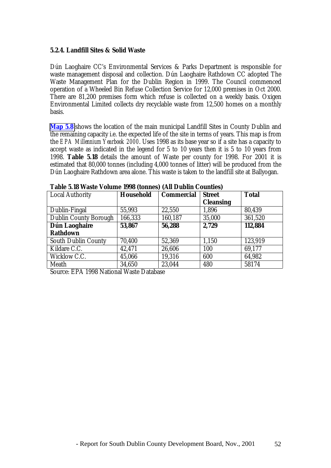#### **5.2.4. Landfill Sites & Solid Waste**

Dún Laoghaire CC's Environmental Services & Parks Department is responsible for waste management disposal and collection. Dún Laoghaire Rathdown CC adopted The Waste Management Plan for the Dublin Region in 1999. The Council commenced operation of a Wheeled Bin Refuse Collection Service for 12,000 premises in Oct 2000. There are 81,200 premises form which refuse is collected on a weekly basis. Oxigen Environmental Limited collects dry recyclable waste from 12,500 homes on a monthly basis.

**Map 5.8** shows the location of the main municipal Landfill Sites in County Dublin and the remaining capacity i.e. the expected life of the site in terms of years. This map is from the *EPA Millennium Yearbook 2000*. Uses 1998 as its base year so if a site has a capacity to accept waste as indicated in the legend for 5 to 10 years then it is 5 to 10 years from 1998. **Table 5.18** details the amount of Waste per county for 1998. For 2001 it is estimated that 80,000 tonnes (including 4,000 tonnes of litter) will be produced from the Dún Laoghaire Rathdown area alone. This waste is taken to the landfill site at Ballyogan.

| Local Authority              | <b>Household</b> | <b>Commercial</b> | <b>Street</b>    | <b>Total</b> |
|------------------------------|------------------|-------------------|------------------|--------------|
|                              |                  |                   | <b>Cleansing</b> |              |
| Dublin-Fingal                | 55,993           | 22,550            | 1,896            | 80,439       |
| <b>Dublin County Borough</b> | 166,333          | 160,187           | 35,000           | 361,520      |
| Dún Laoghaire                | 53,867           | 56,288            | 2,729            | 112,884      |
| <b>Rathdown</b>              |                  |                   |                  |              |
| <b>South Dublin County</b>   | 70,400           | 52,369            | 1,150            | 123,919      |
| Kildare C.C.                 | 42,471           | 26,606            | 100              | 69,177       |
| Wicklow C.C.                 | 45,066           | 19,316            | 600              | 64,982       |
| Meath                        | 34,650           | 23,044            | 480              | 58174        |

**Table 5.18 Waste Volume 1998 (tonnes) (All Dublin Counties)**

Source: EPA 1998 National Waste Database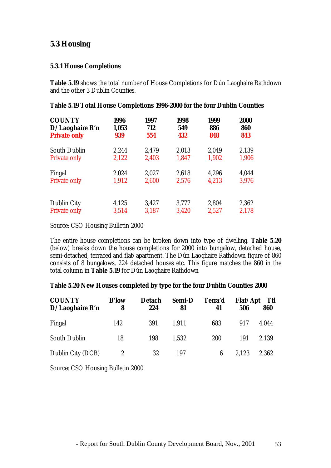#### **5.3 Housing**

#### **5.3.1 House Completions**

**Table 5.19** shows the total number of House Completions for Dún Laoghaire Rathdown and the other 3 Dublin Counties.

| <b>COUNTY</b><br>$D/La$ oghaire R'n<br><b>Private only</b> | 1996<br>1,053<br>939 | 1997<br>712<br>554 | 1998<br>549<br>432 | 1999<br>886<br>848 | <b>2000</b><br>860<br>843 |
|------------------------------------------------------------|----------------------|--------------------|--------------------|--------------------|---------------------------|
| <b>South Dublin</b>                                        | 2,244                | 2,479              | 2,013              | 2,049              | 2,139                     |
| <b>Private only</b>                                        | 2,122                | 2,403              | 1,847              | 1,902              | 1,906                     |
| Fingal                                                     | 2,024                | 2,027              | 2,618              | 4,296              | 4,044                     |
| <b>Private only</b>                                        | 1,912                | 2,600              | 2,576              | 4,213              | 3,976                     |
| <b>Dublin City</b>                                         | 4,125                | 3,427              | 3,777              | 2,804              | 2,362                     |
| <b>Private only</b>                                        | 3,514                | 3,187              | 3,420              | 2,527              | 2,178                     |

#### **Table 5.19 Total House Completions 1996-2000 for the four Dublin Counties**

Source: CSO Housing Bulletin 2000

The entire house completions can be broken down into type of dwelling. **Table 5.20** (below) breaks down the house completions for 2000 into bungalow, detached house, semi-detached, terraced and flat/apartment. The Dún Laoghaire Rathdown figure of 860 consists of 8 bungalows, 224 detached houses etc. This figure matches the 860 in the total column in **Table 5.19** for Dún Laoghaire Rathdown

#### **Table 5.20 New Houses completed by type for the four Dublin Counties 2000**

| <b>COUNTY</b><br>$D/La$ oghaire R'n | <b>B'low</b><br>8 | <b>Detach</b><br>224 | <b>Semi-D</b><br>81 | Terra'd<br>41 | <b>Flat/Apt</b><br>506 | Ttl<br>860 |
|-------------------------------------|-------------------|----------------------|---------------------|---------------|------------------------|------------|
| Fingal                              | 142               | 391                  | 1.911               | 683           | 917                    | 4,044      |
| <b>South Dublin</b>                 | 18                | 198                  | 1,532               | 200           | 191                    | 2,139      |
| Dublin City (DCB)                   | $\boldsymbol{2}$  | 32                   | 197                 | 6             | 2,123                  | 2,362      |

Source: CSO Housing Bulletin 2000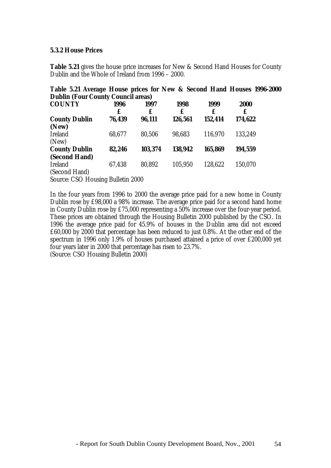#### **5.3.2 House Prices**

**Table 5.21** gives the house price increases for New & Second Hand Houses for County Dublin and the Whole of Ireland from 1996 – 2000.

| <b>Dublin (Four County Council areas)</b> |        |         |         |         |         |  |  |  |
|-------------------------------------------|--------|---------|---------|---------|---------|--|--|--|
| <b>COUNTY</b>                             | 1996   | 1997    | 1998    | 1999    | 2000    |  |  |  |
|                                           | £      | £       | £       | £       | £       |  |  |  |
| <b>County Dublin</b>                      | 76,439 | 96,111  | 126,561 | 152,414 | 174,622 |  |  |  |
| (New)                                     |        |         |         |         |         |  |  |  |
| <b>Ireland</b>                            | 68,677 | 80,506  | 98,683  | 116,970 | 133,249 |  |  |  |
| (New)                                     |        |         |         |         |         |  |  |  |
| <b>County Dublin</b>                      | 82,246 | 103,374 | 138,942 | 165,869 | 194,559 |  |  |  |
| (Second Hand)                             |        |         |         |         |         |  |  |  |
| <b>Ireland</b>                            | 67,438 | 80,892  | 105,950 | 128,622 | 150,070 |  |  |  |
| (Second Hand)                             |        |         |         |         |         |  |  |  |

**Table 5.21 Average House prices for New & Second Hand Houses 1996-2000**

Source: CSO Housing Bulletin 2000

In the four years from 1996 to 2000 the average price paid for a new home in County Dublin rose by £98,000 a 98% increase. The average price paid for a second hand home in County Dublin rose by £75,000 representing a 50% increase over the four-year period. These prices are obtained through the Housing Bulletin 2000 published by the CSO. In 1996 the average price paid for 45.9% of houses in the Dublin area did not exceed £60,000 by 2000 that percentage has been reduced to just 0.8%. At the other end of the spectrum in 1996 only 1.9% of houses purchased attained a price of over £200,000 yet four years later in 2000 that percentage has risen to 23.7%.

(Source: CSO Housing Bulletin 2000)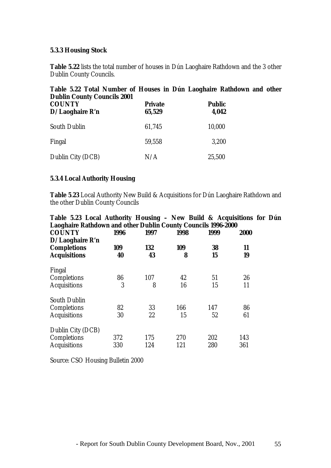#### **5.3.3 Housing Stock**

**Table 5.22** lists the total number of houses in Dún Laoghaire Rathdown and the 3 other Dublin County Councils.

| Table 3.44 Total Pulliber of Trouses in Dun Laoghane Rathuown and ot<br><b>Dublin County Councils 2001</b> |                          |                        |  |  |  |  |
|------------------------------------------------------------------------------------------------------------|--------------------------|------------------------|--|--|--|--|
| <b>COUNTY</b><br>$D/La$ oghaire R'n                                                                        | <b>Private</b><br>65,529 | <b>Public</b><br>4,042 |  |  |  |  |
| <b>South Dublin</b>                                                                                        | 61,745                   | 10,000                 |  |  |  |  |
| Fingal                                                                                                     | 59,558                   | 3,200                  |  |  |  |  |
| Dublin City (DCB)                                                                                          | N/A                      | 25,500                 |  |  |  |  |

# **Table 5.22 Total Number of Houses in Dún Laoghaire Rathdown and other**

#### **5.3.4 Local Authority Housing**

**Table 5**.**23** Local Authority New Build & Acquisitions for Dún Laoghaire Rathdown and the other Dublin County Councils

| Table 5.23 Local Authority Housing - New Build & Acquisitions for Dún |      |      |      |      |             |  |
|-----------------------------------------------------------------------|------|------|------|------|-------------|--|
| <b>Laoghaire Rathdown and other Dublin County Councils 1996-2000</b>  |      |      |      |      |             |  |
| <b>COUNTY</b>                                                         | 1996 | 1997 | 1998 | 1999 | <b>2000</b> |  |
| $D/La$ oghaire R'n                                                    |      |      |      |      |             |  |
| <b>Completions</b>                                                    | 109  | 132  | 109  | 38   | 11          |  |
| <b>Acquisitions</b>                                                   | 40   | 43   | 8    | 15   | 19          |  |
| Fingal                                                                |      |      |      |      |             |  |
| Completions                                                           | 86   | 107  | 42   | 51   | 26          |  |
| <b>Acquisitions</b>                                                   | 3    | 8    | 16   | 15   | 11          |  |
| <b>South Dublin</b>                                                   |      |      |      |      |             |  |
| Completions                                                           | 82   | 33   | 166  | 147  | 86          |  |
| <b>Acquisitions</b>                                                   | 30   | 22   | 15   | 52   | 61          |  |
| Dublin City (DCB)                                                     |      |      |      |      |             |  |
| Completions                                                           | 372  | 175  | 270  | 202  | 143         |  |
| <b>Acquisitions</b>                                                   | 330  | 124  | 121  | 280  | 361         |  |

Source: CSO Housing Bulletin 2000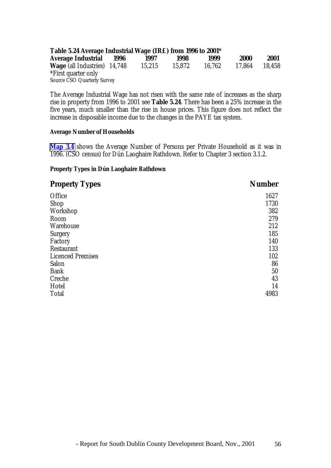| Table 5.24 Average Industrial Wage (IR£) from 1996 to 2001* |      |        |        |        |             |        |
|-------------------------------------------------------------|------|--------|--------|--------|-------------|--------|
| <b>Average Industrial</b>                                   | 1996 | 1997   | 1998   | 1999   | <b>2000</b> | 2001   |
| <b>Wage</b> (all Industries) 14,748                         |      | 15.215 | 15.872 | 16.762 | 17.864      | 18.458 |
| *First quarter only                                         |      |        |        |        |             |        |
| <b>Source CSO Quarterly Survey</b>                          |      |        |        |        |             |        |

The Average Industrial Wage has not risen with the same rate of increases as the sharp rise in property from 1996 to 2001 see **Table 5.24**. There has been a 25% increase in the five years, much smaller than the rise in house prices. This figure does not reflect the increase in disposable income due to the changes in the PAYE tax system.

#### **Average Number of Households**

**Map 3.4** shows the Average Number of Persons per Private Household as it was in 1996. (CSO census) for Dún Laoghaire Rathdown. Refer to Chapter 3 section 3.1.2.

#### **Property Types in Dún Laoghaire Rathdown**

| <b>Property Types</b>    | <b>Number</b> |
|--------------------------|---------------|
| Office                   | 1627          |
| Shop                     | 1730          |
| Workshop                 | 382           |
| Room                     | 279           |
| Warehouse                | 212           |
| <b>Surgery</b>           | 185           |
| Factory                  | 140           |
| <b>Restaurant</b>        | 133           |
| <b>Licenced Premises</b> | 102           |
| Salon                    | 86            |
| <b>Bank</b>              | 50            |
| Creche                   | 43            |
| Hotel                    | 14            |
| <b>Total</b>             | 4983          |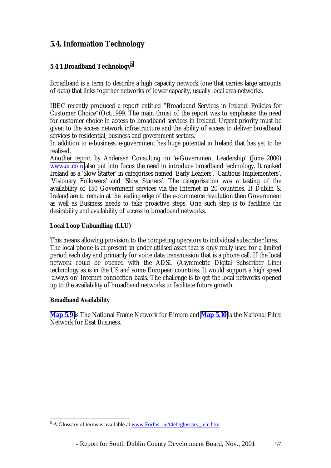### **5.4. Information Technology**

#### **5.4.1 Broadband Technology5**

Broadband is a term to describe a high capacity network (one that carries large amounts of data) that links together networks of lower capacity, usually local area networks.

IBEC recently produced a report entitled "Broadband Services in Ireland: Policies for Customer Choice"(Oct.1999. The main thrust of the report was to emphasise the need for customer choice in access to broadband services in Ireland. Urgent priority must be given to the access network infrastructure and the ability of access to deliver broadband services to residential, business and government sectors.

In addition to e-business, e-government has huge potential in Ireland that has yet to be realised.

Another report by Andersen Consulting on 'e-Government Leadership' (June 2000) [www.ac.com](http://www.ac.com/) also put into focus the need to introduce broadband technology. It ranked Ireland as a 'Slow Starter' in categorises named 'Early Leaders', 'Cautious Implementers', 'Visionary Followers' and 'Slow Starters'. The categorisation was a testing of the availability of 150 Government services via the Internet in 20 countries. If Dublin & Ireland are to remain at the leading edge of the e-commerce revolution then Government as well as Business needs to take proactive steps. One such step is to facilitate the desirability and availability of access to broadband networks.

#### **Local Loop Unbundling (LLU)**

This means allowing provision to the competing operators to individual subscriber lines. The local phone is at present an under-utilised asset that is only really used for a limited period each day and primarily for voice data transmission that is a phone call. If the local network could be opened with the ADSL (Asymmetric Digital Subscriber Line) technology as is in the US and some European countries. It would support a high speed 'always on' Internet connection basis. The challenge is to get the local networks opened up to the availability of broadband networks to facilitate future growth.

#### **Broadband Availability**

**Map 5.9** is The National Frame Network for Eircom and **Map 5.10** is the National Fibre Network for Esat Business.

<sup>&</sup>lt;sup>5</sup> A Glossary of terms is available at www.Forfas .ie/t4eb/glossary\_tele.htm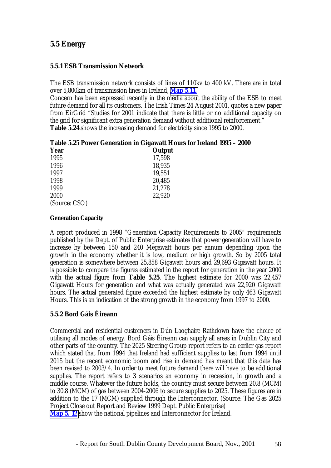#### **5.5 Energy**

#### **5.5.1 ESB Transmission Network**

The ESB transmission network consists of lines of 110kv to 400 kV. There are in total over 5,800km of transmission lines in Ireland, **Map 5.11.**

Concern has been expressed recently in the media about the ability of the ESB to meet future demand for all its customers. The Irish Times 24 August 2001, quotes a new paper from EirGrid "Studies for 2001 indicate that there is little or no additional capacity on the grid for significant extra generation demand without additional reinforcement." **Table 5.24**.shows the increasing demand for electricity since 1995 to 2000.

|  | Table 5.25 Power Generation in Gigawatt Hours for Ireland 1995 – 2000 |
|--|-----------------------------------------------------------------------|
|--|-----------------------------------------------------------------------|

| <b>Year</b>   | Output |
|---------------|--------|
| 1995          | 17,598 |
| 1996          | 18,935 |
| 1997          | 19,551 |
| 1998          | 20,485 |
| 1999          | 21,278 |
| 2000          | 22,920 |
| (Source: CSO) |        |

#### **Generation Capacity**

A report produced in 1998 "Generation Capacity Requirements to 2005" requirements published by the Dept. of Public Enterprise estimates that power generation will have to increase by between 150 and 240 Megawatt hours per annum depending upon the growth in the economy whether it is low, medium or high growth. So by 2005 total generation is somewhere between 25,858 Gigawatt hours and 29,693 Gigawatt hours. It is possible to compare the figures estimated in the report for generation in the year 2000 with the actual figure from **Table 5.25**. The highest estimate for 2000 was 22,457 Gigawatt Hours for generation and what was actually generated was 22,920 Gigawatt hours. The actual generated figure exceeded the highest estimate by only 463 Gigawatt Hours. This is an indication of the strong growth in the economy from 1997 to 2000.

#### **5.5.2 Bord Gáis Éireann**

Commercial and residential customers in Dún Laoghaire Rathdown have the choice of utilising all modes of energy. Bord Gáis Éireann can supply all areas in Dublin City and other parts of the country. The 2025 Steering Group report refers to an earlier gas report which stated that from 1994 that Ireland had sufficient supplies to last from 1994 until 2015 but the recent economic boom and rise in demand has meant that this date has been revised to 2003/4. In order to meet future demand there will have to be additional supplies. The report refers to 3 scenarios an economy in recession, in growth and a middle course. Whatever the future holds, the country must secure between 20.8 (MCM) to 30.8 (MCM) of gas between 2004-2006 to secure supplies to 2025. These figures are in addition to the 17 (MCM) supplied through the Interconnector. (Source: The Gas 2025 Project Close out Report and Review 1999 Dept. Public Enterprise) **Map 5. 12** show the national pipelines and Interconnector for Ireland.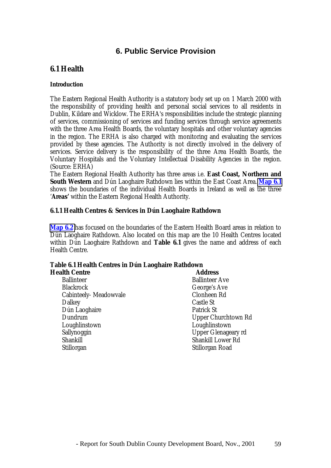#### **6. Public Service Provision**

### **6.1 Health**

#### **Introduction**

The Eastern Regional Health Authority is a statutory body set up on 1 March 2000 with the responsibility of providing health and personal social services to all residents in Dublin, Kildare and Wicklow. The ERHA's responsibilities include the strategic planning of services, commissioning of services and funding services through service agreements with the three Area Health Boards, the voluntary hospitals and other voluntary agencies in the region. The ERHA is also charged with monitoring and evaluating the services provided by these agencies. The Authority is not directly involved in the delivery of services. Service delivery is the responsibility of the three Area Health Boards, the Voluntary Hospitals and the Voluntary Intellectual Disability Agencies in the region. (Source: ERHA)

The Eastern Regional Health Authority has three areas i.e. **East Coast, Northern and South Western** and Dún Laoghaire Rathdown lies within the East Coast Area. **Map 6.1** shows the boundaries of the individual Health Boards in Ireland as well as the three '**Areas'** within the Eastern Regional Health Authority.

#### **6.1.1 Health Centres & Services in Dún Laoghaire Rathdown**

**Map 6.2** has focused on the boundaries of the Eastern Health Board areas in relation to Dún Laoghaire Rathdown. Also located on this map are the 10 Health Centres located within Dún Laoghaire Rathdown and **Table 6.1** gives the name and address of each Health Centre.

# **Table 6.1 Health Centres in Dún Laoghaire Rathdown**

| <b>Health Centre</b>   | <b>Address</b>             |  |  |
|------------------------|----------------------------|--|--|
| <b>Ballinteer</b>      | <b>Ballinteer Ave</b>      |  |  |
| <b>Blackrock</b>       | George's Ave               |  |  |
| Cabinteely- Meadowvale | <b>Clonheen Rd</b>         |  |  |
| <b>Dalkey</b>          | <b>Castle St</b>           |  |  |
| Dún Laoghaire          | <b>Patrick St</b>          |  |  |
| Dundrum                | <b>Upper Churchtown Rd</b> |  |  |
| Loughlinstown          | Loughlinstown              |  |  |
| Sallynoggin            | <b>Upper Glenageary rd</b> |  |  |
| Shankill               | <b>Shankill Lower Rd</b>   |  |  |
| Stillorgan             | Stillorgan Road            |  |  |
|                        |                            |  |  |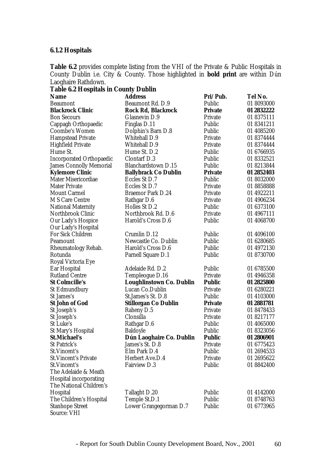#### **6.1.2 Hospitals**

**Table 6.2** provides complete listing from the VHI of the Private & Public Hospitals in County Dublin i.e. City & County. Those highlighted in **bold print** are within Dún Laoghaire Rathdown.

| <b>Table 6.2 Hospitals in County Dublin</b> |                                 |                |            |
|---------------------------------------------|---------------------------------|----------------|------------|
| <b>Name</b>                                 | <b>Address</b>                  | Pri/Pub.       | Tel No.    |
| <b>Beaumont</b>                             | Beaumont Rd. D.9                | Public         | 01 8093000 |
| <b>Blackrock Clinic</b>                     | Rock Rd, Blackrock              | <b>Private</b> | 01 2832222 |
| <b>Bon Secours</b>                          | Glasnevin D.9                   | Private        | 01 8375111 |
| Cappagh Orthopaedic                         | Finglas D.11                    | Public         | 01 8341211 |
| Coombe's Women                              | Dolphin's Barn D.8              | Public         | 01 4085200 |
| <b>Hampstead Private</b>                    | <b>Whitehall D.9</b>            | Private        | 01 8374444 |
| <b>Highfield Private</b>                    | <b>Whitehall D.9</b>            | Private        | 01 8374444 |
| Hume St.                                    | Hume St. D.2                    | Public         | 01 6766935 |
| <b>Incorporated Orthopaedic</b>             | <b>Clontarf D.3</b>             | Public         | 01 8332521 |
| <b>James Connolly Memorial</b>              | <b>Blanchardstown D.15</b>      | Public         | 01 8213844 |
| <b>Kylemore Clinic</b>                      | <b>Ballybrack Co Dublin</b>     | <b>Private</b> | 01 2852403 |
| <b>Mater Misericordiae</b>                  | Eccles St D.7                   | Public         | 01 8032000 |
| <b>Mater Private</b>                        | Eccles St D.7                   | Private        | 01 8858888 |
| <b>Mount Carmel</b>                         | <b>Braemor Park D.24</b>        | Private        | 01 4922211 |
| M S Care Centre                             | Rathgar D.6                     | Private        | 01 4906234 |
| <b>National Maternity</b>                   | Holles St D.2                   | Public         | 01 6373100 |
| Northbrook Clinic                           | Northbrook Rd. D.6              | Private        | 01 4967111 |
| Our Lady's Hospice                          | Harold's Cross D.6              | Public         | 01 4068700 |
| Our Lady's Hospital                         |                                 |                |            |
| <b>For Sick Children</b>                    | Crumlin D.12                    | Public         | 01 4096100 |
| Peamount                                    | Newcastle Co. Dublin            | Public         | 01 6280685 |
| Rheumatology Rehab.                         | Harold's Cross D.6              | Public         | 01 4972130 |
| Rotunda                                     | Parnell Square D.1              | Public         | 01 8730700 |
| Royal Victoria Eye                          |                                 |                |            |
| Ear Hospital                                | Adelaide Rd. D.2                | Public         | 01 6785500 |
| <b>Rutland Centre</b>                       | Templeogue D.16                 | Private        | 01 4946358 |
| <b>St Colmcille's</b>                       | <b>Loughlinstown Co. Dublin</b> | <b>Public</b>  | 01 2825800 |
| <b>St Edmundbury</b>                        | Lucan Co.Dublin                 | Private        | 01 6280221 |
| St James's                                  | St.James's St. D.8              | Public         | 01 4103000 |
| <b>St John of God</b>                       | Stillorgan Co Dublin            | <b>Private</b> | 01 2881781 |
| St Joseph's                                 | Raheny D.5                      | Private        | 01 8478433 |
| St Joseph's                                 | Clonsilla                       | Private        | 01 8217177 |
| St Luke's                                   | Rathgar D.6                     | Public         | 01 4065000 |
| St Mary's Hospital                          | <b>Baldoyle</b>                 | Public         | 01 8323056 |
| <b>St.Michael's</b>                         | Dún Laoghaire Co. Dublin        | <b>Public</b>  | 01 2806901 |
| St Patrick's                                | James's St. D.8                 | Private        | 01 6775423 |
| St.Vincent's                                | Elm Park D.4                    | Public         | 01 2694533 |
| <b>St. Vincent's Private</b>                | Herbert Ave.D.4                 | Private        | 01 2695622 |
| St. Vincent's                               | <b>Fairview D.3</b>             | Public         | 01 8842400 |
| The Adelaide & Meath                        |                                 |                |            |
| <b>Hospital incorporating</b>               |                                 |                |            |
| The National Children's                     |                                 |                |            |
| Hospital                                    | Tallaght D.20                   | Public         | 01 4142000 |
| The Children's Hospital                     | Temple St.D.1                   | Public         | 01 8748763 |
| <b>Stanhope Street</b>                      | Lower Grangegorman D.7          | Public         | 01 6773965 |
| <b>Source: VHI</b>                          |                                 |                |            |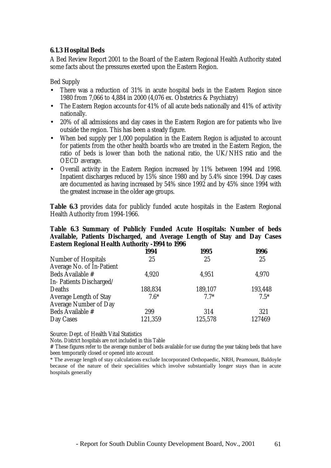#### **6.1.3 Hospital Beds**

A Bed Review Report 2001 to the Board of the Eastern Regional Health Authority stated some facts about the pressures exerted upon the Eastern Region.

Bed Supply

- There was a reduction of 31% in acute hospital beds in the Eastern Region since 1980 from 7,066 to 4,884 in 2000 (4,076 ex. Obstetrics & Psychiatry)
- The Eastern Region accounts for 41% of all acute beds nationally and 41% of activity nationally.
- 20% of all admissions and day cases in the Eastern Region are for patients who live outside the region. This has been a steady figure.
- When bed supply per 1,000 population in the Eastern Region is adjusted to account for patients from the other health boards who are treated in the Eastern Region, the ratio of beds is lower than both the national ratio, the UK/NHS ratio and the OECD average.
- Overall activity in the Eastern Region increased by 11% between 1994 and 1998. Inpatient discharges reduced by 15% since 1980 and by 5.4% since 1994. Day cases are documented as having increased by 54% since 1992 and by 45% since 1994 with the greatest increase in the older age groups.

**Table 6.3** provides data for publicly funded acute hospitals in the Eastern Regional Health Authority from 1994-1966.

#### **Table 6.3 Summary of Publicly Funded Acute Hospitals: Number of beds Available, Patients Discharged, and Average Length of Stay and Day Cases Eastern Regional Health Authority -1994 to 1996**

|                               | 1994    | 1995    | 1996    |
|-------------------------------|---------|---------|---------|
| <b>Number of Hospitals</b>    | 25      | 25      | 25      |
| Average No. of In-Patient     |         |         |         |
| Beds Available #              | 4,920   | 4,951   | 4,970   |
| In-Patients Discharged/       |         |         |         |
| Deaths                        | 188,834 | 189,107 | 193,448 |
| <b>Average Length of Stay</b> | $7.6*$  | $7.7*$  | $7.5*$  |
| <b>Average Number of Day</b>  |         |         |         |
| Beds Available #              | 299     | 314     | 321     |
| Day Cases                     | 121,359 | 125,578 | 127469  |

Source: Dept. of Health Vital Statistics

Note**.** District hospitals are not included in this Table

# These figures refer to the average number of beds available for use during the year taking beds that have been temporarily closed or opened into account

\* The average length of stay calculations exclude Incorporated Orthopaedic, NRH, Peamount, Baldoyle because of the nature of their specialities which involve substantially longer stays than in acute hospitals generally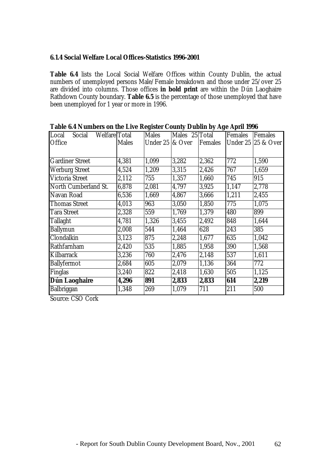### **6.1.4 Social Welfare Local Offices-Statistics 1996-2001**

**Table 6.4** lists the Local Social Welfare Offices within County Dublin, the actual numbers of unemployed persons Male/Female breakdown and those under 25/over 25 are divided into columns. Those offices **in bold print** are within the Dún Laoghaire Rathdown County boundary. **Table 6.5** is the percentage of those unemployed that have been unemployed for 1 year or more in 1996.

|                                  |              |                              |                | ъ       |         |                    |
|----------------------------------|--------------|------------------------------|----------------|---------|---------|--------------------|
| Local<br>Welfare Total<br>Social |              | <b>Males</b>                 | Males 25 Total |         | Females | Females            |
| Office                           | <b>Males</b> | Under $25 \, \text{kg}$ Over |                | Females |         | Under 25 25 & Over |
|                                  |              |                              |                |         |         |                    |
| <b>Gardiner Street</b>           | 4,381        | 1,099                        | 3,282          | 2,362   | 772     | 1,590              |
| <b>Werburg Street</b>            | 4,524        | 1,209                        | 3,315          | 2,426   | 767     | 1,659              |
| <b>Victoria Street</b>           | 2,112        | 755                          | 1,357          | 1,660   | 745     | 915                |
| North Cumberland St.             | 6,878        | 2,081                        | 4,797          | 3,925   | 1,147   | 2,778              |
| Navan Road                       | 6,536        | 1,669                        | 4,867          | 3,666   | 1,211   | 2,455              |
| <b>Thomas Street</b>             | 4,013        | 963                          | 3,050          | 1,850   | 775     | 1,075              |
| <b>Tara Street</b>               | 2,328        | 559                          | 1,769          | 1,379   | 480     | 899                |
| <b>Tallaght</b>                  | 4,781        | 1,326                        | 3,455          | 2,492   | 848     | 1,644              |
| <b>Ballymun</b>                  | 2,008        | 544                          | 1,464          | 628     | 243     | 385                |
| Clondalkin                       | 3,123        | 875                          | 2,248          | 1,677   | 635     | 1,042              |
| Rathfarnham                      | 2,420        | 535                          | 1,885          | 1,958   | 390     | 1,568              |
| Kilbarrack                       | 3,236        | 760                          | 2,476          | 2,148   | 537     | 1,611              |
| <b>Ballyfermot</b>               | 2,684        | 605                          | 2,079          | 1,136   | 364     | 772                |
| Finglas                          | 3,240        | 822                          | 2,418          | 1,630   | 505     | 1,125              |
| Dún Laoghaire                    | 4,296        | 891                          | 2,833          | 2,833   | 614     | 2,219              |
| Balbriggan                       | 1,348        | 269                          | 1,079          | 711     | 211     | 500                |

**Table 6.4 Numbers on the Live Register County Dublin by Age April 1996**

Source: CSO Cork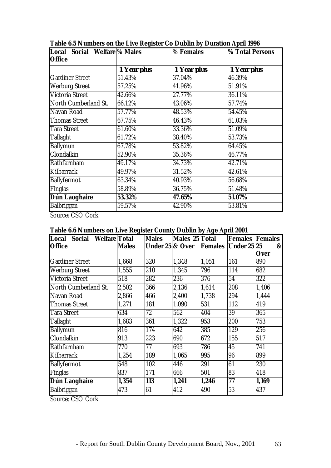| Local Social Welfare <sup>9</sup> % Males |             | % Females   | <b>% Total Persons</b> |
|-------------------------------------------|-------------|-------------|------------------------|
| <b>Office</b>                             |             |             |                        |
|                                           | 1 Year plus | 1 Year plus | 1 Year plus            |
| <b>Gardiner Street</b>                    | 51.43%      | 37.04%      | 46.39%                 |
| <b>Werburg Street</b>                     | 57.25%      | 41.96%      | 51.91%                 |
| <b>Victoria Street</b>                    | 42.66%      | 27.77%      | 36.11%                 |
| North Cumberland St.                      | 66.12%      | 43.06%      | 57.74%                 |
| Navan Road                                | 57.77%      | 48.53%      | 54.45%                 |
| <b>Thomas Street</b>                      | 67.75%      | 46.43%      | 61.03%                 |
| <b>Tara Street</b>                        | 61.60%      | 33.36%      | 51.09%                 |
| <b>Tallaght</b>                           | 61.72%      | 38.40%      | 53.73%                 |
| <b>Ballymun</b>                           | 67.78%      | 53.82%      | 64.45%                 |
| Clondalkin                                | 52.90%      | 35.36%      | 46.77%                 |
| Rathfarnham                               | 49.17%      | 34.73%      | 42.71%                 |
| Kilbarrack                                | 49.97%      | 31.52%      | 42.61%                 |
| <b>Ballyfermot</b>                        | 63.34%      | 40.93%      | 56.68%                 |
| <b>Finglas</b>                            | 58.89%      | 36.75%      | 51.48%                 |
| Dún Laoghaire                             | 53.32%      | 47.65%      | 51.07%                 |
| Balbriggan                                | 59.57%      | 42.90%      | 53.81%                 |

**Table 6.5 Numbers on the Live Register Co Dublin by Duration April 1996**

Source: CSO Cork

# **Table 6.6 Numbers on Live Register County Dublin by Age April 2001**

| Local Social Welfare Total |              | <b>Males</b>               | Males 25 Total |       | <b>Females Females</b>     |              |
|----------------------------|--------------|----------------------------|----------------|-------|----------------------------|--------------|
| <b>Office</b>              | <b>Males</b> | <b>Under 25 &amp; Over</b> |                |       | <b>Females Under 25 25</b> | $\mathbf{g}$ |
|                            |              |                            |                |       |                            | <b>Over</b>  |
| <b>Gardiner Street</b>     | 1,668        | 320                        | 1,348          | 1,051 | 161                        | 890          |
| <b>Werburg Street</b>      | 1,555        | 210                        | 1,345          | 796   | 114                        | 682          |
| <b>Victoria Street</b>     | 518          | 282                        | 236            | 376   | 54                         | 322          |
| North Cumberland St.       | 2,502        | 366                        | 2,136          | 1,614 | 208                        | 1,406        |
| Navan Road                 | 2,866        | 466                        | 2,400          | 1,738 | 294                        | 1,444        |
| <b>Thomas Street</b>       | 1,271        | 181                        | 1,090          | 531   | 112                        | 419          |
| <b>Tara Street</b>         | 634          | 72                         | 562            | 404   | 39                         | 365          |
| <b>Tallaght</b>            | 1,683        | 361                        | 1,322          | 953   | 200                        | 753          |
| <b>Ballymun</b>            | 816          | 174                        | 642            | 385   | 129                        | 256          |
| Clondalkin                 | 913          | 223                        | 690            | 672   | 155                        | 517          |
| Rathfarnham                | 770          | 77                         | 693            | 786   | 45                         | 741          |
| Kilbarrack                 | 1,254        | 189                        | 1,065          | 995   | 96                         | 899          |
| <b>Ballyfermot</b>         | 548          | 102                        | 446            | 291   | 61                         | 230          |
| Finglas                    | 837          | 171                        | 666            | 501   | 83                         | 418          |
| Dún Laoghaire              | 1,354        | 113                        | 1,241          | 1,246 | 77                         | 1,169        |
| Balbriggan                 | 473          | 61                         | 412            | 490   | 53                         | 437          |

Source: CSO Cork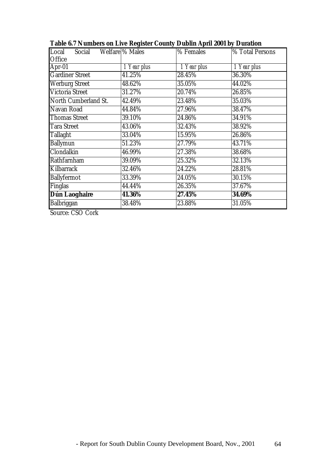| Social Welfare % Males<br>Local |             | % Females   | % Total Persons |
|---------------------------------|-------------|-------------|-----------------|
| Office                          |             |             |                 |
| Apr-01                          | 1 Year plus | 1 Year plus | 1 Year plus     |
| <b>Gardiner Street</b>          | 41.25%      | 28.45%      | 36.30%          |
| <b>Werburg Street</b>           | 48.62%      | 35.05%      | 44.02%          |
| <b>Victoria Street</b>          | 31.27%      | 20.74%      | 26.85%          |
| North Cumberland St.            | 42.49%      | 23.48%      | 35.03%          |
| Navan Road                      | 44.84%      | 27.96%      | 38.47%          |
| <b>Thomas Street</b>            | 39.10%      | 24.86%      | 34.91%          |
| <b>Tara Street</b>              | 43.06%      | 32.43%      | 38.92%          |
| <b>Tallaght</b>                 | 33.04%      | $15.95\%$   | 26.86%          |
| <b>Ballymun</b>                 | 51.23%      | 27.79%      | 43.71%          |
| Clondalkin                      | 46.99%      | 27.38%      | 38.68%          |
| Rathfarnham                     | 39.09%      | 25.32%      | 32.13%          |
| Kilbarrack                      | 32.46%      | 24.22%      | 28.81%          |
| <b>Ballyfermot</b>              | 33.39%      | 24.05%      | 30.15%          |
| <b>Finglas</b>                  | 44.44%      | 26.35%      | 37.67%          |
| <b>Dún Laoghaire</b>            | 41.36%      | 27.45%      | 34.69%          |
| Balbriggan                      | 38.48%      | 23.88%      | 31.05%          |
|                                 |             |             |                 |

**Table 6.7 Numbers on Live Register County Dublin April 2001 by Duration**

Source: CSO Cork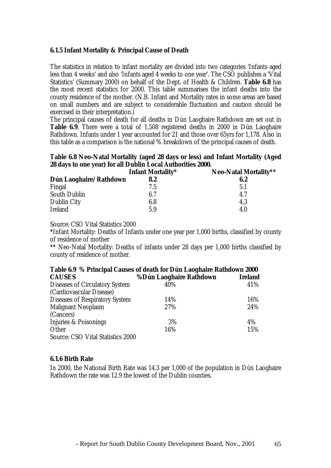### **6.1.5 Infant Mortality & Principal Cause of Death**

The statistics in relation to infant mortality are divided into two categories 'Infants aged less than 4 weeks' and also 'Infants aged 4 weeks to one year'. The CSO publishes a 'Vital Statistics' (Summary 2000) on behalf of the Dept. of Health & Children. **Table 6.8** has the most recent statistics for 2000. This table summarises the infant deaths into the county residence of the mother. (N.B. Infant and Mortality rates in some areas are based on small numbers and are subject to considerable fluctuation and caution should be exercised in their interpretation.)

The principal causes of death for all deaths in Dún Laoghaire Rathdown are set out in **Table 6.9**. There were a total of 1,508 registered deaths in 2000 in Dún Laoghaire Rathdown. Infants under 1 year accounted for 21 and those over 65yrs for 1,178. Also in this table as a comparison is the national % breakdown of the principal causes of death.

# **Table 6.8 Neo-Natal Mortality (aged 28 days or less) and Infant Mortality (Aged 28 days to one year) for all Dublin Local Authorities 2000.**

|                        | <b>Infant Mortality*</b> | Neo-Natal Mortality** |
|------------------------|--------------------------|-----------------------|
| Dún Laoghaire/Rathdown | 8.2                      | 6.2                   |
| Fingal                 | 7.5                      | 5.1                   |
| <b>South Dublin</b>    | 6.7                      | 4.7                   |
| <b>Dublin City</b>     | 6.8                      | 4.3                   |
| <b>Ireland</b>         | 5.9                      | 4.0                   |

Source: CSO Vital Statistics 2000

\*Infant Mortality: Deaths of Infants under one year per 1,000 births, classified by county of residence of mother

\*\* Neo-Natal Mortality: Deaths of infants under 28 days per 1,000 births classified by county of residence of mother.

| Table 6.9 % Principal Causes of death for Dún Laoghaire Rathdown 2000 |                         |                |  |  |  |  |  |
|-----------------------------------------------------------------------|-------------------------|----------------|--|--|--|--|--|
| <b>CAUSES</b>                                                         | %Dún Laoghaire Rathdown | <b>Ireland</b> |  |  |  |  |  |
| <b>Diseases of Circulatory System</b>                                 | 40%                     | 41%            |  |  |  |  |  |
| (Cardiovascular Disease)                                              |                         |                |  |  |  |  |  |
| <b>Diseases of Respiratory System</b>                                 | 14%                     | 16%            |  |  |  |  |  |
| <b>Malignant Neoplasm</b>                                             | 27%                     | 24%            |  |  |  |  |  |
| (Cancers)                                                             |                         |                |  |  |  |  |  |
| Injuries & Poisonings                                                 | 3%                      | 4%             |  |  |  |  |  |
| Other                                                                 | 16%                     | 15%            |  |  |  |  |  |
| <b>Source: CSO Vital Statistics 2000</b>                              |                         |                |  |  |  |  |  |

#### **6.1.6 Birth Rate**

In 2000, the National Birth Rate was 14.3 per 1,000 of the population in Dún Laoghaire Rathdown the rate was 12.9 the lowest of the Dublin counties.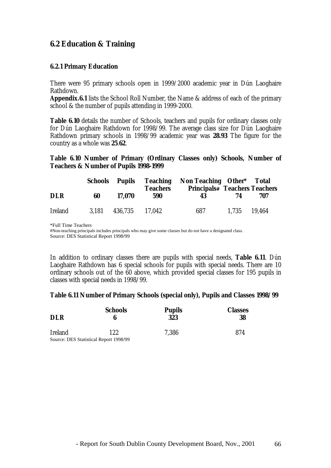# **6.2 Education & Training**

### **6.2.1 Primary Education**

There were 95 primary schools open in 1999/2000 academic year in Dún Laoghaire Rathdown.

**Appendix.6.1** lists the School Roll Number, the Name & address of each of the primary school & the number of pupils attending in 1999-2000.

**Table 6.10** details the number of Schools, teachers and pupils for ordinary classes only for Dún Laoghaire Rathdown for 1998/99. The average class size for Dún Laoghaire Rathdown primary schools in 1998/99 academic year was **28.93** The figure for the country as a whole was **25**.**62**.

#### **Table 6.10 Number of Primary (Ordinary Classes only) Schools, Number of Teachers & Number of Pupils 1998-1999**

|                | <b>Schools</b> Pupils |         | <b>Teachers</b> | Teaching Non Teaching Other* Total<br><b>Principals# Teachers Teachers</b> |              |     |  |
|----------------|-----------------------|---------|-----------------|----------------------------------------------------------------------------|--------------|-----|--|
| <b>DLR</b>     | 60                    | 17.070  | 590             | 43                                                                         | 74           | 707 |  |
| <b>Ireland</b> | 3.181                 | 436,735 | 17.042          | 687                                                                        | 1,735 19,464 |     |  |

\*Full Time Teachers #Non-teaching principals includes principals who may give some classes but do not have a designated class. Source: DES Statistical Report 1998/99

In addition to ordinary classes there are pupils with special needs, **Table 6.11**. Dún Laoghaire Rathdown has 6 special schools for pupils with special needs. There are 10 ordinary schools out of the 60 above, which provided special classes for 195 pupils in classes with special needs in 1998/99.

#### **Table 6.11 Number of Primary Schools (special only), Pupils and Classes 1998/99**

| <b>DLR</b>     | <b>Schools</b><br>6                    | <b>Pupils</b><br>323 | <b>Classes</b><br>38 |
|----------------|----------------------------------------|----------------------|----------------------|
| <b>Ireland</b> | 122                                    | 7.386                | 874                  |
|                | Source: DES Statistical Report 1998/99 |                      |                      |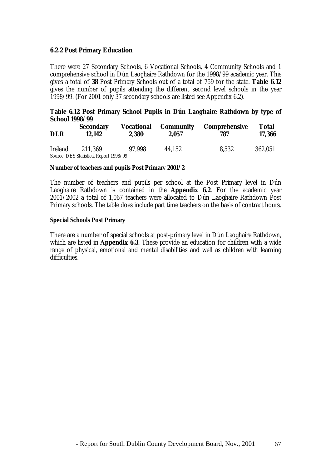#### **6.2.2 Post Primary Education**

There were 27 Secondary Schools, 6 Vocational Schools, 4 Community Schools and 1 comprehensive school in Dún Laoghaire Rathdown for the 1998/99 academic year. This gives a total of **38** Post Primary Schools out of a total of 759 for the state. **Table 6.12** gives the number of pupils attending the different second level schools in the year 1998/99. (For 2001 only 37 secondary schools are listed see Appendix 6.2).

#### **Table 6.12 Post Primary School Pupils in Dún Laoghaire Rathdown by type of School 1998/99**

| <b>DLR</b>     | <b>Secondary</b><br>12.142             | <b>Vocational</b><br>2.380 | <b>Community</b><br>2.057 | <b>Comprehensive</b><br>787 | <b>Total</b><br>17,366 |
|----------------|----------------------------------------|----------------------------|---------------------------|-----------------------------|------------------------|
| <b>Ireland</b> | 211.369                                | 97.998                     | 44.152                    | 8,532                       | 362,051                |
|                | Source: DES Statistical Report 1998/99 |                            |                           |                             |                        |

#### **Number of teachers and pupils Post Primary 2001/2**

The number of teachers and pupils per school at the Post Primary level in Dún Laoghaire Rathdown is contained in the **Appendix 6.2**. For the academic year 2001/2002 a total of 1,067 teachers were allocated to Dún Laoghaire Rathdown Post Primary schools. The table does include part time teachers on the basis of contract hours.

#### **Special Schools Post Primary**

There are a number of special schools at post-primary level in Dún Laoghaire Rathdown, which are listed in **Appendix 6.3.** These provide an education for children with a wide range of physical, emotional and mental disabilities and well as children with learning difficulties.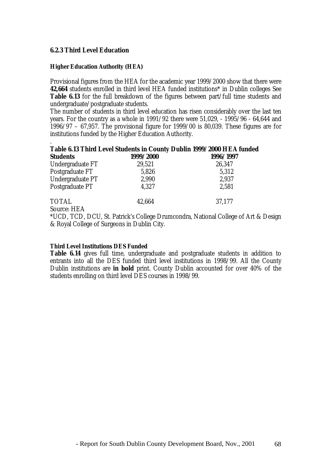#### **6.2.3 Third Level Education**

#### **Higher Education Authority (HEA)**

Provisional figures from the HEA for the academic year 1999/2000 show that there were **42,664** students enrolled in third level HEA funded institutions\* in Dublin colleges See **Table 6.13** for the full breakdown of the figures between part/full time students and undergraduate/postgraduate students.

The number of students in third level education has risen considerably over the last ten years. For the country as a whole in 1991/92 there were 51,029, - 1995/96 - 64,644 and 1996/97 – 67,957. The provisional figure for 1999/00 is 80,039. These figures are for institutions funded by the Higher Education Authority.

# . **Table 6.13 Third Level Students in County Dublin 1999/2000 HEA funded**

| <b>Students</b>  | 1999/2000 | 1996/1997 |
|------------------|-----------|-----------|
| Undergraduate FT | 29,521    | 26,347    |
| Postgraduate FT  | 5,826     | 5,312     |
| Undergraduate PT | 2,990     | 2,937     |
| Postgraduate PT  | 4,327     | 2,581     |
| <b>TOTAL</b>     | 42,664    | 37,177    |

Source: HEA

\*UCD, TCD, DCU, St. Patrick's College Drumcondra, National College of Art & Design & Royal College of Surgeons in Dublin City.

#### **Third Level Institutions DES Funded**

**Table 6.14** gives full time, undergraduate and postgraduate students in addition to entrants into all the DES funded third level institutions in 1998/99. All the County Dublin institutions are **in bold** print. County Dublin accounted for over 40% of the students enrolling on third level DES courses in 1998/99.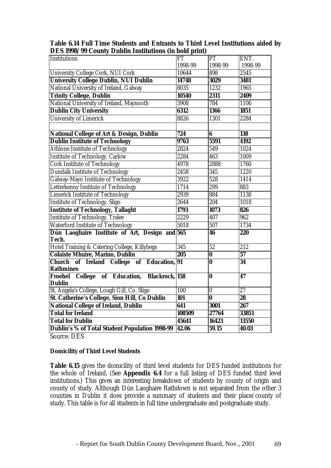| Dublin's % of Total Student Population 1998-99          | 42.06            | 59.15                   | 40.03            |
|---------------------------------------------------------|------------------|-------------------------|------------------|
| <b>Total for Dublin</b>                                 | 45641            | 16423                   | 13550            |
| <b>Total for Ireland</b>                                | 108509           | 27764                   | 33851            |
| <b>National College of Ireland, Dublin</b>              | 641              | 3001                    | 267              |
| St. Catherine's College, Sion Hill, Co Dublin           | 101              | $\overline{\mathbf{0}}$ | $\overline{28}$  |
| St. Angela's College, Lough Gill, Co. Sligo             | 100              | $\overline{\mathbf{0}}$ | $\overline{27}$  |
| Froebel College of Education, Blackrock, 158<br>Dublin  |                  | $\overline{\mathbf{0}}$ | $\overline{47}$  |
| <b>Rathmines</b>                                        |                  |                         |                  |
| Church of Ireland College of Education, 91              |                  | $\overline{\mathbf{0}}$ | $\overline{34}$  |
| <b>Colaiste Mhuire, Marino, Dublin</b>                  | $\overline{205}$ | $\bf{0}$                | 57               |
| Hotel Training & Catering College, Killybegs            | 345              | 52                      | $\overline{212}$ |
| Dún Laoghaire Institute of Art, Design and 565<br>Tech. |                  | 46                      | 220              |
| <b>Waterford Institute of Technology</b>                | 5018             | 507                     | 1734             |
| <b>Institute of Technology, Tralee</b>                  | 2229             | 407                     | 962              |
| <b>Institute of Technology, Tallaght</b>                | 1793             | 1073                    | 826              |
| <b>Institute of Technology, Sligo</b>                   | 2644             | 204                     | 1018             |
| <b>Limerick Institute of Technology</b>                 | 2939             | 884                     | 1138             |
| Letterkenny Institute of Technology                     | 1714             | 299                     | 883              |
| Galway-Mayo Institute of Technology                     | 3922             | 528                     | 1414             |
| <b>Dundalk Institute of Technology</b>                  | 2458             | $\overline{345}$        | 1220             |
| <b>Cork Institute of Technology</b>                     | 4978             | 2888                    | 1760             |
| <b>Institute of Technology, Carlow</b>                  | 2284             | 463                     | 1009             |
| <b>Athlone Institute of Technology</b>                  | 2824             | 549                     | 1024             |
| <b>Dublin Institute of Technology</b>                   | 9763             | 5591                    | 4192             |
| <b>National College of Art &amp; Design, Dublin</b>     | 724              | 6                       | 138              |
| <b>University of Limerick</b>                           |                  | 1301                    |                  |
| <b>Dublin City University</b>                           | 6312<br>8826     | 1366                    | 1851<br>2284     |
| National University of Ireland, Maynooth                | 3908             | 784                     | 1106             |
| <b>Trinity College, Dublin</b>                          | 10540            | 2311                    | 2409             |
| National University of Ireland, Galway                  | 8035             | 1232                    | 1965             |
| <b>University College Dublin, NUI Dublin</b>            | 14748            | 3029                    | 3481             |
| University College Cork, NUI Cork                       | 10644            | 898                     | 2545             |
|                                                         | 1998-99          | 1998-99                 | 1998-99          |
| Institutions                                            | FT               | PT                      | ENT.             |
| рто тооо, оо сомигү равши тизиканонз үш вом ришт        |                  |                         |                  |

**Table 6.14 Full Time Students and Entrants to Third Level Institutions aided by DES 1998/99 County Dublin Institutions (in bold print)**

Source: DES

#### **Domicility of Third Level Students**

**Table 6.15** gives the domicility of third level students for DES funded institutions for the whole of Ireland. (See **Appendix 6.4** for a full listing of DES funded third level institutions.) This gives an interesting breakdown of students by county of origin and county of study. Although Dún Laoghaire Rathdown is not separated from the other 3 counties in Dublin it does provide a summary of students and their place/county of study. This table is for all students in full time undergraduate and postgraduate study.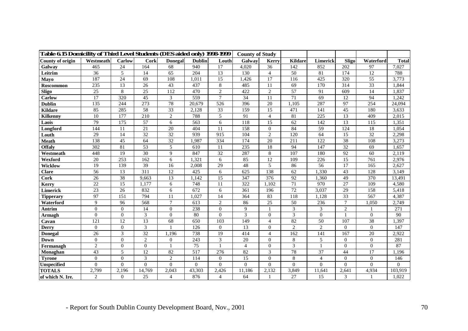| Table 6.15 Domicility of Third Level Students (DES aided only) 1998-1999 |                 |                 |                 | <b>County of Study</b> |                 |                 |                  |                  |                 |                |                |                |                |
|--------------------------------------------------------------------------|-----------------|-----------------|-----------------|------------------------|-----------------|-----------------|------------------|------------------|-----------------|----------------|----------------|----------------|----------------|
| County of origin                                                         | Westmeath       | Carlow          | Cork            | <b>Donegal</b>         | <b>Dublin</b>   | Louth           | Galway           | Kerry            | <b>Kildare</b>  | Limerick       | Sligo          | Waterford      | <b>Total</b>   |
| Galway                                                                   | 465             | $\overline{24}$ | 164             | 68                     | 940             | $\overline{17}$ | 4,020            | $\overline{36}$  | 142             | 852            | 202            | 97             | 7,027          |
| Leitrim                                                                  | 36              | 5               | 14              | 65                     | 204             | 13              | 130              | $\overline{4}$   | 50              | 81             | 174            | 12             | 788            |
| Mayo                                                                     | 187             | 24              | 69              | 108                    | 1,011           | 15              | 1,426            | 17               | 116             | 425            | 320            | 55             | 3,773          |
| Roscommon                                                                | 235             | 13              | 26              | 43                     | 437             | 8               | 485              | 11               | 69              | 170            | 314            | 33             | 1,844          |
| <b>Sligo</b>                                                             | 25              | 8               | 25              | 112                    | 470             | $\overline{2}$  | 422              | 2                | 57              | 91             | 609            | 14             | 1,837          |
| <b>Carlow</b>                                                            | 17              | 320             | 45              | 3                      | 559             | $\overline{7}$  | 34               | 11               | 71              | 69             | 12             | 94             | 1,242          |
| <b>Dublin</b>                                                            | 135             | 244             | 273             | 78                     | 20,679          | 526             | 396              | 20               | 1,105           | 287            | 97             | 254            | 24,094         |
| <b>Kildare</b>                                                           | 85              | 285             | 58              | 33                     | 2,128           | 33              | 159              | 15               | 471             | 141            | 45             | 180            | 3,633          |
| <b>Kilkenny</b>                                                          | 10              | 177             | 210             | $\overline{2}$         | 788             | 5               | 91               | $\overline{4}$   | 81              | 225            | 13             | 409            | 2,015          |
| Laois                                                                    | 79              | 175             | 57              | 6                      | 563             | 6               | 118              | 15               | 62              | 142            | 13             | 115            | 1,351          |
| Longford                                                                 | 144             | 11              | 21              | 20                     | 404             | 11              | 158              | $\overline{0}$   | 84              | 59             | 124            | 18             | 1,054          |
| Louth                                                                    | 29              | 14              | 32              | 32                     | 939             | 915             | 104              | 2                | 120             | 64             | 15             | 32             | 2,298          |
| <b>Meath</b>                                                             | 138             | 45              | 64              | 32                     | 1,987           | 334             | 174              | 20               | 211             | 122            | 38             | 108            | 3,273          |
| <b>Offaly</b>                                                            | 302             | 81              | 53              | 5                      | 610             | 11              | 235              | 18               | 94              | 147            | 32             | 69             | 1,657          |
| Westmeath                                                                | 448             | 19              | 30              | 9                      | 847             | 32              | 287              | 8                | 107             | 180            | 92             | 60             | 2,119          |
| Wexford                                                                  | 20              | 253             | 162             | 6                      | 1,321           | 6               | 85               | 12               | 109             | 226            | 15             | 761            | 2,976          |
| Wicklow                                                                  | 19              | 139             | 39              | 16                     | 2,008           | 29              | 48               | 5                | 86              | 56             | 17             | 165            | 2.627          |
| <b>Clare</b>                                                             | 56              | 13              | 311             | 12                     | 425             | 6               | 625              | 138              | 62              | 1,330          | 43             | 128            | 3,149          |
| Cork                                                                     | $\overline{26}$ | $\overline{38}$ | 9,663           | 13                     | 1,142           | $\overline{15}$ | $\overline{347}$ | $\overline{376}$ | $\overline{92}$ | 1,360          | 49             | 370            | 13,491         |
| Kerry                                                                    | 22              | 15              | 1,177           | 6                      | 748             | 11              | 322              | 1,102            | 71              | 970            | 27             | 109            | 4,580          |
| <b>Limerick</b>                                                          | $\overline{23}$ | 26              | 832             | 6                      | 672             | 6               | 361              | 196              | $\overline{72}$ | 3,037          | 29             | 158            | 5,418          |
| <b>Tipperary</b>                                                         | 97              | 151             | 794             | 11                     | 1,027           | 14              | 364              | 83               | 118             | 1,128          | 33             | 567            | 4,387          |
| Waterford                                                                | 9               | 96              | 568             | $\overline{7}$         | 613             | $\mathbf{2}$    | 86               | $\overline{25}$  | 50              | 236            | $\tau$         | 1,050          | 2,749          |
| Antrim                                                                   | $\Omega$        | $\Omega$        | 14              | $\overline{0}$         | 238             | $\Omega$        | 9                |                  | 3               | 3              | $\overline{2}$ |                | 271            |
| <b>Armagh</b>                                                            | $\overline{0}$  | $\Omega$        | 3               | $\overline{0}$         | 80              | $\overline{0}$  | 3                | $\mathbf{0}$     | 3               | $\Omega$       |                | $\Omega$       | 90             |
| Cavan                                                                    | 121             | 12              | 13              | 68                     | 650             | 103             | 149              | $\overline{4}$   | 82              | 50             | 107            | 38             | 1,397          |
| <b>Derry</b>                                                             | $\theta$        | $\Omega$        | 3               |                        | 126             | $\mathbf{0}$    | 13               | $\mathbf{0}$     | $\overline{c}$  | $\overline{2}$ | $\Omega$       | $\overline{0}$ | 147            |
| <b>Donegal</b>                                                           | 26              | 3               | $\overline{32}$ | 1.196                  | 738             | 19              | 414              | $\overline{4}$   | 162             | 141            | 167            | 20             | 2,922          |
| Down                                                                     | $\Omega$        | $\Omega$        | $\overline{2}$  | $\overline{0}$         | 243             | 3               | 20               | $\mathbf{0}$     | 8               | 5              | $\Omega$       | $\Omega$       | 281            |
| Fermanagh                                                                | $\overline{2}$  | $\Omega$        | $\overline{0}$  |                        | $\overline{75}$ |                 | $\overline{4}$   | $\mathbf{0}$     | 3               |                | $\mathbf{0}$   | $\overline{0}$ | 87             |
| Monaghan                                                                 | 43              | 5               | 12              | 82                     | 517             | 276             | 82               | $\mathfrak{Z}$   | 78              | 37             | 44             | 17             | 1,196          |
| <b>Tyrone</b>                                                            | $\overline{0}$  | $\overline{0}$  | 3               | $\mathbf{2}$           | 114             | $\overline{0}$  | 15               | $\mathbf{0}$     | $\,8\,$         | $\overline{4}$ | $\mathbf{0}$   | $\overline{0}$ | 146            |
| <b>Unspecified</b>                                                       | $\theta$        | $\Omega$        | $\theta$        | $\Omega$               | $\Omega$        | $\theta$        | $\theta$         | $\Omega$         | $\Omega$        | $\Omega$       | $\Omega$       | $\Omega$       | $\overline{0}$ |
| <b>TOTALS</b>                                                            | 2,799           | 2,196           | 14,769          | 2,043                  | 43,303          | 2,426           | 11,186           | 2,132            | 3,849           | 11,641         | 2,641          | 4,934          | 103,919        |
| of which N. Ire.                                                         | $\overline{2}$  | $\Omega$        | 25              | $\overline{4}$         | 876             | $\overline{4}$  | 64               |                  | 27              | 15             | 3              |                | 1,022          |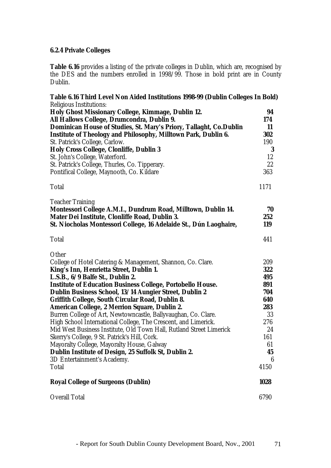# **6.2.4 Private Colleges**

**Table 6.16** provides a listing of the private colleges in Dublin, which are, recognised by the DES and the numbers enrolled in 1998/99. Those in bold print are in County Dublin.

| Table 6.16 Third Level Non Aided Institutions 1998-99 (Dublin Colleges In Bold) |      |
|---------------------------------------------------------------------------------|------|
| <b>Religious Institutions:</b>                                                  |      |
| Holy Ghost Missionary College, Kimmage, Dublin 12.                              | 94   |
| All Hallows College, Drumcondra, Dublin 9.                                      | 174  |
| Dominican House of Studies, St. Mary's Priory, Tallaght, Co.Dublin              | 11   |
| <b>Institute of Theology and Philosophy, Milltown Park, Dublin 6.</b>           | 302  |
| St. Patrick's College, Carlow.                                                  | 190  |
| <b>Holy Cross College, Clonliffe, Dublin 3</b>                                  | 3    |
| St. John's College, Waterford.                                                  | 12   |
| St. Patrick's College, Thurles, Co. Tipperary.                                  | 22   |
| Pontifical College, Maynooth, Co. Kildare                                       | 363  |
| <b>Total</b>                                                                    | 1171 |
| <b>Teacher Training</b>                                                         |      |
| Montessori College A.M.I., Dundrum Road, Milltown, Dublin 14.                   | 70   |
| Mater Dei Institute, Clonliffe Road, Dublin 3.                                  | 252  |
| St. Niocholas Montessori College, 16 Adelaide St., Dún Laoghaire,               | 119  |
| <b>Total</b>                                                                    | 441  |
| Other                                                                           |      |
| College of Hotel Catering & Management, Shannon, Co. Clare.                     | 209  |
| King's Inn, Henrietta Street, Dublin 1.                                         | 322  |
| L.S.B., 6/9 Balfe St., Dublin 2.                                                | 495  |
| <b>Institute of Education Business College, Portobello House.</b>               | 891  |
| Dublin Business School, 13/14 Aungier Street, Dublin 2                          | 704  |
| Griffith College, South Circular Road, Dublin 8.                                | 640  |
| American College, 2 Merrion Square, Dublin 2.                                   | 283  |
| Burren College of Art, Newtowncastle, Ballyvaughan, Co. Clare.                  | 33   |
| High School International College, The Crescent, and Limerick.                  | 276  |
| Mid West Business Institute, Old Town Hall, Rutland Street Limerick             | 24   |
| Skerry's College, 9 St. Patrick's Hill, Cork.                                   | 161  |
| Mayoralty College, Mayoralty House, Galway                                      | 61   |
| Dublin Institute of Design, 25 Suffolk St, Dublin 2.                            | 45   |
| 3D Entertainment's Academy.                                                     | 6    |
| Total                                                                           | 4150 |
| <b>Royal College of Surgeons (Dublin)</b>                                       | 1028 |
| <b>Overall Total</b>                                                            | 6790 |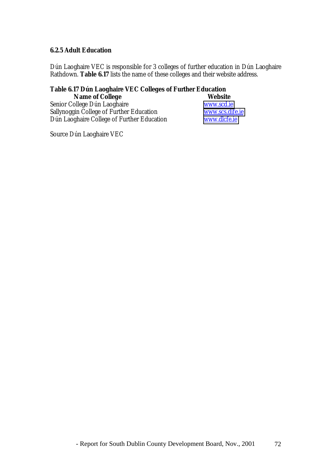#### **6.2.5 Adult Education**

Dún Laoghaire VEC is responsible for 3 colleges of further education in Dún Laoghaire Rathdown. **Table 6.17** lists the name of these colleges and their website address.

# **Table 6.17 Dún Laoghaire VEC Colleges of Further Education**

| <b>Name of College</b>                     | <b>Website</b>  |
|--------------------------------------------|-----------------|
| Senior College Dún Laoghaire               | www.scd.ie      |
| Sallynoggin College of Further Education   | www.scs.dife.ie |
| Dún Laoghaire College of Further Education | www.dlcfe.ie    |

Source Dún Laoghaire VEC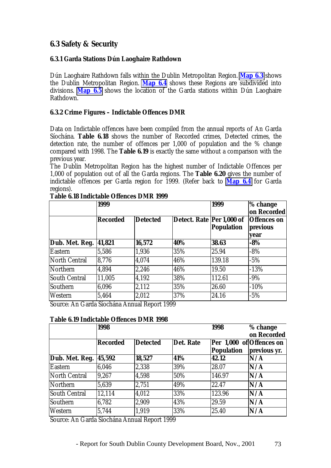# **6.3 Safety & Security**

# **6.3.1 Garda Stations Dún Laoghaire Rathdown**

Dún Laoghaire Rathdown falls within the Dublin Metropolitan Region. **Map 6.3** shows the Dublin Metropolitan Region. **Map 6.4** shows these Regions are subdivided into divisions. **Map 6.5** shows the location of the Garda stations within Dún Laoghaire Rathdown.

## **6.3.2 Crime Figures – Indictable Offences DMR**

Data on Indictable offences have been compiled from the annual reports of An Garda Síochána. **Table 6.18** shows the number of Recorded crimes, Detected crimes, the detection rate, the number of offences per 1,000 of population and the % change compared with 1998. The **Table 6.19** is exactly the same without a comparison with the previous year.

The Dublin Metropolitan Region has the highest number of Indictable Offences per 1,000 of population out of all the Garda regions. The **Table 6.20** gives the number of indictable offences per Garda region for 1999. (Refer back to **Map 6.4** for Garda regions).

|                      | 1999            |                 | 1999                      | % change<br>on Recorded |                                        |
|----------------------|-----------------|-----------------|---------------------------|-------------------------|----------------------------------------|
|                      | <b>Recorded</b> | <b>Detected</b> | Detect. Rate Per 1,000 of | Population              | <b>Offences</b> on<br>previous<br>vear |
| Dub. Met. Reg.       | 41,821          | 16,572          | 40%                       | 38.63                   | $-8%$                                  |
| <b>Eastern</b>       | 5,586           | 1,936           | 35%                       | 25.94                   | $-8%$                                  |
| North Central        | 8,776           | 4,074           | 46%                       | 139.18                  | $-5%$                                  |
| Northern             | 4,894           | 2,246           | 46%                       | 19.50                   | $-13%$                                 |
| <b>South Central</b> | 11,005          | 4.192           | 38%                       | 112.61                  | $-9\%$                                 |
| Southern             | 6,096           | 2,112           | 35%                       | 26.60                   | $-10%$                                 |
| Western              | 5,464           | 2,012           | 37%                       | 24.16                   | $-5%$                                  |

#### **Table 6.18 Indictable Offences DMR 1999**

Source: An Garda Síochána Annual Report 1999

## **Table 6.19 Indictable Offences DMR 1998**

|                      | 1998            |                 |           | 1998              | % change                 |
|----------------------|-----------------|-----------------|-----------|-------------------|--------------------------|
|                      |                 |                 |           |                   | on Recorded              |
|                      | <b>Recorded</b> | <b>Detected</b> | Det. Rate |                   | Per 1,000 of Offences on |
|                      |                 |                 |           | <b>Population</b> | previous yr.             |
| Dub. Met. Reg.       | 45,592          | 18,527          | 41%       | 42.12             | N/A                      |
| Eastern              | 6,046           | 2,338           | 39%       | 28.07             | N/A                      |
| North Central        | 9,267           | 4,598           | 50%       | 146.97            | N/A                      |
| Northern             | 5,639           | 2,751           | 49%       | 22.47             | N/A                      |
| <b>South Central</b> | 12,114          | 4,012           | 33%       | 123.96            | N/A                      |
| Southern             | 6,782           | 2,909           | 43%       | 29.59             | N/A                      |
| Western              | 5,744           | 1,919           | 33%       | 25.40             | N/A                      |

Source: An Garda Síochána Annual Report 1999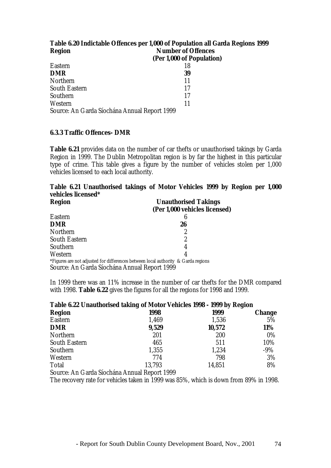| Table 6.20 Indictable Offences per 1,000 of Population all Garda Regions 1999 |                           |  |  |  |  |
|-------------------------------------------------------------------------------|---------------------------|--|--|--|--|
| <b>Region</b>                                                                 | <b>Number of Offences</b> |  |  |  |  |
|                                                                               | (Per 1,000 of Population) |  |  |  |  |
| <b>Eastern</b>                                                                | 18                        |  |  |  |  |
| <b>DMR</b>                                                                    | 39                        |  |  |  |  |
| Northern                                                                      | 11                        |  |  |  |  |
| <b>South Eastern</b>                                                          | 17                        |  |  |  |  |
| Southern                                                                      | 17                        |  |  |  |  |
| Western                                                                       | 11                        |  |  |  |  |
| Source: An Garda Síochána Annual Report 1999                                  |                           |  |  |  |  |

## **6.3.3 Traffic Offences- DMR**

**Table 6.21** provides data on the number of car thefts or unauthorised takings by Garda Region in 1999. The Dublin Metropolitan region is by far the highest in this particular type of crime. This table gives a figure by the number of vehicles stolen per 1,000 vehicles licensed to each local authority.

|                    | Table 6.21 Unauthorised takings of Motor Vehicles 1999 by Region per 1,000 |  |  |  |  |  |
|--------------------|----------------------------------------------------------------------------|--|--|--|--|--|
| vehicles licensed* |                                                                            |  |  |  |  |  |

| <b>Region</b>                                | <b>Unauthorised Takings</b>                                                       |
|----------------------------------------------|-----------------------------------------------------------------------------------|
|                                              | (Per 1,000 vehicles licensed)                                                     |
| Eastern                                      | 6                                                                                 |
| <b>DMR</b>                                   | 26                                                                                |
| <b>Northern</b>                              | 2                                                                                 |
| <b>South Eastern</b>                         | 2                                                                                 |
| Southern                                     | 4                                                                                 |
| Western                                      | 4                                                                                 |
|                                              | *Figures are not adjusted for differences between local authority & Garda regions |
| Source: An Garda Síochána Annual Report 1999 |                                                                                   |

In 1999 there was an 11% increase in the number of car thefts for the DMR compared with 1998. **Table 6.22** gives the figures for all the regions for 1998 and 1999.

| Table 6.22 Unauthorised taking of Motor Vehicles 1998 - 1999 by Region |              |        |               |  |  |  |
|------------------------------------------------------------------------|--------------|--------|---------------|--|--|--|
| <b>Region</b>                                                          | 1998         | 1999   | <b>Change</b> |  |  |  |
| <b>Eastern</b>                                                         | 1,469        | 1,536  | 5%            |  |  |  |
| <b>DMR</b>                                                             | 9,529        | 10,572 | 11%           |  |  |  |
| Northern                                                               | 201          | 200    | $0\%$         |  |  |  |
| <b>South Eastern</b>                                                   | 465          | 511    | 10%           |  |  |  |
| Southern                                                               | 1,355        | 1,234  | $-9%$         |  |  |  |
| Western                                                                | 774          | 798    | 3%            |  |  |  |
| <b>Total</b>                                                           | 13,793       | 14,851 | 8%            |  |  |  |
| $\sim$ $\sim$ $\sim$ $\sim$ $\sim$ $\sim$<br>$\sim$ $\sim$             | $\mathbf{r}$ |        |               |  |  |  |

Source: An Garda Síochána Annual Report 1999

The recovery rate for vehicles taken in 1999 was 85%, which is down from 89% in 1998.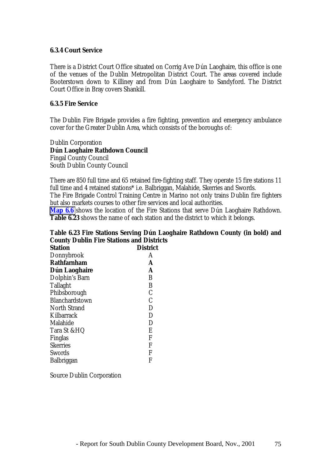#### **6.3.4 Court Service**

There is a District Court Office situated on Corrig Ave Dún Laoghaire, this office is one of the venues of the Dublin Metropolitan District Court. The areas covered include Booterstown down to Killiney and from Dún Laoghaire to Sandyford. The District Court Office in Bray covers Shankill.

### **6.3.5 Fire Service**

The Dublin Fire Brigade provides a fire fighting, prevention and emergency ambulance cover for the Greater Dublin Area, which consists of the boroughs of:

Dublin Corporation **Dún Laoghaire Rathdown Council** Fingal County Council South Dublin County Council

There are 850 full time and 65 retained fire-fighting staff. They operate 15 fire stations 11 full time and 4 retained stations\* i.e. Balbriggan, Malahide, Skerries and Swords. The Fire Brigade Control Training Centre in Marino not only trains Dublin fire fighters but also markets courses to other fire services and local authorities.

**Map 6.6** shows the location of the Fire Stations that serve Dún Laoghaire Rathdown. **Table 6.23** shows the name of each station and the district to which it belongs.

## **Table 6.23 Fire Stations Serving Dún Laoghaire Rathdown County (in bold) and County Dublin Fire Stations and Districts**

| <b>Station</b>        | <b>District</b> |
|-----------------------|-----------------|
| Donnybrook            | A               |
| <b>Rathfamham</b>     | A               |
| Dún Laoghaire         | A               |
| Dolphin's Barn        | B               |
| <b>Tallaght</b>       | B               |
| Phibsborough          | $\mathcal{C}$   |
| <b>Blanchardstown</b> | $\mathcal{C}$   |
| <b>North Strand</b>   | D               |
| Kilbarrack            | D               |
| Malahide              | $\mathbf D$     |
| Tara St &HQ           | E               |
| Finglas               | F               |
| <b>Skerries</b>       | F               |
| Swords                | F               |
| Balbriggan            | F               |

Source Dublin Corporation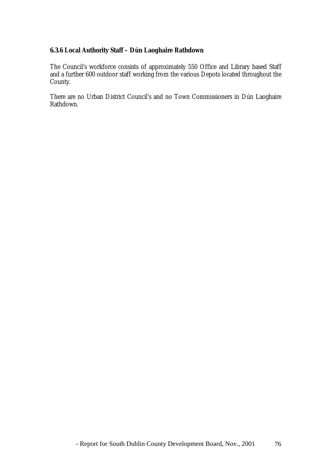# **6.3.6 Local Authority Staff – Dún Laoghaire Rathdown**

The Council's workforce consists of approximately 550 Office and Library based Staff and a further 600 outdoor staff working from the various Depots located throughout the County.

There are no Urban District Council's and no Town Commissioners in Dún Laoghaire Rathdown.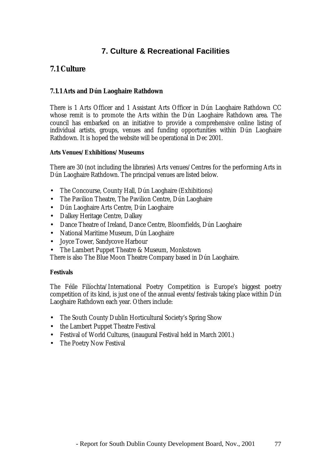# **7. Culture & Recreational Facilities**

# **7.1 Culture**

## **7.1.1 Arts and Dún Laoghaire Rathdown**

There is 1 Arts Officer and 1 Assistant Arts Officer in Dún Laoghaire Rathdown CC whose remit is to promote the Arts within the Dún Laoghaire Rathdown area. The council has embarked on an initiative to provide a comprehensive online listing of individual artists, groups, venues and funding opportunities within Dún Laoghaire Rathdown. It is hoped the website will be operational in Dec 2001.

#### **Arts Venues/Exhibitions/Museums**

There are 30 (not including the libraries) Arts venues/Centres for the performing Arts in Dún Laoghaire Rathdown. The principal venues are listed below.

- The Concourse, County Hall, Dún Laoghaire (Exhibitions)
- The Pavilion Theatre, The Pavilion Centre, Dún Laoghaire
- Dún Laoghaire Arts Centre, Dún Laoghaire
- Dalkey Heritage Centre, Dalkey
- Dance Theatre of Ireland, Dance Centre, Bloomfields, Dún Laoghaire
- National Maritime Museum, Dún Laoghaire
- Joyce Tower, Sandycove Harbour
- The Lambert Puppet Theatre & Museum, Monkstown

There is also The Blue Moon Theatre Company based in Dún Laoghaire.

## **Festivals**

The Féile Filíochta/International Poetry Competition is Europe's biggest poetry competition of its kind, is just one of the annual events/festivals taking place within Dún Laoghaire Rathdown each year. Others include:

- The South County Dublin Horticultural Society's Spring Show
- the Lambert Puppet Theatre Festival
- Festival of World Cultures, (inaugural Festival held in March 2001.)
- The Poetry Now Festival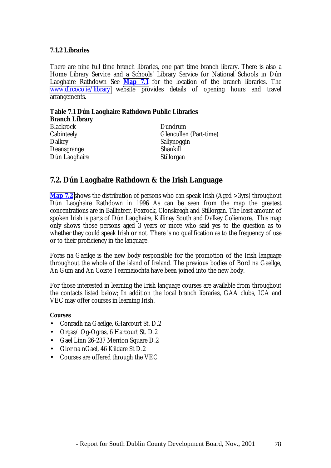#### **7.1.2 Libraries**

There are nine full time branch libraries, one part time branch library. There is also a Home Library Service and a Schools' Library Service for National Schools in Dún Laoghaire Rathdown See **Map 7.1** for the location of the branch libraries. The [www.dlrcoco.ie/library](http://www.dlrcoco.ie/library) website provides details of opening hours and travel arrangements.

**Table 7.1 Dún Laoghaire Rathdown Public Libraries Branch Library** Blackrock Dundrum Cabinteely Glencullen (Part-time) Dalkey Sallynoggin Deansgrange Shankill Dún Laoghaire Stillorgan

# **7.2. Dún Laoghaire Rathdown & the Irish Language**

**Map 7.2** shows the distribution of persons who can speak Irish (Aged >3yrs) throughout Dún Laoghaire Rathdown in 1996 As can be seen from the map the greatest concentrations are in Ballinteer, Foxrock, Clonskeagh and Stillorgan. The least amount of spoken Irish is parts of Dún Laoghaire, Killiney South and Dalkey Coliemore. This map only shows those persons aged 3 years or more who said yes to the question as to whether they could speak Irish or not. There is no qualification as to the frequency of use or to their proficiency in the language.

Foras na Gaeilge is the new body responsible for the promotion of the Irish language throughout the whole of the island of Ireland. The previous bodies of Bord na Gaeilge, An Gum and An Coiste Tearmaiochta have been joined into the new body.

For those interested in learning the Irish language courses are available from throughout the contacts listed below; In addition the local branch libraries, GAA clubs, ICA and VEC may offer courses in learning Irish.

#### **Courses**

- Conradh na Gaeilge, 6Harcourt St. D.2
- Orgas/ Og-Ogras, 6 Harcourt St. D.2
- Gael Linn 26-237 Merrion Square D.2
- Glor na nGael, 46 Kildare St D.2
- Courses are offered through the VEC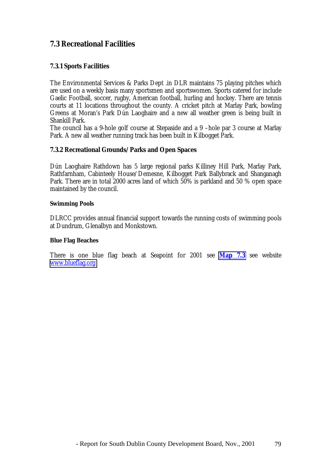# **7.3 Recreational Facilities**

# **7.3.1 Sports Facilities**

The Environmental Services & Parks Dept .in DLR maintains 75 playing pitches which are used on a weekly basis many sportsmen and sportswomen. Sports catered for include Gaelic Football, soccer, rugby, American football, hurling and hockey. There are tennis courts at 11 locations throughout the county. A cricket pitch at Marlay Park, bowling Greens at Moran's Park Dún Laoghaire and a new all weather green is being built in Shankill Park.

The council has a 9-hole golf course at Stepaside and a 9 –hole par 3 course at Marlay Park. A new all weather running track has been built in Kilbogget Park.

#### **7.3.2 Recreational Grounds/Parks and Open Spaces**

Dún Laoghaire Rathdown has 5 large regional parks Killiney Hill Park, Marlay Park, Rathfarnham, Cabinteely House/Demesne, Kilbogget Park Ballybrack and Shanganagh Park. There are in total 2000 acres land of which 50% is parkland and 50 % open space maintained by the council.

#### **Swimming Pools**

DLRCC provides annual financial support towards the running costs of swimming pools at Dundrum, Glenalbyn and Monkstown.

#### **Blue Flag Beaches**

There is one blue flag beach at Seapoint for 2001 see **Map 7.3** see website [www.blueflag.org](http://www.blueflag.org/)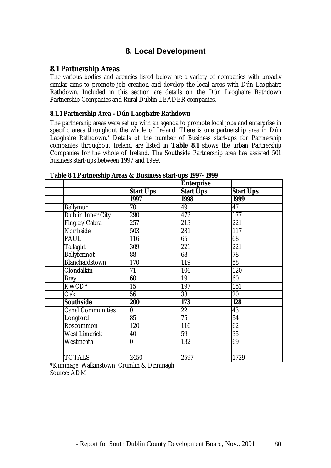# **8. Local Development**

## **8.1 Partnership Areas**

The various bodies and agencies listed below are a variety of companies with broadly similar aims to promote job creation and develop the local areas with Dún Laoghaire Rathdown. Included in this section are details on the Dún Laoghaire Rathdown Partnership Companies and Rural Dublin LEADER companies.

#### **8.1.1 Partnership Area - Dún Laoghaire Rathdown**

The partnership areas were set up with an agenda to promote local jobs and enterprise in specific areas throughout the whole of Ireland. There is one partnership area in Dún Laoghaire Rathdown**.**' Details of the number of Business start-ups for Partnership companies throughout Ireland are listed in **Table 8.1** shows the urban Partnership Companies for the whole of Ireland. The Southside Partnership area has assisted 501 business start-ups between 1997 and 1999.

|                          |                  | <b>Enterprise</b> |                  |
|--------------------------|------------------|-------------------|------------------|
|                          | <b>Start Ups</b> | <b>Start Ups</b>  | <b>Start Ups</b> |
|                          | 1997             | 1998              | 1999             |
| <b>Ballymun</b>          | 70               | 49                | 47               |
| Dublin Inner City        | 290              | 472               | 177              |
| Finglas/Cabra            | 257              | $\overline{213}$  | 221              |
| Northside                | 503              | 281               | 117              |
| <b>PAUL</b>              | 116              | 65                | 68               |
| <b>Tallaght</b>          | 309              | 221               | 221              |
| <b>Ballyfermot</b>       | 88               | 68                | 78               |
| Blanchardstown           | 170              | 119               | $\overline{58}$  |
| Clondalkin               | 71               | 106               | 120              |
| <b>Bray</b>              | 60               | 191               | 60               |
| KWCD <sup>*</sup>        | $\overline{15}$  | 197               | 151              |
| Oak                      | $\overline{56}$  | $\overline{38}$   | 20               |
| <b>Southside</b>         | 200              | 173               | 128              |
| <b>Canal Communities</b> | $\boldsymbol{0}$ | 22                | 43               |
| Longford                 | 85               | $\overline{75}$   | 54               |
| Roscommon                | 120              | 116               | 62               |
| <b>West Limerick</b>     | 40               | 59                | $\overline{35}$  |
| Westmeath                | $\bf{0}$         | 132               | 69               |
|                          |                  |                   |                  |
| <b>TOTALS</b>            | 2450             | 2597              | 1729             |

#### **Table 8.1 Partnership Areas & Business start-ups 1997- 1999**

\*Kimmage, Walkinstown, Crumlin & Drimnagh Source: ADM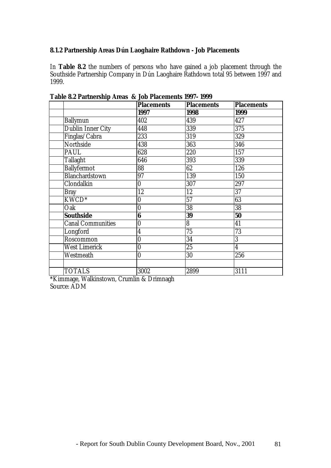## **8.1.2 Partnership Areas Dún Laoghaire Rathdown - Job Placements**

In **Table 8.2** the numbers of persons who have gained a job placement through the Southside Partnership Company in Dún Laoghaire Rathdown total 95 between 1997 and 1999.

|                          | <b>Placements</b> | <b>Placements</b> | <b>Placements</b>       |
|--------------------------|-------------------|-------------------|-------------------------|
|                          | 1997              | 1998              | 1999                    |
| <b>Ballymun</b>          | 402               | 439               | 427                     |
| <b>Dublin Inner City</b> | 448               | 339               | 375                     |
| Finglas/Cabra            | 233               | 319               | 329                     |
| <b>Northside</b>         | 438               | 363               | 346                     |
| PAUL                     | 628               | 220               | 157                     |
| <b>Tallaght</b>          | 646               | 393               | 339                     |
| <b>Ballyfermot</b>       | 88                | 62                | 126                     |
| Blanchardstown           | 97                | 139               | 150                     |
| Clondalkin               | $\bf{0}$          | 307               | 297                     |
| <b>Bray</b>              | 12                | 12                | $\overline{37}$         |
| KWCD <sup>*</sup>        | $\bf{0}$          | 57                | 63                      |
| Oak                      | $\bf{0}$          | 38                | 38                      |
| <b>Southside</b>         | $\bf{6}$          | 39                | 50                      |
| <b>Canal Communities</b> | 0                 | 8                 | 41                      |
| Longford                 | $\overline{4}$    | 75                | 73                      |
| Roscommon                | $\boldsymbol{0}$  | 34                | 3                       |
| <b>West Limerick</b>     | $\bf{0}$          | 25                | $\overline{\mathbf{4}}$ |
| Westmeath                | $\bf{0}$          | 30                | 256                     |
|                          |                   |                   |                         |
| <b>TOTALS</b>            | 3002              | 2899              | 3111                    |

**Table 8.2 Partnership Areas & Job Placements 1997- 1999**

\*Kimmage, Walkinstown, Crumlin & Drimnagh Source: ADM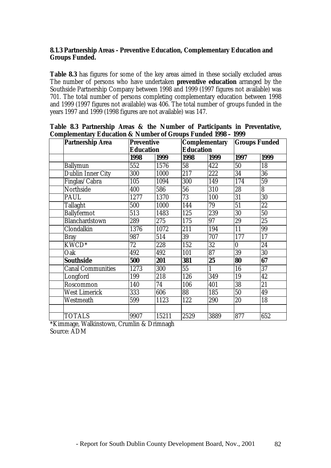## **8.1.3 Partnership Areas - Preventive Education, Complementary Education and Groups Funded.**

**Table 8.3** has figures for some of the key areas aimed in these socially excluded areas The number of persons who have undertaken **preventive education** arranged by the Southside Partnership Company between 1998 and 1999 (1997 figures not available) was 701. The total number of persons completing complementary education between 1998 and 1999 (1997 figures not available) was 406. The total number of groups funded in the years 1997 and 1999 (1998 figures are not available) was 147.

| Compienienal y Eugeanon & Funnoci of Giogps I anueu 1990<br><b>Partnership Area</b> | <b>Preventive</b> |                  |                 | <b>Complementary</b> |          | <b>Groups Funded</b> |  |
|-------------------------------------------------------------------------------------|-------------------|------------------|-----------------|----------------------|----------|----------------------|--|
|                                                                                     |                   | <b>Education</b> |                 | <b>Education</b>     |          |                      |  |
|                                                                                     | 1998              | 1999             | 1998            | 1999                 | 1997     | 1999                 |  |
| <b>Ballymun</b>                                                                     | 552               | 1576             | 58              | 422                  | 50       | 18                   |  |
| Dublin Inner City                                                                   | 300               | 1000             | 217             | 222                  | 34       | 36                   |  |
| Finglas/Cabra                                                                       | 105               | 1094             | 300             | $\overline{1}$ 49    | 174      | 59                   |  |
| Northside                                                                           | 400               | 586              | 56              | 310                  | 28       | 8                    |  |
| PAUL                                                                                | 1277              | 1370             | 73              | 100                  | 31       | 30                   |  |
| <b>Tallaght</b>                                                                     | 500               | 1000             | 144             | 79                   | 51       | 22                   |  |
| <b>Ballyfermot</b>                                                                  | 513               | 1483             | 125             | 239                  | 30       | 50                   |  |
| <b>Blanchardstown</b>                                                               | 289               | 275              | 175             | 97                   | 29       | 25                   |  |
| Clondalkin                                                                          | 1376              | 1072             | 211             | 194                  | 11       | 99                   |  |
| <b>Bray</b>                                                                         | 987               | 514              | 39              | 707                  | 177      | 17                   |  |
| $KW\overline{CD^*}$                                                                 | 72                | 228              | 152             | 32                   | $\bf{0}$ | 24                   |  |
| Oak                                                                                 | 492               | 492              | 101             | 87                   | 39       | 30                   |  |
| <b>Southside</b>                                                                    | 500               | 201              | 381             | 25                   | 80       | 67                   |  |
| <b>Canal Communities</b>                                                            | 1273              | 300              | $\overline{55}$ |                      | 16       | 37                   |  |
| Longford                                                                            | 199               | 218              | 126             | 349                  | 19       | 42                   |  |
| Roscommon                                                                           | 140               | 74               | 106             | 401                  | 38       | 21                   |  |
| <b>West Limerick</b>                                                                | 333               | 606              | 88              | 185                  | 50       | 49                   |  |
| Westmeath                                                                           | 599               | 1123             | 122             | 290                  | 20       | 18                   |  |
|                                                                                     |                   |                  |                 |                      |          |                      |  |
| <b>TOTALS</b>                                                                       | 9907              | 15211            | 2529            | 3889                 | 877      | 652                  |  |

**Table 8.3 Partnership Areas & the Number of Participants in Preventative, Complementary Education & Number of Groups Funded 1998 – 1999**

\*Kimmage, Walkinstown, Crumlin & Drimnagh Source: ADM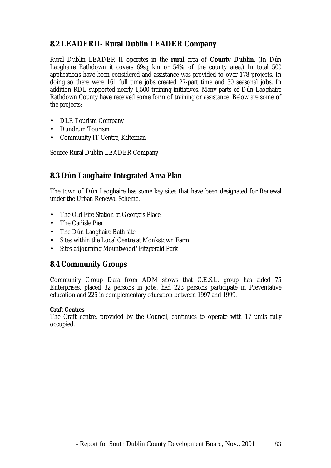# **8.2 LEADERII- Rural Dublin LEADER Company**

Rural Dublin LEADER II operates in the **rural** area of **County Dublin**. (In Dún Laoghaire Rathdown it covers 69sq km or 54% of the county area.) In total 500 applications have been considered and assistance was provided to over 178 projects. In doing so there were 161 full time jobs created 27-part time and 30 seasonal jobs. In addition RDL supported nearly 1,500 training initiatives. Many parts of Dún Laoghaire Rathdown County have received some form of training or assistance. Below are some of the projects:

- DLR Tourism Company
- Dundrum Tourism
- Community IT Centre, Kilternan

Source Rural Dublin LEADER Company

# **8.3 Dún Laoghaire Integrated Area Plan**

The town of Dún Laoghaire has some key sites that have been designated for Renewal under the Urban Renewal Scheme.

- The Old Fire Station at George's Place
- The Carlisle Pier
- The Dún Laoghaire Bath site
- Sites within the Local Centre at Monkstown Farm
- Sites adjourning Mountwood/Fitzgerald Park

# **8.4 Community Groups**

Community Group Data from ADM shows that C.E.S.L. group has aided 75 Enterprises, placed 32 persons in jobs, had 223 persons participate in Preventative education and 225 in complementary education between 1997 and 1999.

# **Craft Centres**

The Craft centre, provided by the Council, continues to operate with 17 units fully occupied.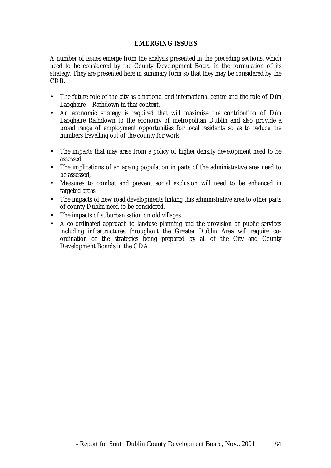## **EMERGING ISSUES**

A number of issues emerge from the analysis presented in the preceding sections, which need to be considered by the County Development Board in the formulation of its strategy. They are presented here in summary form so that they may be considered by the CDB.

- The future role of the city as a national and international centre and the role of Dún Laoghaire – Rathdown in that context,
- An economic strategy is required that will maximise the contribution of Dún Laoghaire Rathdown to the economy of metropolitan Dublin and also provide a broad range of employment opportunities for local residents so as to reduce the numbers travelling out of the county for work.
- The impacts that may arise from a policy of higher density development need to be assessed,
- The implications of an ageing population in parts of the administrative area need to be assessed,
- Measures to combat and prevent social exclusion will need to be enhanced in targeted areas,
- The impacts of new road developments linking this administrative area to other parts of county Dublin need to be considered,
- The impacts of suburbanisation on old villages
- A co-ordinated approach to landuse planning and the provision of public services including infrastructures throughout the Greater Dublin Area will require coordination of the strategies being prepared by all of the City and County Development Boards in the GDA.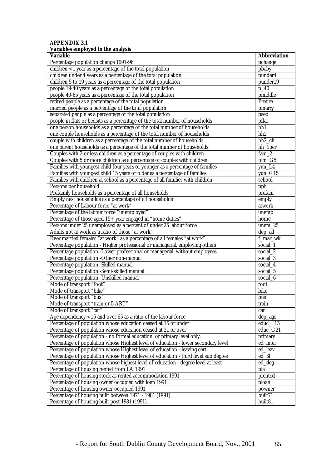#### **APPENDIX 3.1 Variables employed in the analysis**

| <b>Variable</b>                                                                    | <b>Abbreviation</b> |
|------------------------------------------------------------------------------------|---------------------|
| Percentage population change 1991-96                                               | pchange             |
| children $<$ 1 year as a percentage of the total population                        | pbaby               |
| children under 4 years as a percentage of the total population                     | punder4             |
| children 5 to 19 years as a percentage of the total population                     | punder19            |
| people 19-40 years as a percentage of the total population                         | $p_40$              |
| people 40-65 years as a percentage of the total population                         | pmiddle             |
| retired people as a percentage of the total population                             | Pretire             |
| married people as a percentage of the total population                             | pmarry              |
| separated people as a percentage of the total population                           | psep                |
| people in flats or bedsits as a percentage of the total number of households       | pflat               |
| one person households as a percentage of the total number of households            | hh1                 |
| one couple households as a percentage of the total number of households            | hh <sub>2</sub>     |
| couple with children as a percentage of the total number of households             | $hh2$ _ch           |
| one parent households as a percentage of the total number of households            | hh_1per             |
| Couples with 2 or less children as a percentage of couples with children           | fam <sub>2</sub>    |
| Couples with 5 or more children as a percentage of couples with children           | fam G5              |
| Families with youngest child four years or younger as a percentage of families     | yun_L4              |
| Families with youngest child 15 years or older as a percentage of families         | yun G15             |
| Families with children at school as a percentage of all families with children     | school              |
| Persons per household                                                              | pph                 |
| Prefamily households as a percentage of all households                             | prefam              |
| Empty nest households as a percentage of all households                            | empty               |
| Percentage of Labour force "at work"                                               | atwork              |
| Percentage of the labour force "unemployed"                                        | unemp               |
| Percentage of those aged 15+ year engaged in "home duties"                         | home                |
| Persons under 25 unemployed as a percent of under 25 labour force                  | unem_25             |
| Adults not at work as a ratio of those "at work"                                   |                     |
|                                                                                    | dep_ad              |
| Ever married females "at work" as a percentage of all females "at work"            | f_mar_wk            |
| Percentage population - Higher professional or managerial, employing others        | social_1            |
| Percentage population -Lower professional or managerial, without employees         | social_2            |
| Percentage population -Other non-manual                                            | social $3$          |
| Percentage population -Skilled manual                                              | social 4            |
| Percentage population -Semi-skilled manual                                         | social 5            |
| Percentage population -Unskilled manual                                            | social <sub>6</sub> |
| Mode of transport "foot"                                                           | foot                |
| Mode of transport "bike"                                                           | bike                |
| Mode of transport "bus"                                                            | bus                 |
| Mode of transport "train or DART"                                                  | train               |
| Mode of transport "car"                                                            | car                 |
| Age dependency $<$ 15 and over 65 as a ratio of the labour force                   | dep_age             |
| Percentage of population whose education ceased at 15 or under                     | educ_L15            |
| Percentage of population whose education ceased at 21 or over                      | $educ_G21$          |
| Percentage of population - no formal education, or primary level only.             | primary             |
| Percentage of population whose Highest level of education - lower secondary level  | ed_inter            |
| Percentage of population whose Highest level of education - leaving cert.          | ed_leav             |
| Percentage of population whose Highest level of education - third level sub degree | $ed_3l$             |
| Percentage of population whose highest level of education - degree level at least  | ed_deg              |
| Percentage of housing rented from LA 1991                                          | pla                 |
| Percentage of housing stock as rented accommodation 1991                           | prented             |
| Percentage of housing owner occupied with loan 1991                                | ploan               |
| Percentage of housing owner occupied 1991                                          | powner              |
| Percentage of housing built between 1971 - 1981 (1991)                             | built71             |
| Percentage of housing built post 1981 (1991).                                      | built81             |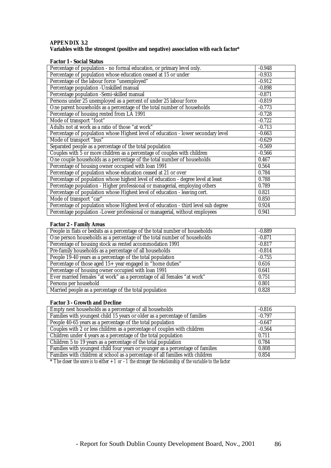#### **APPENDIX 3.2 Variables with the strongest (positive and negative) association with each factor\***

#### **Factor 1 - Social Status**

| Percentage of population - no formal education, or primary level only.             | $-0.948$ |
|------------------------------------------------------------------------------------|----------|
| Percentage of population whose education ceased at 15 or under                     | $-0.933$ |
| Percentage of the labour force "unemployed"                                        | $-0.912$ |
| Percentage population -Unskilled manual                                            | $-0.898$ |
| Percentage population -Semi-skilled manual                                         | $-0.871$ |
| Persons under 25 unemployed as a percent of under 25 labour force                  | $-0.819$ |
| One parent households as a percentage of the total number of households            | $-0.773$ |
| Percentage of housing rented from LA 1991                                          | $-0.728$ |
| Mode of transport "foot"                                                           | $-0.722$ |
| Adults not at work as a ratio of those "at work"                                   | $-0.713$ |
| Percentage of population whose Highest level of education - lower secondary level  | $-0.663$ |
| Mode of transport "bus"                                                            | $-0.629$ |
| Separated people as a percentage of the total population                           | $-0.569$ |
| Couples with 5 or more children as a percentage of couples with children           | $-0.566$ |
| One couple households as a percentage of the total number of households            | 0.467    |
| Percentage of housing owner occupied with loan 1991                                | 0.564    |
| Percentage of population whose education ceased at 21 or over                      | 0.784    |
| Percentage of population whose highest level of education - degree level at least  | 0.788    |
| Percentage population - Higher professional or managerial, employing others        | 0.789    |
| Percentage of population whose Highest level of education - leaving cert.          | 0.821    |
| Mode of transport "car"                                                            | 0.850    |
| Percentage of population whose Highest level of education - third level sub degree | 0.924    |
| Percentage population -Lower professional or managerial, without employees         | 0.941    |

#### **Factor 2 - Family Areas**

| People in flats or bedsits as a percentage of the total number of households | $-0.889$ |
|------------------------------------------------------------------------------|----------|
| One person households as a percentage of the total number of households      | $-0.871$ |
| Percentage of housing stock as rented accommodation 1991                     | $-0.817$ |
| Pre-family households as a percentage of all households                      | $-0.814$ |
| People 19-40 years as a percentage of the total population                   | $-0.755$ |
| Percentage of those aged $15 + \overline{year}$ engaged in "home duties"     | 0.616    |
| Percentage of housing owner occupied with loan 1991                          | 0.641    |
| Ever married females "at work" as a percentage of all females "at work"      | 0.751    |
| Persons per household                                                        | 0.801    |
| Married people as a percentage of the total population                       | 0.828    |

#### **Factor 3 - Growth and Decline**

| Empty nest households as a percentage of all households                        | $-0.816$ |
|--------------------------------------------------------------------------------|----------|
| Families with youngest child 15 years or older as a percentage of families     | $-0.797$ |
| People 40-65 years as a percentage of the total population                     | $-0.647$ |
| Couples with 2 or less children as a percentage of couples with children       | $-0.564$ |
| Children under 4 years as a percentage of the total population                 | 0.711    |
| Children 5 to 19 years as a percentage of the total population                 | 0.784    |
| Families with youngest child four years or younger as a percentage of families | 0.808    |
| Families with children at school as a percentage of all families with children | 0.854    |

 $*$  *The closer the score is to either*  $+1$  *or*  $-1$  *the stronger the relationship of the variable to the factor*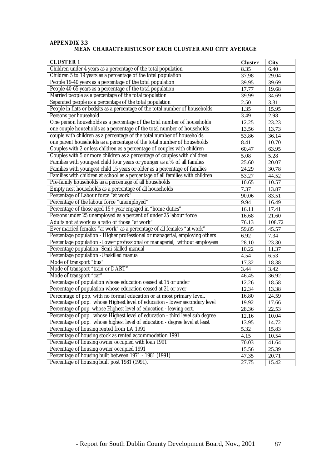#### **APPENDIX 3.3 MEAN CHARACTERISTICS OF EACH CLUSTER AND CITY AVERAGE**

| <b>CLUSTER1</b>                                                                | <b>Cluster</b>     | <b>City</b> |
|--------------------------------------------------------------------------------|--------------------|-------------|
| Children under 4 years as a percentage of the total population                 | 8.35               | 6.40        |
| Children 5 to 19 years as a percentage of the total population                 | 37.98              | 29.04       |
| People 19-40 years as a percentage of the total population                     | 39.95              | 39.69       |
| People 40-65 years as a percentage of the total population                     | 17.77              | 19.68       |
| Married people as a percentage of the total population                         | 39.99              | 34.69       |
| Separated people as a percentage of the total population                       | 2.50               | 3.31        |
| People in flats or bedsits as a percentage of the total number of households   | 1.35               | 15.95       |
| Persons per household                                                          | 3.49               | 2.98        |
| One person households as a percentage of the total number of households        | 12.25              | 23.23       |
| one couple households as a percentage of the total number of households        | 13.56              | 13.73       |
| couple with children as a percentage of the total number of households         | 53.86              | 36.14       |
| one parent households as a percentage of the total number of households        | 8.41               | 10.70       |
| Couples with 2 or less children as a percentage of couples with children       | 60.47              | 63.95       |
| Couples with 5 or more children as a percentage of couples with children       | 5.08               | 5.28        |
| Families with youngest child four years or younger as a % of all families      | 25.60              | 20.07       |
| Families with youngest child 15 years or older as a percentage of families     | 24.29              | 30.78       |
| Families with children at school as a percentage of all families with children | 53.27              | 44.52       |
| Pre-family households as a percentage of all households                        | 10.65              | 10.57       |
| Empty nest households as a percentage of all households                        | 7.37               | 13.87       |
| Percentage of Labour force "at work"                                           | 90.06              | 83.51       |
| Percentage of the labour force "unemployed"                                    | 9.94               | 16.49       |
| Percentage of those aged 15+ year engaged in "home duties"                     | 16.11              | 17.41       |
| Persons under 25 unemployed as a percent of under 25 labour force              | 16.68              | 21.60       |
| Adults not at work as a ratio of those "at work"                               | $\overline{76.13}$ | 108.72      |
| Ever married females "at work" as a percentage of all females "at work"        | 59.85              | 45.57       |
| Percentage population - Higher professional or managerial, employing others    | 6.92               | 7.34        |
| Percentage population -Lower professional or managerial, without employees     | 28.10              | 23.30       |
| Percentage population -Semi-skilled manual                                     | 10.22              | 11.37       |
| Percentage population -Unskilled manual                                        | 4.54               | 6.53        |
| Mode of transport "bus"                                                        | 17.32              | 18.38       |
| Mode of transport "train or DART"                                              | $\overline{3.44}$  | 3.42        |
| Mode of transport "car"                                                        | 46.45              | 36.92       |
| Percentage of population whose education ceased at 15 or under                 | 12.26              | 18.58       |
| Percentage of population whose education ceased at 21 or over                  | 12.34              | 13.38       |
| Percentage of pop. with no formal education or at most primary level.          | 16.80              | 24.59       |
| Percentage of pop. whose Highest level of education - lower secondary level    | 19.92              | 17.66       |
| Percentage of pop. whose Highest level of education - leaving cert.            | 28.36              | 22.53       |
| Percentage of pop. whose Highest level of education - third level sub degree   | 12.16              | 10.04       |
| Percentage of pop. whose highest level of education - degree level at least    | 13.95              | 14.72       |
| Percentage of housing rented from LA 1991                                      | 5.32               | 15.83       |
| Percentage of housing stock as rented accommodation 1991                       | 4.15               | 10.54       |
| Percentage of housing owner occupied with loan 1991                            | 70.03              | 41.64       |
| Percentage of housing owner occupied 1991                                      | 15.56              | 25.39       |
| Percentage of housing built between 1971 - 1981 (1991)                         | 47.35              | 20.71       |
| Percentage of housing built post 1981 (1991).                                  | 27.75              | 15.42       |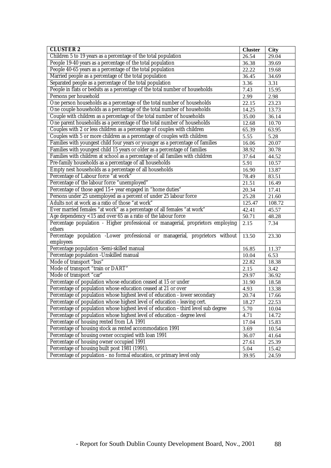| <b>CLUSTER 2</b>                                                                           | <b>Cluster</b>      | <b>City</b> |
|--------------------------------------------------------------------------------------------|---------------------|-------------|
| Children 5 to 19 years as a percentage of the total population                             | 26.54               | 29.04       |
| People 19-40 years as a percentage of the total population                                 | 36.38               | 39.69       |
| People 40-65 years as a percentage of the total population                                 | 22.22               | 19.68       |
| Married people as a percentage of the total population                                     | 36.45               | 34.69       |
| Separated people as a percentage of the total population                                   | 3.36                | 3.31        |
| People in flats or bedsits as a percentage of the total number of households               | 7.43                | 15.95       |
| Persons per household                                                                      | 2.99                | 2.98        |
| One person households as a percentage of the total number of households                    | $\overline{2}$ 2.15 | 23.23       |
| One couple households as a percentage of the total number of households                    | 14.25               | 13.73       |
| Couple with children as a percentage of the total number of households                     | 35.00               | 36.14       |
| One parent households as a percentage of the total number of households                    | 12.68               | 10.70       |
| Couples with 2 or less children as a percentage of couples with children                   | 65.39               | 63.95       |
| Couples with 5 or more children as a percentage of couples with children                   | 5.55                | 5.28        |
| Families with youngest child four years or younger as a percentage of families             | 16.06               | 20.07       |
| Families with youngest child 15 years or older as a percentage of families                 | 38.92               | 30.78       |
| Families with children at school as a percentage of all families with children             | 37.64               | 44.52       |
| Pre-family households as a percentage of all households                                    | 5.91                | 10.57       |
| Empty nest households as a percentage of all households                                    | 16.90               | 13.87       |
| Percentage of Labour force "at work"                                                       | 78.49               | 83.51       |
| Percentage of the labour force "unemployed"                                                | 21.51               | 16.49       |
| Percentage of those aged 15+ year engaged in "home duties"                                 | 20.34               | 17.41       |
| Persons under 25 unemployed as a percent of under 25 labour force                          | 25.28               | 21.60       |
| Adults not at work as a ratio of those "at work"                                           | 125.47              | 108.72      |
| Ever married females "at work" as a percentage of all females "at work"                    | 42.41               | 45.57       |
| Age dependency $<$ 15 and over 65 as a ratio of the labour force                           | 50.71               | 48.28       |
| Percentage population - Higher professional or managerial, proprietors employing<br>others | 2.15                | 7.34        |
| Percentage population -Lower professional or managerial, proprietors without               | 13.50               | 23.30       |
| employees                                                                                  |                     |             |
| Percentage population -Semi-skilled manual                                                 | 16.85               | 11.37       |
| Percentage population -Unskilled manual                                                    | 10.04               | 6.53        |
| Mode of transport "bus"                                                                    | 22.82               | 18.38       |
| Mode of transport "train or DART"                                                          | 2.15                | 3.42        |
| Mode of transport "car"                                                                    | 29.97               | 36.92       |
| Percentage of population whose education ceased at 15 or under                             | 31.90               | 18.58       |
| Percentage of population whose education ceased at 21 or over                              | 4.93                | 13.38       |
| Percentage of population whose highest level of education - lower secondary                | 20.74               | 17.66       |
| Percentage of population whose highest level of education - leaving cert.                  | 18.27               | 22.53       |
| Percentage of population whose highest level of education - third level sub degree         | 5.70                | 10.04       |
| Percentage of population whose highest level of education - degree level                   | 4.71                | 14.72       |
| Percentage of housing rented from LA 1991                                                  | 17.04               | 15.83       |
| Percentage of housing stock as rented accommodation 1991                                   | 3.69                | 10.54       |
| Percentage of housing owner occupied with loan 1991                                        | 36.07               | 41.64       |
| Percentage of housing owner occupied 1991                                                  | 27.61               | 25.39       |
| Percentage of housing built post 1981 (1991).                                              | 5.04                | 15.42       |
| Percentage of population - no formal education, or primary level only                      | 39.95               | 24.59       |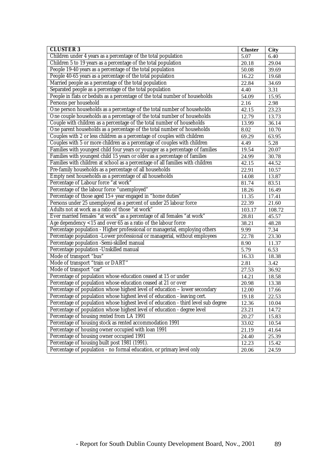| <b>CLUSTER 3</b>                                                                   | <b>Cluster</b> | <b>City</b> |
|------------------------------------------------------------------------------------|----------------|-------------|
| Children under 4 years as a percentage of the total population                     | 5.07           | 6.40        |
| Children 5 to 19 years as a percentage of the total population                     | 20.18          | 29.04       |
| People 19-40 years as a percentage of the total population                         | 50.08          | 39.69       |
| People 40-65 years as a percentage of the total population                         | 16.22          | 19.68       |
| Married people as a percentage of the total population                             | 22.84          | 34.69       |
| Separated people as a percentage of the total population                           | 4.40           | 3.31        |
| People in flats or bedsits as a percentage of the total number of households       | 54.09          | 15.95       |
| Persons per household                                                              | 2.16           | 2.98        |
| One person households as a percentage of the total number of households            | 42.15          | 23.23       |
| One couple households as a percentage of the total number of households            | 12.79          | 13.73       |
| Couple with children as a percentage of the total number of households             | 13.99          | 36.14       |
| One parent households as a percentage of the total number of households            | 8.02           | 10.70       |
| Couples with 2 or less children as a percentage of couples with children           | 69.29          | 63.95       |
| Couples with 5 or more children as a percentage of couples with children           | 4.49           | 5.28        |
| Families with youngest child four years or younger as a percentage of families     | 19.54          | 20.07       |
| Families with youngest child 15 years or older as a percentage of families         | 24.99          | 30.78       |
| Families with children at school as a percentage of all families with children     | 42.15          | 44.52       |
| Pre-family households as a percentage of all households                            | 22.91          | 10.57       |
| Empty nest households as a percentage of all households                            | 14.08          | 13.87       |
| Percentage of Labour force "at work"                                               | 81.74          | 83.51       |
| Percentage of the labour force "unemployed"                                        | 18.26          | 16.49       |
| Percentage of those aged 15+ year engaged in "home duties"                         | 11.35          | 17.41       |
| Persons under 25 unemployed as a percent of under 25 labour force                  | 22.39          | 21.60       |
| Adults not at work as a ratio of those "at work"                                   | 103.17         | 108.72      |
| Ever married females "at work" as a percentage of all females "at work"            | 28.81          | 45.57       |
| Age dependency $<$ 15 and over 65 as a ratio of the labour force                   | 38.21          | 48.28       |
| Percentage population - Higher professional or managerial, employing others        | 9.99           | 7.34        |
| Percentage population -Lower professional or managerial, without employees         | 22.78          | 23.30       |
| Percentage population -Semi-skilled manual                                         | 8.90           | 11.37       |
| Percentage population -Unskilled manual                                            | 5.79           | 6.53        |
| Mode of transport "bus"                                                            | 16.33          | 18.38       |
| Mode of transport "train or DART"                                                  | 2.81           | 3.42        |
| Mode of transport "car"                                                            | 27.53          | 36.92       |
| Percentage of population whose education ceased at 15 or under                     | 14.21          | 18.58       |
| Percentage of population whose education ceased at 21 or over                      | 20.98          | 13.38       |
| Percentage of population whose highest level of education - lower secondary        | 12.00          | 17.66       |
| Percentage of population whose highest level of education - leaving cert.          | 19.18          | 22.53       |
| Percentage of population whose highest level of education - third level sub degree | 12.36          | 10.04       |
| Percentage of population whose highest level of education - degree level           | 23.21          | 14.72       |
| Percentage of housing rented from LA 1991                                          | 20.27          | 15.83       |
| Percentage of housing stock as rented accommodation 1991                           | 33.02          | 10.54       |
| Percentage of housing owner occupied with loan 1991                                | 21.19          | 41.64       |
| Percentage of housing owner occupied 1991                                          | 24.40          | 25.39       |
| Percentage of housing built post 1981 (1991).                                      | 12.23          | 15.42       |
| Percentage of population - no formal education, or primary level only              | 20.06          | 24.59       |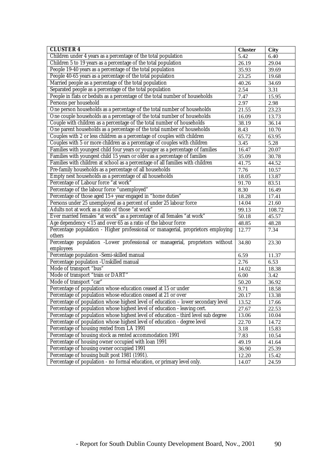| <b>CLUSTER 4</b>                                                                   | <b>Cluster</b>     | <b>City</b> |
|------------------------------------------------------------------------------------|--------------------|-------------|
| Children under 4 years as a percentage of the total population                     | 5.42               | 6.40        |
| Children 5 to 19 years as a percentage of the total population                     | $\overline{26.19}$ | 29.04       |
| People 19-40 years as a percentage of the total population                         | 35.93              | 39.69       |
| People 40-65 years as a percentage of the total population                         | 23.25              | 19.68       |
| Married people as a percentage of the total population                             | 40.26              | 34.69       |
| Separated people as a percentage of the total population                           | 2.54               | 3.31        |
| People in flats or bedsits as a percentage of the total number of households       | 7.47               | 15.95       |
| Persons per household                                                              | 2.97               | 2.98        |
| One person households as a percentage of the total number of households            | 21.55              | 23.23       |
| One couple households as a percentage of the total number of households            | 16.09              | 13.73       |
| Couple with children as a percentage of the total number of households             | 38.19              | 36.14       |
| One parent households as a percentage of the total number of households            | 8.43               | 10.70       |
| Couples with 2 or less children as a percentage of couples with children           | 65.72              | 63.95       |
| Couples with 5 or more children as a percentage of couples with children           | 3.45               | 5.28        |
| Families with youngest child four years or younger as a percentage of families     | 16.47              | 20.07       |
| Families with youngest child 15 years or older as a percentage of families         | 35.09              | 30.78       |
| Families with children at school as a percentage of all families with children     | 41.75              | 44.52       |
| Pre-family households as a percentage of all households                            | 7.76               | 10.57       |
| Empty nest households as a percentage of all households                            | 18.05              | 13.87       |
| Percentage of Labour force "at work"                                               | 91.70              | 83.51       |
| Percentage of the labour force "unemployed"                                        | 8.30               | 16.49       |
| Percentage of those aged 15+ year engaged in "home duties"                         | 18.28              | 17.41       |
| Persons under 25 unemployed as a percent of under 25 labour force                  | 14.04              | 21.60       |
| Adults not at work as a ratio of those "at work"                                   | 99.13              | 108.72      |
| Ever married females "at work" as a percentage of all females "at work"            | 50.18              | 45.57       |
| Age dependency <15 and over 65 as a ratio of the labour force                      | 48.85              | 48.28       |
| Percentage population - Higher professional or managerial, proprietors employing   | 12.77              | 7.34        |
| others                                                                             |                    |             |
| Percentage population -Lower professional or managerial, proprietors without       | 34.80              | 23.30       |
| employees                                                                          |                    |             |
| Percentage population -Semi-skilled manual                                         | 6.59               | 11.37       |
| Percentage population -Unskilled manual                                            | 2.76               | 6.53        |
| Mode of transport "bus"                                                            | 14.02              | 18.38       |
| Mode of transport "train or DART"                                                  | 6.00               | 3.42        |
| Mode of transport "car"                                                            | 50.20              | 36.92       |
| Percentage of population whose education ceased at 15 or under                     | 9.71               | 18.58       |
| Percentage of population whose education ceased at 21 or over                      | 20.17              | 13.38       |
| Percentage of population whose highest level of education - lower secondary level  | 13.52              | 17.66       |
| Percentage of population whose highest level of education - leaving cert.          | 27.67              | 22.53       |
| Percentage of population whose highest level of education - third level sub degree | 13.06              | 10.04       |
| Percentage of population whose highest level of education - degree level           | 22.70              | 14.72       |
| Percentage of housing rented from LA 1991                                          | 3.18               | 15.83       |
| Percentage of housing stock as rented accommodation 1991                           | 7.83               | 10.54       |
| Percentage of housing owner occupied with loan 1991                                | 49.19              | 41.64       |
| Percentage of housing owner occupied 1991                                          | 36.90              | 25.39       |
| Percentage of housing built post 1981 (1991).                                      | 12.20              | 15.42       |
| Percentage of population - no formal education, or primary level only.             | 14.07              | 24.59       |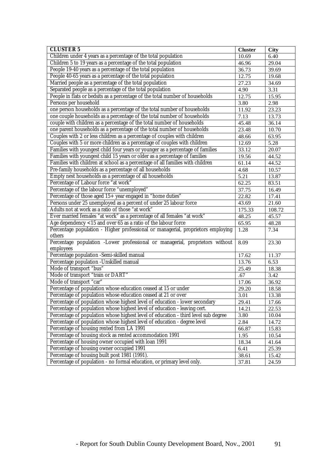| <b>CLUSTER 5</b>                                                                   | <b>Cluster</b> | <b>City</b> |
|------------------------------------------------------------------------------------|----------------|-------------|
| Children under 4 years as a percentage of the total population                     | 10.69          | 6.40        |
| Children 5 to 19 years as a percentage of the total population                     | 46.96          | 29.04       |
| People 19-40 years as a percentage of the total population                         | 36.73          | 39.69       |
| People 40-65 years as a percentage of the total population                         | 12.75          | 19.68       |
| Married people as a percentage of the total population                             | 27.23          | 34.69       |
| Separated people as a percentage of the total population                           | 4.90           | 3.31        |
| People in flats or bedsits as a percentage of the total number of households       | 12.75          | 15.95       |
| Persons per household                                                              | 3.80           | 2.98        |
| one person households as a percentage of the total number of households            | 11.92          | 23.23       |
| one couple households as a percentage of the total number of households            | 7.13           | 13.73       |
| couple with children as a percentage of the total number of households             | 45.48          | 36.14       |
| one parent households as a percentage of the total number of households            | 23.48          | 10.70       |
| Couples with 2 or less children as a percentage of couples with children           | 48.66          | 63.95       |
| Couples with 5 or more children as a percentage of couples with children           | 12.69          | 5.28        |
| Families with youngest child four years or younger as a percentage of families     | 33.12          | 20.07       |
| Families with youngest child 15 years or older as a percentage of families         | 19.56          | 44.52       |
| Families with children at school as a percentage of all families with children     | 61.14          | 44.52       |
| Pre-family households as a percentage of all households                            | 4.68           | 10.57       |
| Empty nest households as a percentage of all households                            | 5.21           | 13.87       |
| Percentage of Labour force "at work"                                               | 62.25          | 83.51       |
| Percentage of the labour force "unemployed"                                        | 37.75          | 16.49       |
| Percentage of those aged 15+ year engaged in "home duties"                         | 22.82          | 17.41       |
| Persons under 25 unemployed as a percent of under 25 labour force                  | 43.69          | 21.60       |
| Adults not at work as a ratio of those "at work"                                   | 175.33         | 108.72      |
| Ever married females "at work" as a percentage of all females "at work"            | 48.25          | 45.57       |
| Age dependency <15 and over 65 as a ratio of the labour force                      | 65.95          | 48.28       |
| Percentage population - Higher professional or managerial, proprietors employing   | 1.28           | 7.34        |
| others                                                                             |                |             |
| Percentage population -Lower professional or managerial, proprietors without       | 8.09           | 23.30       |
| employees                                                                          |                |             |
| Percentage population -Semi-skilled manual                                         | 17.62          | 11.37       |
| Percentage population -Unskilled manual                                            | 13.76          | 6.53        |
| Mode of transport "bus"                                                            | 25.49          | 18.38       |
| Mode of transport "train or DART"                                                  | .67            | 3.42        |
| Mode of transport "car"                                                            | 17.06          | 36.92       |
| Percentage of population whose education ceased at 15 or under                     | 29.20          | 18.58       |
| Percentage of population whose education ceased at 21 or over                      | 3.01           | 13.38       |
| Percentage of population whose highest level of education - lower secondary        | 29.41          | 17.66       |
| Percentage of population whose highest level of education - leaving cert.          | 14.21          | 22.53       |
| Percentage of population whose highest level of education - third level sub degree | 3.80           | 10.04       |
| Percentage of population whose highest level of education - degree level           | 2.84           | 14.72       |
| Percentage of housing rented from LA 1991                                          | 66.87          | 15.83       |
| Percentage of housing stock as rented accommodation 1991                           | 1.95           | 10.54       |
| Percentage of housing owner occupied with loan 1991                                | 18.34          | 41.64       |
| Percentage of housing owner occupied 1991                                          | 6.41           | 25.39       |
| Percentage of housing built post 1981 (1991).                                      | 38.61          | 15.42       |
| Percentage of population - no formal education, or primary level only.             | 37.81          | 24.59       |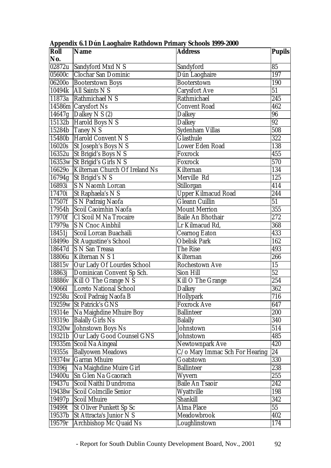| Roll                 | <b>Name</b>                     | <b>Address</b>                 | <b>Pupils</b>   |
|----------------------|---------------------------------|--------------------------------|-----------------|
| No.                  |                                 |                                |                 |
| 02872u               | Sandyford Mxd N S               | Sandyford                      | 85              |
| 05600c               | <b>Clochar San Dominic</b>      | Dún Laoghaire                  | 197             |
| 06200o               | <b>Booterstown Boys</b>         | <b>Booterstown</b>             | 190             |
| 10494k               | All Saints N S                  | <b>Carysfort Ave</b>           | 51              |
| 11873a               | Rathmichael N S                 | Rathmichael                    | 245             |
|                      | 14586m Carysfort Ns             | <b>Convent Road</b>            | 462             |
| 14647g               | Dalkey N $S(2)$                 | <b>Dalkey</b>                  | 96              |
|                      | 15132b Harold Boys N S          | <b>Dalkey</b>                  | 92              |
|                      | $15284b$ Taney N S              | Sydenham Villas                | 508             |
| 15480b               | <b>Harold Convent N S</b>       | <b>Glasthule</b>               | 322             |
| 16020s               | St Joseph's Boys N S            | <b>Lower Eden Road</b>         | 138             |
| 16352u               | St Brigid's Boys N S            | Foxrock                        | 455             |
| 16353w               | St Brigid's Girls N S           | Foxrock                        | 570             |
| 166290               | Kilternan Church Of Ireland Ns  | Kilternan                      | 134             |
| 16794g               | St Brigid's N S                 | Merville Rd                    | 125             |
| 16893i               | <b>S N Naomh Lorcan</b>         | Stillorgan                     | 414             |
| 17470i               | St Raphaela's N S               | <b>Upper Kilmacud Road</b>     | 244             |
| 17507f               | <b>S N Padraig Naofa</b>        | Gleann Cuillin                 | $\overline{51}$ |
| 17954h               | Scoil Caoimhin Naofa            | <b>Mount Merrion</b>           | 355             |
| $\overline{1}$ 7970f | <b>Cl Scoil M Na Trocaire</b>   | <b>Baile An Bhothair</b>       | 272             |
| 17979a               | <b>S N Cnoc Ainbhil</b>         | Lr Kilmacud Rd,                | 368             |
| $184\overline{51}$   | Scoil Lorcan Buachaili          | <b>Cearnog Eaton</b>           | 433             |
| 184990               | <b>St Augustine's School</b>    | <b>Obelisk Park</b>            | 162             |
| 18647d               | <b>S N San Treasa</b>           | The Rise                       | 493             |
| 18806u               | Kilternan N S 1                 | Kilternan                      | 266             |
| 18815v               | Our Lady Of Lourdes School      | <b>Rochestown Ave</b>          | 15              |
| 18863j               | Dominican Convent Sp Sch.       | <b>Sion Hill</b>               | 52              |
|                      | 18886v   Kill O The Grange N S  | Kill O The Grange              | 254             |
| 190661               | <b>Loreto National School</b>   | <b>Dalkey</b>                  | 362             |
|                      | 19258u Scoil Padraig Naofa B    | <b>Hollypark</b>               | 716             |
|                      | 19259w St Patrick's GNS         | <b>Foxrock Ave</b>             | 647             |
| 19314e               | Na Maighdine Mhuire Boy         | <b>Ballinteer</b>              | 200             |
|                      | 193190 Balally Girls Ns         | <b>Balally</b>                 | 340             |
|                      | 19320w Johnstown Boys Ns        | Johnstown                      | 514             |
| 19321b               | Our Lady Good Counsel GNS       | Johnstown                      | 485             |
|                      | 19335m Scoil Na Aingeal         | <b>Newtownpark Ave</b>         | 420             |
| 19355s               | <b>Ballyowen Meadows</b>        | C/o Mary Immac Sch For Hearing | $\overline{24}$ |
|                      | 19374w Garran Mhuire            | Goatstown                      | 330             |
| 19396j               | Na Maighdine Muire Girl         | <b>Ballinteer</b>              | 238             |
| 19400u               | Sn Glen Na Gcaorach             | Wyvern                         | 255             |
| 19437u               | Scoil Naithi Dundroma           | <b>Baile An Tsaoir</b>         | 242             |
| 19438w               | <b>Scoil Colmcille Senior</b>   | Wyattville                     | 198             |
| 19497 <sub>p</sub>   | <b>Scoil Mhuire</b>             | <b>Shankill</b>                | 342             |
| 19499t               | <b>St Oliver Punkett Sp Sc</b>  | Alma Place                     | 55              |
| 19537b               | <b>St Attracta's Junior N S</b> | Meadowbrook                    | 402             |
| 19579r               | Archbishop Mc Quaid Ns          | Loughlinstown                  | 174             |

**Appendix 6.1 Dún Laoghaire Rathdown Primary Schools 1999-2000**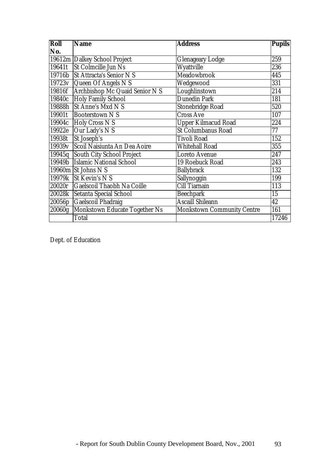| Roll                | <b>Name</b>                     | <b>Address</b>                    | <b>Pupils</b> |
|---------------------|---------------------------------|-----------------------------------|---------------|
| No.                 |                                 |                                   |               |
|                     | 19612m Dalkey School Project    | <b>Glenageary Lodge</b>           | 259           |
| 19641t              | <b>St Colmcille Jun Ns</b>      | Wyattville                        | 236           |
| 19716b              | <b>St Attracta's Senior N S</b> | Meadowbrook                       | 445           |
|                     | 19723v Queen Of Angels N S      | Wedgewood                         | 331           |
| 19816f              | Archbishop Mc Quaid Senior N S  | Loughlinstown                     | 214           |
| 19840c              | <b>Holy Family School</b>       | <b>Dunedin Park</b>               | 181           |
| 19888h              | <b>St Anne's Mxd N S</b>        | <b>Stonebridge Road</b>           | 520           |
| 19901t              | <b>Booterstown NS</b>           | <b>Cross Ave</b>                  | 107           |
|                     | 19904c Holy Cross N S           | <b>Upper Kilmacud Road</b>        | 224           |
| 19922e              | Our Lady's N S                  | <b>St Columbanus Road</b>         | 77            |
| 19938t              | St Joseph's                     | <b>Tivoli Road</b>                | 152           |
| 19939v              | Scoil Naisiunta An Dea Aoire    | <b>Whitehall Road</b>             | 355           |
| 19945q              | South City School Project       | <b>Loreto Avenue</b>              | 247           |
| 19949 <sub>b</sub>  | <b>Islamic National School</b>  | 19 Roebuck Road                   | 243           |
|                     | 19960 $m$ St Johns N S          | <b>Ballybrack</b>                 | 132           |
|                     | 19979k St Kevin's N S           | Sallynoggin                       | 199           |
| 20020r              | Gaelscoil Thaobh Na Coille      | <b>Cill Tiarnain</b>              | 113           |
| 20028k              | Setanta Special School          | <b>Beechpark</b>                  | 15            |
| 20056p              | Gaelscoil Phadraig              | <b>Ascaill Shileann</b>           | 42            |
| $\overline{20060g}$ | Monkstown Educate Together Ns   | <b>Monkstown Community Centre</b> | 161           |
|                     | <b>Total</b>                    |                                   | 17246         |

Dept. of Education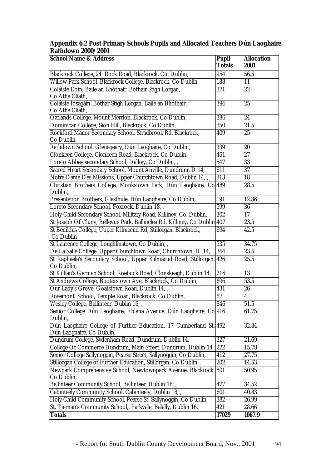#### **Appendix 6.2 Post Primary Schools Pupils and Allocated Teachers Dún Laoghaire Rathdown 2000/2001**

| <b>School Name &amp; Address</b>                                                               | <b>Pupil</b><br><b>Totals</b> | <b>Allocation</b><br>2001 |
|------------------------------------------------------------------------------------------------|-------------------------------|---------------------------|
| Blackrock College, 24 Rock Road, Blackrock, Co. Dublin,                                        | 954                           | 56.5                      |
| Willow Park School, Blackrock College, Blackrock, Co Dublin,                                   | 188                           | 11                        |
| Coláiste Eoin, Baile an Bhóthair, Bóthair Stigh Lorgan,<br>Co Atha Cliath,                     | 371                           | 22                        |
| Coláiste Íosagáin, Bóthar Stigh Lorgan, Baile an Bhóthair,<br>Co Atha Cliath,                  | 394                           | 25                        |
| Oatlands College, Mount Merrion, Blackrock, Co Dublin,                                         | 386                           | 24                        |
| Dominican College, Sion Hill, Blackrock, Co Dublin,                                            | 350                           | 21.5                      |
| Rockford Manor Secondary School, Stradbrook Rd, Blackrock,<br>Co Dublin,                       | 409                           | 25                        |
| Rathdown School, Glenageary, Dún Laoghaire, Co Dublin,                                         | 339                           | 20                        |
| Clonkeen College, Clonkeen Road, Blackrock, Co Dublin,                                         | 451                           | 27                        |
| Loreto Abbey secondary School, Dalkey, Co Dublin, ,                                            | $\overline{547}$              | $\overline{33}$           |
| Sacred Heart Secondary School, Mount Anville, Dundrum, D 14,                                   | 611                           | 37                        |
| Notre Dame Des Missions, Upper Churchtown Road, Dublin 14,,                                    | $\overline{313}$              | 18                        |
| Christian Brothers College, Monkstown Park, Dún Laoghaire, Co 489<br>Dublin,                   |                               | 28.5                      |
| Presentation Brothers, Glasthule, Dún Laoghaire, Co Dublin,                                    | 191                           | 12.36                     |
| Loreto Secondary School, Foxrock, Dublin 18,,                                                  | 599                           | $\overline{36}$           |
| Holy Child Secondary School, Military Road, Killiney, Co. Dublin,                              | 302                           | 17                        |
| St Joseph Of Cluny, Bellevue Park, Ballinclea Rd, Killiney, Co Dublin                          | 407                           | 23.5                      |
| St Benildus College, Upper Kilmacud Rd, Stillorgan, Blackrock,<br>Co Dublin                    | 694                           | 42.5                      |
| St Laurence College, Loughlinstown, Co Dublin, ,                                               | 535                           | 34.75                     |
| De La Salle College, Upper Churchtown Road, Churchtown, D.14,                                  | 364                           | 23.5                      |
| St Raphaela's Secondary School, Upper Kilmacud Road, Stillorgan, 426<br>Co Dublin,             |                               | 25.5                      |
| St Killian's German School, Roebuck Road, Clonskeagh, Dublin 14,                               | 216                           | 13                        |
| St Andrews College, Booterstown Ave, Blackrock, Co Dublin,                                     | 896                           | 53.5                      |
| Our Lady's Grove, Goatstown Road, Dublin 14,,                                                  | 431                           | 26                        |
| Rosemont School, Temple Road, Blackrock, Co Dublin,                                            | 67                            | $\overline{4}$            |
| Wesley College, Ballinteer, Dublin 16,,                                                        | 846                           | 51.5                      |
| Senior College Dún Laoghaire, Eblana Avenue, Dún Laoghaire, Co 916<br>Dublin,                  |                               | 61.75                     |
| Dún Laoghaire College of Further Education, 17 Cumberland St, 492<br>Dún Laoghaire, Co Dublin, |                               | 32.84                     |
| Dundrum College, Sydenham Road, Dundrum, Dublin 14,                                            | 327                           | 21.69                     |
| College Of Commerce Dundrum, Main Street, Dundrum, Dublin 14,                                  | 222                           | 15.78                     |
| Senior College Sallynoggin, Pearse Street, Sallynoggin, Co Dublin,                             | 412                           | 27.75                     |
| Stillorgan College of Further Education, Stillorgan, Co Dublin, ,                              | 202                           | 14.53                     |
| Newpark Comprehensive School, Newtownpark Avenue, Blackrock, 801<br>Co Dublin,                 |                               | 50.95                     |
| Ballinteer Community School, Ballinteer, Dublin 16,,                                           | 477                           | 34.52                     |
| Cabinteely Community School, Cabinteely, Dublin 18,,                                           | 601                           | 40.83                     |
| Holy Child Community School, Pearse St, Sallynoggin, Co Dublin,                                | 382                           | 26.99                     |
| St. Tiernan's Community School,, Parkvale, Balally, Dublin 16,                                 | 421                           | 28.66                     |
| <b>Totals</b>                                                                                  | 17029                         | 1067.9                    |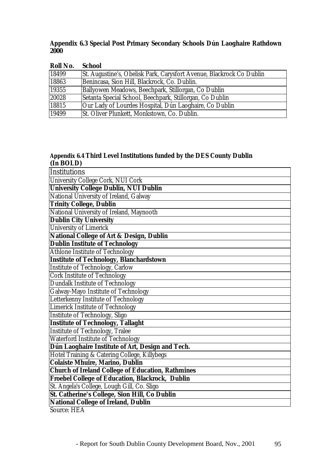## **Appendix 6.3 Special Post Primary Secondary Schools Dún Laoghaire Rathdown 2000**

| <b>School</b>                                                        |
|----------------------------------------------------------------------|
| St. Augustine's, Obelisk Park, Carysfort Avenue, Blackrock Co Dublin |
| Benincasa, Sion Hill, Blackrock, Co. Dublin.                         |
| Ballyowen Meadows, Beechpark, Stillorgan, Co Dublin                  |
| Setanta Special School, Beechpark, Stillorgan, Co Dublin             |
| Our Lady of Lourdes Hospital, Dún Laoghaire, Co Dublin               |
| St. Oliver Plunkett, Monkstown, Co. Dublin.                          |
|                                                                      |

## **Appendix 6.4 Third Level Institutions funded by the DES County Dublin (In BOLD)**

| Institutions                                             |
|----------------------------------------------------------|
| University College Cork, NUI Cork                        |
| <b>University College Dublin, NUI Dublin</b>             |
| National University of Ireland, Galway                   |
| <b>Trinity College, Dublin</b>                           |
| National University of Ireland, Maynooth                 |
| <b>Dublin City University</b>                            |
| <b>University of Limerick</b>                            |
| <b>National College of Art &amp; Design, Dublin</b>      |
| <b>Dublin Institute of Technology</b>                    |
| <b>Athlone Institute of Technology</b>                   |
| <b>Institute of Technology, Blanchardstown</b>           |
| <b>Institute of Technology, Carlow</b>                   |
| <b>Cork Institute of Technology</b>                      |
| <b>Dundalk Institute of Technology</b>                   |
| Galway-Mayo Institute of Technology                      |
| Letterkenny Institute of Technology                      |
| <b>Limerick Institute of Technology</b>                  |
| <b>Institute of Technology, Sligo</b>                    |
| <b>Institute of Technology, Tallaght</b>                 |
| <b>Institute of Technology, Tralee</b>                   |
| <b>Waterford Institute of Technology</b>                 |
| Dún Laoghaire Institute of Art, Design and Tech.         |
| Hotel Training & Catering College, Killybegs             |
| <b>Colaiste Mhuire, Marino, Dublin</b>                   |
| <b>Church of Ireland College of Education, Rathmines</b> |
| <b>Froebel College of Education, Blackrock, Dublin</b>   |
| St. Angela's College, Lough Gill, Co. Sligo              |
| St. Catherine's College, Sion Hill, Co Dublin            |
| <b>National College of Ireland, Dublin</b>               |
| $SOMrr0$ . HFA                                           |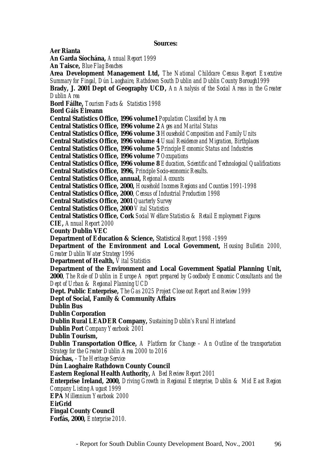#### **Sources:**

**Aer Rianta An Garda Síochána,** *Annual Report 1999* **An Taisce,** *Blue Flag Beaches* **Area Development Management Ltd,** *The National Childcare Census Report Executive Summary for Fingal, Dún Laoghaire, Rathdown South Dublin and Dublin County Borough1999* **Brady, J. 2001 Dept of Geography UCD,** *An Analysis of the Social Areas in the Greater Dublin Area* **Bord Fáilte,** *Tourism Facts & Statistics 1998* **Bord Gáis Éireann Central Statistics Office, 1996 volume1** *Population Classified by Area* **Central Statistics Office, 1996 volume 2** *Ages and Marital Status* **Central Statistics Office, 1996 volume 3** *Household Composition and Family Units* **Central Statistics Office, 1996 volume 4** *Usual Residence and Migration, Birthplaces* **Central Statistics Office, 1996 volume 5** *Principle Economic Status and Industries* **Central Statistics Office, 1996 volume 7** *Occupations* **Central Statistics Office, 1996 volume 8** *Education, Scientific and Technological Qualifications* **Central Statistics Office, 1996,** *Principle Socio-economic Results*. **Central Statistics Office, annual,** *Regional Accounts* **Central Statistics Office, 2000,** *Household Incomes Regions and Counties 1991-1998* **Central Statistics Office, 2000**, *Census of Industrial Production 1998* **Central Statistics Office, 2001** *Quarterly Survey* **Central Statistics Office, 2000** *Vital Statistics* **Central Statistics Office, Cork** *Social Welfare Statistics & Retail Employment Figures* **CIE,** *Annual Report 2000* **County Dublin VEC Department of Education & Science,** Statistical *Report 1998 -1999* **Department of the Environment and Local Government,** *Housing Bulletin 2000, Greater Dublin Water Strategy 1996* **Department of Health,** *Vital Statistics* **Department of the Environment and Local Government Spatial Planning Unit, 2000**, *The Role of Dublin in Europe A report prepared by Goodbody Economic Consultants and the Dept of Urban & Regional Planning UCD* **Dept. Public Enterprise,** *The Gas 2025 Project Close out Report and Review 1999* **Dept of Social, Family & Community Affairs Dublin Bus Dublin Corporation Dublin Rural LEADER Company,** *Sustaining Dublin's Rural Hinterland* **Dublin Port** *Company Yearbook 2001* **Dublin Tourism, Dublin Transportation Office,** *A Platform for Change – An Outline of the transportation Strategy for the Greater Dublin Area 2000 to 2016* **Dúchas,** - *The Heritage Service* **Dún Laoghaire Rathdown County Council Eastern Regional Health Authority,** *A Bed Review Report 2001* **Enterprise Ireland, 2000,** *Driving Growth in Regional Enterprise, Dublin & Mid East Region Company Listing August 1999* **EPA** *Millennium Yearbook 2000* **EirGrid Fingal County Council Forfás, 2000,** *Enterprise 2010.*